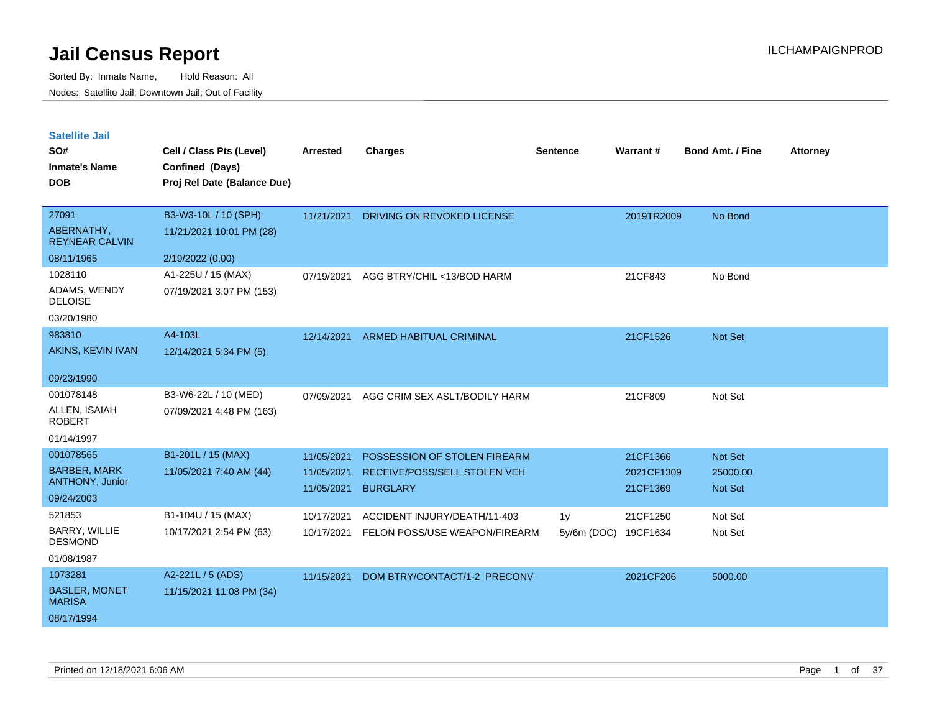| <b>Satellite Jail</b> |  |
|-----------------------|--|
|-----------------------|--|

| SO#                                   | Cell / Class Pts (Level)                       | Arrested   | <b>Charges</b>                 | <b>Sentence</b> | Warrant#   | <b>Bond Amt. / Fine</b> | <b>Attorney</b> |
|---------------------------------------|------------------------------------------------|------------|--------------------------------|-----------------|------------|-------------------------|-----------------|
| <b>Inmate's Name</b><br><b>DOB</b>    | Confined (Days)<br>Proj Rel Date (Balance Due) |            |                                |                 |            |                         |                 |
| 27091                                 | B3-W3-10L / 10 (SPH)                           | 11/21/2021 | DRIVING ON REVOKED LICENSE     |                 | 2019TR2009 | No Bond                 |                 |
| ABERNATHY,<br><b>REYNEAR CALVIN</b>   | 11/21/2021 10:01 PM (28)                       |            |                                |                 |            |                         |                 |
| 08/11/1965                            | 2/19/2022 (0.00)                               |            |                                |                 |            |                         |                 |
| 1028110                               | A1-225U / 15 (MAX)                             | 07/19/2021 | AGG BTRY/CHIL <13/BOD HARM     |                 | 21CF843    | No Bond                 |                 |
| ADAMS, WENDY<br><b>DELOISE</b>        | 07/19/2021 3:07 PM (153)                       |            |                                |                 |            |                         |                 |
| 03/20/1980                            |                                                |            |                                |                 |            |                         |                 |
| 983810                                | A4-103L                                        | 12/14/2021 | <b>ARMED HABITUAL CRIMINAL</b> |                 | 21CF1526   | Not Set                 |                 |
| AKINS, KEVIN IVAN                     | 12/14/2021 5:34 PM (5)                         |            |                                |                 |            |                         |                 |
| 09/23/1990                            |                                                |            |                                |                 |            |                         |                 |
| 001078148                             | B3-W6-22L / 10 (MED)                           | 07/09/2021 | AGG CRIM SEX ASLT/BODILY HARM  |                 | 21CF809    | Not Set                 |                 |
| ALLEN, ISAIAH<br><b>ROBERT</b>        | 07/09/2021 4:48 PM (163)                       |            |                                |                 |            |                         |                 |
| 01/14/1997                            |                                                |            |                                |                 |            |                         |                 |
| 001078565                             | B1-201L / 15 (MAX)                             | 11/05/2021 | POSSESSION OF STOLEN FIREARM   |                 | 21CF1366   | Not Set                 |                 |
| <b>BARBER, MARK</b>                   | 11/05/2021 7:40 AM (44)                        | 11/05/2021 | RECEIVE/POSS/SELL STOLEN VEH   |                 | 2021CF1309 | 25000.00                |                 |
| ANTHONY, Junior                       |                                                | 11/05/2021 | <b>BURGLARY</b>                |                 | 21CF1369   | <b>Not Set</b>          |                 |
| 09/24/2003                            |                                                |            |                                |                 |            |                         |                 |
| 521853                                | B1-104U / 15 (MAX)                             | 10/17/2021 | ACCIDENT INJURY/DEATH/11-403   | 1 <sub>V</sub>  | 21CF1250   | Not Set                 |                 |
| BARRY, WILLIE<br><b>DESMOND</b>       | 10/17/2021 2:54 PM (63)                        | 10/17/2021 | FELON POSS/USE WEAPON/FIREARM  | $5v/6m$ (DOC)   | 19CF1634   | Not Set                 |                 |
| 01/08/1987                            |                                                |            |                                |                 |            |                         |                 |
| 1073281                               | A2-221L / 5 (ADS)                              | 11/15/2021 | DOM BTRY/CONTACT/1-2 PRECONV   |                 | 2021CF206  | 5000.00                 |                 |
| <b>BASLER, MONET</b><br><b>MARISA</b> | 11/15/2021 11:08 PM (34)                       |            |                                |                 |            |                         |                 |
| 08/17/1994                            |                                                |            |                                |                 |            |                         |                 |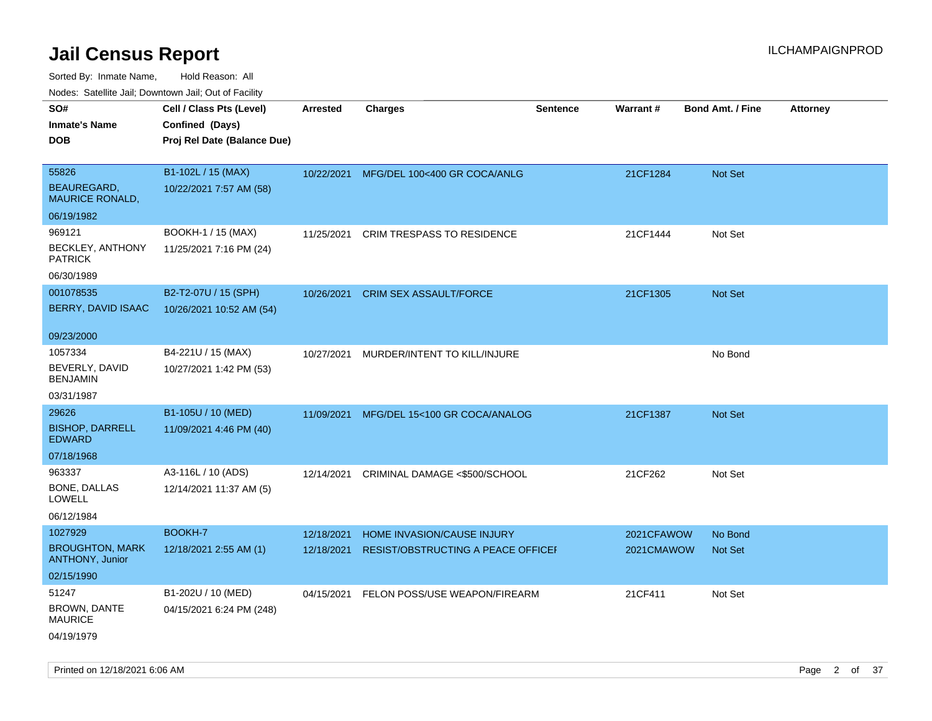| Nudes. Satellite Jali, Downtown Jali, Out of Facility |                             |                 |                                    |                 |            |                         |                 |
|-------------------------------------------------------|-----------------------------|-----------------|------------------------------------|-----------------|------------|-------------------------|-----------------|
| SO#                                                   | Cell / Class Pts (Level)    | <b>Arrested</b> | <b>Charges</b>                     | <b>Sentence</b> | Warrant#   | <b>Bond Amt. / Fine</b> | <b>Attorney</b> |
| Inmate's Name                                         | Confined (Days)             |                 |                                    |                 |            |                         |                 |
| <b>DOB</b>                                            | Proj Rel Date (Balance Due) |                 |                                    |                 |            |                         |                 |
|                                                       |                             |                 |                                    |                 |            |                         |                 |
| 55826                                                 | B1-102L / 15 (MAX)          | 10/22/2021      | MFG/DEL 100<400 GR COCA/ANLG       |                 | 21CF1284   | <b>Not Set</b>          |                 |
| <b>BEAUREGARD,</b><br><b>MAURICE RONALD,</b>          | 10/22/2021 7:57 AM (58)     |                 |                                    |                 |            |                         |                 |
| 06/19/1982                                            |                             |                 |                                    |                 |            |                         |                 |
| 969121                                                | BOOKH-1 / 15 (MAX)          | 11/25/2021      | <b>CRIM TRESPASS TO RESIDENCE</b>  |                 | 21CF1444   | Not Set                 |                 |
| <b>BECKLEY, ANTHONY</b><br><b>PATRICK</b>             | 11/25/2021 7:16 PM (24)     |                 |                                    |                 |            |                         |                 |
| 06/30/1989                                            |                             |                 |                                    |                 |            |                         |                 |
| 001078535                                             | B2-T2-07U / 15 (SPH)        | 10/26/2021      | <b>CRIM SEX ASSAULT/FORCE</b>      |                 | 21CF1305   | <b>Not Set</b>          |                 |
| BERRY, DAVID ISAAC                                    | 10/26/2021 10:52 AM (54)    |                 |                                    |                 |            |                         |                 |
|                                                       |                             |                 |                                    |                 |            |                         |                 |
| 09/23/2000                                            |                             |                 |                                    |                 |            |                         |                 |
| 1057334                                               | B4-221U / 15 (MAX)          | 10/27/2021      | MURDER/INTENT TO KILL/INJURE       |                 |            | No Bond                 |                 |
| BEVERLY, DAVID<br><b>BENJAMIN</b>                     | 10/27/2021 1:42 PM (53)     |                 |                                    |                 |            |                         |                 |
| 03/31/1987                                            |                             |                 |                                    |                 |            |                         |                 |
| 29626                                                 | B1-105U / 10 (MED)          | 11/09/2021      | MFG/DEL 15<100 GR COCA/ANALOG      |                 | 21CF1387   | <b>Not Set</b>          |                 |
| <b>BISHOP, DARRELL</b><br>EDWARD                      | 11/09/2021 4:46 PM (40)     |                 |                                    |                 |            |                         |                 |
| 07/18/1968                                            |                             |                 |                                    |                 |            |                         |                 |
| 963337                                                | A3-116L / 10 (ADS)          | 12/14/2021      | CRIMINAL DAMAGE <\$500/SCHOOL      |                 | 21CF262    | Not Set                 |                 |
| BONE, DALLAS<br>LOWELL                                | 12/14/2021 11:37 AM (5)     |                 |                                    |                 |            |                         |                 |
| 06/12/1984                                            |                             |                 |                                    |                 |            |                         |                 |
| 1027929                                               | BOOKH-7                     | 12/18/2021      | HOME INVASION/CAUSE INJURY         |                 | 2021CFAWOW | No Bond                 |                 |
| <b>BROUGHTON, MARK</b><br><b>ANTHONY, Junior</b>      | 12/18/2021 2:55 AM (1)      | 12/18/2021      | RESIST/OBSTRUCTING A PEACE OFFICEF |                 | 2021CMAWOW | <b>Not Set</b>          |                 |
| 02/15/1990                                            |                             |                 |                                    |                 |            |                         |                 |
| 51247                                                 | B1-202U / 10 (MED)          | 04/15/2021      | FELON POSS/USE WEAPON/FIREARM      |                 | 21CF411    | Not Set                 |                 |
| <b>BROWN, DANTE</b><br>MAURICE                        | 04/15/2021 6:24 PM (248)    |                 |                                    |                 |            |                         |                 |
| 04/19/1979                                            |                             |                 |                                    |                 |            |                         |                 |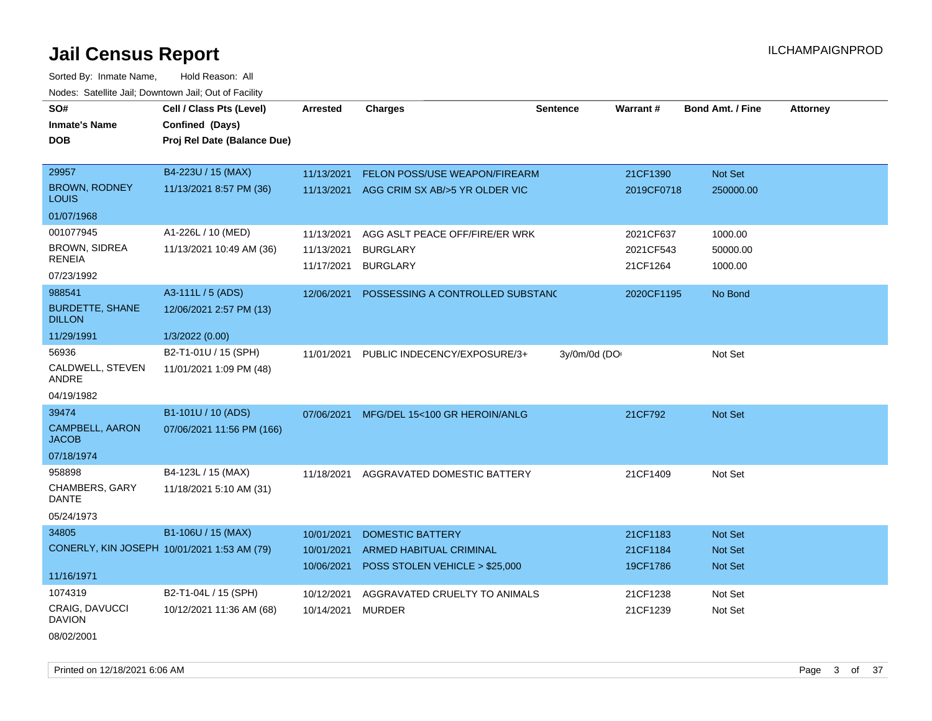Sorted By: Inmate Name, Hold Reason: All Nodes: Satellite Jail; Downtown Jail; Out of Facility

| SO#<br><b>Inmate's Name</b>             | Cell / Class Pts (Level)<br>Confined (Days) | Arrested   | <b>Charges</b>                            | <b>Sentence</b> | Warrant#   | <b>Bond Amt. / Fine</b> | <b>Attorney</b> |
|-----------------------------------------|---------------------------------------------|------------|-------------------------------------------|-----------------|------------|-------------------------|-----------------|
| <b>DOB</b>                              | Proj Rel Date (Balance Due)                 |            |                                           |                 |            |                         |                 |
| 29957                                   | B4-223U / 15 (MAX)                          | 11/13/2021 | FELON POSS/USE WEAPON/FIREARM             |                 | 21CF1390   | Not Set                 |                 |
| <b>BROWN, RODNEY</b><br><b>LOUIS</b>    | 11/13/2021 8:57 PM (36)                     |            | 11/13/2021 AGG CRIM SX AB/>5 YR OLDER VIC |                 | 2019CF0718 | 250000.00               |                 |
| 01/07/1968                              |                                             |            |                                           |                 |            |                         |                 |
| 001077945                               | A1-226L / 10 (MED)                          | 11/13/2021 | AGG ASLT PEACE OFF/FIRE/ER WRK            |                 | 2021CF637  | 1000.00                 |                 |
| <b>BROWN, SIDREA</b>                    | 11/13/2021 10:49 AM (36)                    | 11/13/2021 | <b>BURGLARY</b>                           |                 | 2021CF543  | 50000.00                |                 |
| <b>RENEIA</b>                           |                                             | 11/17/2021 | <b>BURGLARY</b>                           |                 | 21CF1264   | 1000.00                 |                 |
| 07/23/1992                              |                                             |            |                                           |                 |            |                         |                 |
| 988541                                  | A3-111L / 5 (ADS)                           | 12/06/2021 | POSSESSING A CONTROLLED SUBSTANC          |                 | 2020CF1195 | No Bond                 |                 |
| <b>BURDETTE, SHANE</b><br><b>DILLON</b> | 12/06/2021 2:57 PM (13)                     |            |                                           |                 |            |                         |                 |
| 11/29/1991                              | 1/3/2022 (0.00)                             |            |                                           |                 |            |                         |                 |
| 56936                                   | B2-T1-01U / 15 (SPH)                        | 11/01/2021 | PUBLIC INDECENCY/EXPOSURE/3+              | 3y/0m/0d (DO    |            | Not Set                 |                 |
| CALDWELL, STEVEN<br>ANDRE               | 11/01/2021 1:09 PM (48)                     |            |                                           |                 |            |                         |                 |
| 04/19/1982                              |                                             |            |                                           |                 |            |                         |                 |
| 39474                                   | B1-101U / 10 (ADS)                          |            | 07/06/2021 MFG/DEL 15<100 GR HEROIN/ANLG  |                 | 21CF792    | Not Set                 |                 |
| <b>CAMPBELL, AARON</b><br><b>JACOB</b>  | 07/06/2021 11:56 PM (166)                   |            |                                           |                 |            |                         |                 |
| 07/18/1974                              |                                             |            |                                           |                 |            |                         |                 |
| 958898                                  | B4-123L / 15 (MAX)                          | 11/18/2021 | AGGRAVATED DOMESTIC BATTERY               |                 | 21CF1409   | Not Set                 |                 |
| CHAMBERS, GARY<br><b>DANTE</b>          | 11/18/2021 5:10 AM (31)                     |            |                                           |                 |            |                         |                 |
| 05/24/1973                              |                                             |            |                                           |                 |            |                         |                 |
| 34805                                   | B1-106U / 15 (MAX)                          | 10/01/2021 | <b>DOMESTIC BATTERY</b>                   |                 | 21CF1183   | <b>Not Set</b>          |                 |
|                                         | CONERLY, KIN JOSEPH 10/01/2021 1:53 AM (79) | 10/01/2021 | <b>ARMED HABITUAL CRIMINAL</b>            |                 | 21CF1184   | Not Set                 |                 |
|                                         |                                             | 10/06/2021 | POSS STOLEN VEHICLE > \$25,000            |                 | 19CF1786   | <b>Not Set</b>          |                 |
| 11/16/1971                              |                                             |            |                                           |                 |            |                         |                 |
| 1074319                                 | B2-T1-04L / 15 (SPH)                        | 10/12/2021 | AGGRAVATED CRUELTY TO ANIMALS             |                 | 21CF1238   | Not Set                 |                 |
| CRAIG, DAVUCCI<br><b>DAVION</b>         | 10/12/2021 11:36 AM (68)                    | 10/14/2021 | <b>MURDER</b>                             |                 | 21CF1239   | Not Set                 |                 |
|                                         |                                             |            |                                           |                 |            |                         |                 |

08/02/2001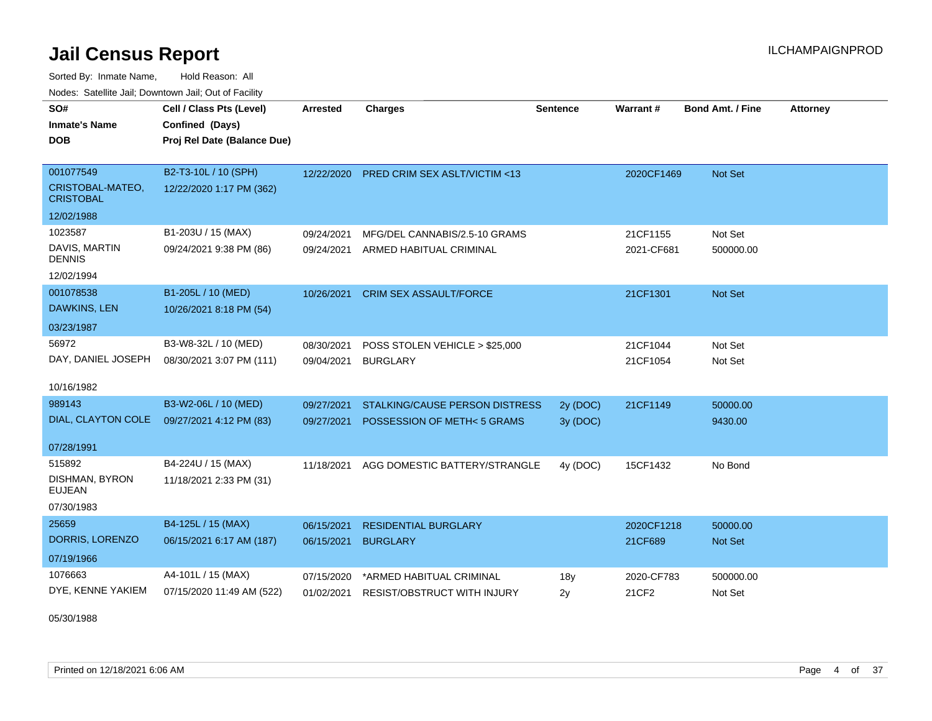Sorted By: Inmate Name, Hold Reason: All Nodes: Satellite Jail; Downtown Jail; Out of Facility

| SO#                                  | Cell / Class Pts (Level)    | <b>Arrested</b> | <b>Charges</b>                          | <b>Sentence</b> | Warrant#   | <b>Bond Amt. / Fine</b> | <b>Attorney</b> |
|--------------------------------------|-----------------------------|-----------------|-----------------------------------------|-----------------|------------|-------------------------|-----------------|
| <b>Inmate's Name</b>                 | Confined (Days)             |                 |                                         |                 |            |                         |                 |
| <b>DOB</b>                           | Proj Rel Date (Balance Due) |                 |                                         |                 |            |                         |                 |
|                                      |                             |                 |                                         |                 |            |                         |                 |
| 001077549                            | B2-T3-10L / 10 (SPH)        | 12/22/2020      | <b>PRED CRIM SEX ASLT/VICTIM &lt;13</b> |                 | 2020CF1469 | Not Set                 |                 |
| CRISTOBAL-MATEO,<br><b>CRISTOBAL</b> | 12/22/2020 1:17 PM (362)    |                 |                                         |                 |            |                         |                 |
| 12/02/1988                           |                             |                 |                                         |                 |            |                         |                 |
| 1023587                              | B1-203U / 15 (MAX)          | 09/24/2021      | MFG/DEL CANNABIS/2.5-10 GRAMS           |                 | 21CF1155   | Not Set                 |                 |
| DAVIS, MARTIN<br><b>DENNIS</b>       | 09/24/2021 9:38 PM (86)     | 09/24/2021      | ARMED HABITUAL CRIMINAL                 |                 | 2021-CF681 | 500000.00               |                 |
| 12/02/1994                           |                             |                 |                                         |                 |            |                         |                 |
| 001078538                            | B1-205L / 10 (MED)          | 10/26/2021      | <b>CRIM SEX ASSAULT/FORCE</b>           |                 | 21CF1301   | Not Set                 |                 |
| DAWKINS, LEN                         | 10/26/2021 8:18 PM (54)     |                 |                                         |                 |            |                         |                 |
| 03/23/1987                           |                             |                 |                                         |                 |            |                         |                 |
| 56972                                | B3-W8-32L / 10 (MED)        | 08/30/2021      | POSS STOLEN VEHICLE > \$25,000          |                 | 21CF1044   | Not Set                 |                 |
| DAY, DANIEL JOSEPH                   | 08/30/2021 3:07 PM (111)    | 09/04/2021      | <b>BURGLARY</b>                         |                 | 21CF1054   | Not Set                 |                 |
| 10/16/1982                           |                             |                 |                                         |                 |            |                         |                 |
| 989143                               | B3-W2-06L / 10 (MED)        | 09/27/2021      | STALKING/CAUSE PERSON DISTRESS          | 2y (DOC)        | 21CF1149   | 50000.00                |                 |
| DIAL, CLAYTON COLE                   | 09/27/2021 4:12 PM (83)     | 09/27/2021      | POSSESSION OF METH<5 GRAMS              | 3y (DOC)        |            | 9430.00                 |                 |
|                                      |                             |                 |                                         |                 |            |                         |                 |
| 07/28/1991                           |                             |                 |                                         |                 |            |                         |                 |
| 515892                               | B4-224U / 15 (MAX)          | 11/18/2021      | AGG DOMESTIC BATTERY/STRANGLE           | 4y (DOC)        | 15CF1432   | No Bond                 |                 |
| DISHMAN, BYRON<br><b>EUJEAN</b>      | 11/18/2021 2:33 PM (31)     |                 |                                         |                 |            |                         |                 |
| 07/30/1983                           |                             |                 |                                         |                 |            |                         |                 |
| 25659                                | B4-125L / 15 (MAX)          | 06/15/2021      | <b>RESIDENTIAL BURGLARY</b>             |                 | 2020CF1218 | 50000.00                |                 |
| DORRIS, LORENZO                      | 06/15/2021 6:17 AM (187)    | 06/15/2021      | <b>BURGLARY</b>                         |                 | 21CF689    | Not Set                 |                 |
| 07/19/1966                           |                             |                 |                                         |                 |            |                         |                 |
| 1076663                              | A4-101L / 15 (MAX)          | 07/15/2020      | *ARMED HABITUAL CRIMINAL                | 18y             | 2020-CF783 | 500000.00               |                 |
| DYE, KENNE YAKIEM                    | 07/15/2020 11:49 AM (522)   | 01/02/2021      | <b>RESIST/OBSTRUCT WITH INJURY</b>      | 2y              | 21CF2      | Not Set                 |                 |

05/30/1988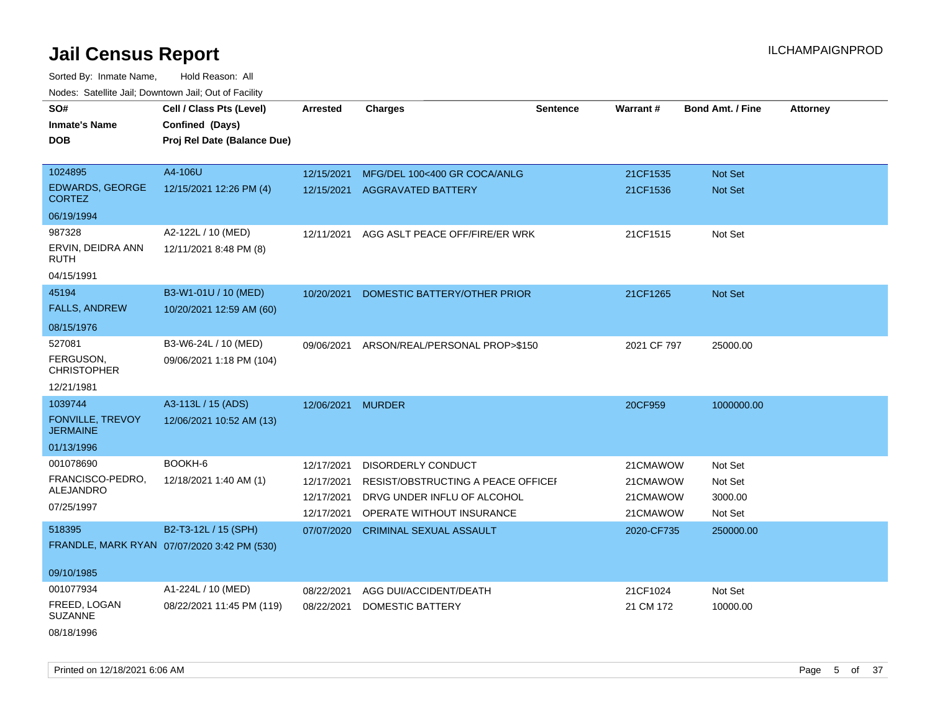Sorted By: Inmate Name, Hold Reason: All Nodes: Satellite Jail; Downtown Jail; Out of Facility

| SO#<br><b>Inmate's Name</b><br><b>DOB</b>  | Cell / Class Pts (Level)<br>Confined (Days)<br>Proj Rel Date (Balance Due) | <b>Arrested</b>   | <b>Charges</b>                            | <b>Sentence</b> | <b>Warrant#</b> | <b>Bond Amt. / Fine</b> | <b>Attorney</b> |
|--------------------------------------------|----------------------------------------------------------------------------|-------------------|-------------------------------------------|-----------------|-----------------|-------------------------|-----------------|
| 1024895                                    | A4-106U                                                                    | 12/15/2021        | MFG/DEL 100<400 GR COCA/ANLG              |                 | 21CF1535        | Not Set                 |                 |
| EDWARDS, GEORGE<br><b>CORTEZ</b>           | 12/15/2021 12:26 PM (4)                                                    | 12/15/2021        | AGGRAVATED BATTERY                        |                 | 21CF1536        | <b>Not Set</b>          |                 |
| 06/19/1994                                 |                                                                            |                   |                                           |                 |                 |                         |                 |
| 987328<br>ERVIN, DEIDRA ANN<br>RUTH        | A2-122L / 10 (MED)<br>12/11/2021 8:48 PM (8)                               |                   | 12/11/2021 AGG ASLT PEACE OFF/FIRE/ER WRK |                 | 21CF1515        | Not Set                 |                 |
| 04/15/1991                                 |                                                                            |                   |                                           |                 |                 |                         |                 |
| 45194<br><b>FALLS, ANDREW</b>              | B3-W1-01U / 10 (MED)<br>10/20/2021 12:59 AM (60)                           | 10/20/2021        | DOMESTIC BATTERY/OTHER PRIOR              |                 | 21CF1265        | <b>Not Set</b>          |                 |
| 08/15/1976                                 |                                                                            |                   |                                           |                 |                 |                         |                 |
| 527081<br>FERGUSON,<br><b>CHRISTOPHER</b>  | B3-W6-24L / 10 (MED)<br>09/06/2021 1:18 PM (104)                           | 09/06/2021        | ARSON/REAL/PERSONAL PROP>\$150            |                 | 2021 CF 797     | 25000.00                |                 |
| 12/21/1981                                 |                                                                            |                   |                                           |                 |                 |                         |                 |
| 1039744                                    | A3-113L / 15 (ADS)                                                         | 12/06/2021 MURDER |                                           |                 | 20CF959         | 1000000.00              |                 |
| <b>FONVILLE, TREVOY</b><br><b>JERMAINE</b> | 12/06/2021 10:52 AM (13)                                                   |                   |                                           |                 |                 |                         |                 |
| 01/13/1996                                 |                                                                            |                   |                                           |                 |                 |                         |                 |
| 001078690                                  | BOOKH-6                                                                    | 12/17/2021        | DISORDERLY CONDUCT                        |                 | 21CMAWOW        | Not Set                 |                 |
| FRANCISCO-PEDRO,<br>ALEJANDRO              | 12/18/2021 1:40 AM (1)                                                     | 12/17/2021        | RESIST/OBSTRUCTING A PEACE OFFICEF        |                 | 21CMAWOW        | Not Set                 |                 |
| 07/25/1997                                 |                                                                            | 12/17/2021        | DRVG UNDER INFLU OF ALCOHOL               |                 | 21CMAWOW        | 3000.00                 |                 |
|                                            |                                                                            | 12/17/2021        | OPERATE WITHOUT INSURANCE                 |                 | 21CMAWOW        | Not Set                 |                 |
| 518395                                     | B2-T3-12L / 15 (SPH)                                                       | 07/07/2020        | <b>CRIMINAL SEXUAL ASSAULT</b>            |                 | 2020-CF735      | 250000.00               |                 |
|                                            | FRANDLE, MARK RYAN 07/07/2020 3:42 PM (530)                                |                   |                                           |                 |                 |                         |                 |
| 09/10/1985                                 |                                                                            |                   |                                           |                 |                 |                         |                 |
| 001077934                                  | A1-224L / 10 (MED)                                                         | 08/22/2021        | AGG DUI/ACCIDENT/DEATH                    |                 | 21CF1024        | Not Set                 |                 |
| FREED, LOGAN<br><b>SUZANNE</b>             | 08/22/2021 11:45 PM (119)                                                  | 08/22/2021        | DOMESTIC BATTERY                          |                 | 21 CM 172       | 10000.00                |                 |
| 0.011011000                                |                                                                            |                   |                                           |                 |                 |                         |                 |

08/18/1996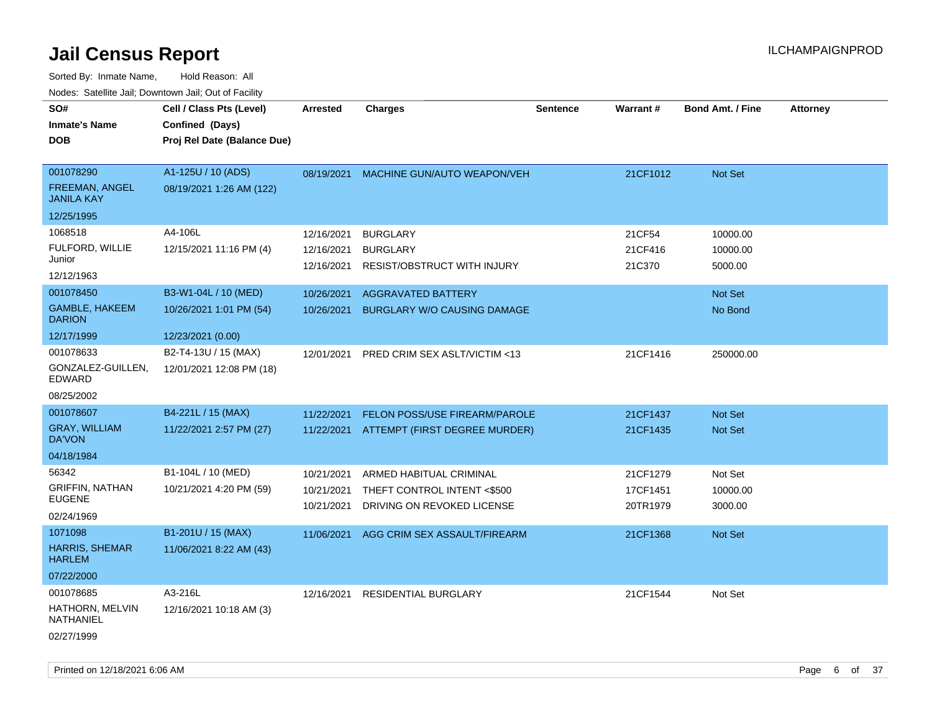| SO#                                    | Cell / Class Pts (Level)    | <b>Arrested</b> | <b>Charges</b>                       | <b>Sentence</b> | Warrant# | <b>Bond Amt. / Fine</b> | <b>Attorney</b> |
|----------------------------------------|-----------------------------|-----------------|--------------------------------------|-----------------|----------|-------------------------|-----------------|
| <b>Inmate's Name</b>                   | Confined (Days)             |                 |                                      |                 |          |                         |                 |
| <b>DOB</b>                             | Proj Rel Date (Balance Due) |                 |                                      |                 |          |                         |                 |
|                                        |                             |                 |                                      |                 |          |                         |                 |
| 001078290                              | A1-125U / 10 (ADS)          | 08/19/2021      | MACHINE GUN/AUTO WEAPON/VEH          |                 | 21CF1012 | Not Set                 |                 |
| FREEMAN, ANGEL<br><b>JANILA KAY</b>    | 08/19/2021 1:26 AM (122)    |                 |                                      |                 |          |                         |                 |
| 12/25/1995                             |                             |                 |                                      |                 |          |                         |                 |
| 1068518                                | A4-106L                     | 12/16/2021      | <b>BURGLARY</b>                      |                 | 21CF54   | 10000.00                |                 |
| FULFORD, WILLIE                        | 12/15/2021 11:16 PM (4)     | 12/16/2021      | <b>BURGLARY</b>                      |                 | 21CF416  | 10000.00                |                 |
| Junior                                 |                             | 12/16/2021      | <b>RESIST/OBSTRUCT WITH INJURY</b>   |                 | 21C370   | 5000.00                 |                 |
| 12/12/1963                             |                             |                 |                                      |                 |          |                         |                 |
| 001078450                              | B3-W1-04L / 10 (MED)        | 10/26/2021      | <b>AGGRAVATED BATTERY</b>            |                 |          | Not Set                 |                 |
| <b>GAMBLE, HAKEEM</b><br><b>DARION</b> | 10/26/2021 1:01 PM (54)     | 10/26/2021      | <b>BURGLARY W/O CAUSING DAMAGE</b>   |                 |          | No Bond                 |                 |
| 12/17/1999                             | 12/23/2021 (0.00)           |                 |                                      |                 |          |                         |                 |
| 001078633                              | B2-T4-13U / 15 (MAX)        | 12/01/2021      | PRED CRIM SEX ASLT/VICTIM <13        |                 | 21CF1416 | 250000.00               |                 |
| GONZALEZ-GUILLEN,<br><b>EDWARD</b>     | 12/01/2021 12:08 PM (18)    |                 |                                      |                 |          |                         |                 |
| 08/25/2002                             |                             |                 |                                      |                 |          |                         |                 |
| 001078607                              | B4-221L / 15 (MAX)          | 11/22/2021      | <b>FELON POSS/USE FIREARM/PAROLE</b> |                 | 21CF1437 | <b>Not Set</b>          |                 |
| <b>GRAY, WILLIAM</b><br>DA'VON         | 11/22/2021 2:57 PM (27)     | 11/22/2021      | ATTEMPT (FIRST DEGREE MURDER)        |                 | 21CF1435 | Not Set                 |                 |
| 04/18/1984                             |                             |                 |                                      |                 |          |                         |                 |
| 56342                                  | B1-104L / 10 (MED)          | 10/21/2021      | ARMED HABITUAL CRIMINAL              |                 | 21CF1279 | Not Set                 |                 |
| <b>GRIFFIN, NATHAN</b>                 | 10/21/2021 4:20 PM (59)     | 10/21/2021      | THEFT CONTROL INTENT <\$500          |                 | 17CF1451 | 10000.00                |                 |
| <b>EUGENE</b>                          |                             | 10/21/2021      | DRIVING ON REVOKED LICENSE           |                 | 20TR1979 | 3000.00                 |                 |
| 02/24/1969                             |                             |                 |                                      |                 |          |                         |                 |
| 1071098                                | B1-201U / 15 (MAX)          | 11/06/2021      | AGG CRIM SEX ASSAULT/FIREARM         |                 | 21CF1368 | <b>Not Set</b>          |                 |
| <b>HARRIS, SHEMAR</b><br><b>HARLEM</b> | 11/06/2021 8:22 AM (43)     |                 |                                      |                 |          |                         |                 |
| 07/22/2000                             |                             |                 |                                      |                 |          |                         |                 |
| 001078685                              | A3-216L                     | 12/16/2021      | <b>RESIDENTIAL BURGLARY</b>          |                 | 21CF1544 | Not Set                 |                 |
| HATHORN, MELVIN<br>NATHANIEL           | 12/16/2021 10:18 AM (3)     |                 |                                      |                 |          |                         |                 |
| 02/27/1999                             |                             |                 |                                      |                 |          |                         |                 |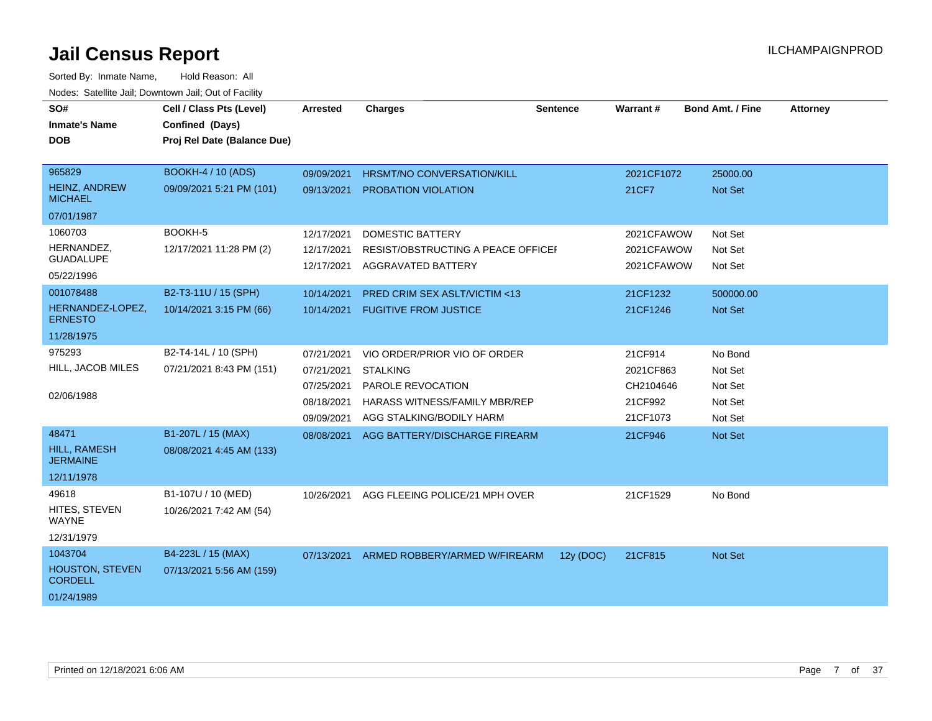| SO#                                      | Cell / Class Pts (Level)    | <b>Arrested</b> | <b>Charges</b>                            | <b>Sentence</b> | Warrant#   | <b>Bond Amt. / Fine</b> | <b>Attorney</b> |
|------------------------------------------|-----------------------------|-----------------|-------------------------------------------|-----------------|------------|-------------------------|-----------------|
| <b>Inmate's Name</b>                     | Confined (Days)             |                 |                                           |                 |            |                         |                 |
| <b>DOB</b>                               | Proj Rel Date (Balance Due) |                 |                                           |                 |            |                         |                 |
|                                          |                             |                 |                                           |                 |            |                         |                 |
| 965829                                   | <b>BOOKH-4 / 10 (ADS)</b>   | 09/09/2021      | <b>HRSMT/NO CONVERSATION/KILL</b>         |                 | 2021CF1072 | 25000.00                |                 |
| <b>HEINZ, ANDREW</b><br><b>MICHAEL</b>   | 09/09/2021 5:21 PM (101)    | 09/13/2021      | <b>PROBATION VIOLATION</b>                |                 | 21CF7      | Not Set                 |                 |
| 07/01/1987                               |                             |                 |                                           |                 |            |                         |                 |
| 1060703                                  | BOOKH-5                     | 12/17/2021      | <b>DOMESTIC BATTERY</b>                   |                 | 2021CFAWOW | Not Set                 |                 |
| HERNANDEZ,                               | 12/17/2021 11:28 PM (2)     | 12/17/2021      | <b>RESIST/OBSTRUCTING A PEACE OFFICEF</b> |                 | 2021CFAWOW | Not Set                 |                 |
| <b>GUADALUPE</b>                         |                             | 12/17/2021      | <b>AGGRAVATED BATTERY</b>                 |                 | 2021CFAWOW | Not Set                 |                 |
| 05/22/1996                               |                             |                 |                                           |                 |            |                         |                 |
| 001078488                                | B2-T3-11U / 15 (SPH)        | 10/14/2021      | PRED CRIM SEX ASLT/VICTIM <13             |                 | 21CF1232   | 500000.00               |                 |
| HERNANDEZ-LOPEZ,<br><b>ERNESTO</b>       | 10/14/2021 3:15 PM (66)     | 10/14/2021      | <b>FUGITIVE FROM JUSTICE</b>              |                 | 21CF1246   | Not Set                 |                 |
| 11/28/1975                               |                             |                 |                                           |                 |            |                         |                 |
| 975293                                   | B2-T4-14L / 10 (SPH)        | 07/21/2021      | VIO ORDER/PRIOR VIO OF ORDER              |                 | 21CF914    | No Bond                 |                 |
| HILL, JACOB MILES                        | 07/21/2021 8:43 PM (151)    | 07/21/2021      | <b>STALKING</b>                           |                 | 2021CF863  | Not Set                 |                 |
|                                          |                             | 07/25/2021      | PAROLE REVOCATION                         |                 | CH2104646  | Not Set                 |                 |
| 02/06/1988                               |                             | 08/18/2021      | <b>HARASS WITNESS/FAMILY MBR/REP</b>      |                 | 21CF992    | Not Set                 |                 |
|                                          |                             | 09/09/2021      | AGG STALKING/BODILY HARM                  |                 | 21CF1073   | Not Set                 |                 |
| 48471                                    | B1-207L / 15 (MAX)          | 08/08/2021      | AGG BATTERY/DISCHARGE FIREARM             |                 | 21CF946    | Not Set                 |                 |
| HILL, RAMESH<br><b>JERMAINE</b>          | 08/08/2021 4:45 AM (133)    |                 |                                           |                 |            |                         |                 |
| 12/11/1978                               |                             |                 |                                           |                 |            |                         |                 |
| 49618                                    | B1-107U / 10 (MED)          | 10/26/2021      | AGG FLEEING POLICE/21 MPH OVER            |                 | 21CF1529   | No Bond                 |                 |
| HITES, STEVEN<br><b>WAYNE</b>            | 10/26/2021 7:42 AM (54)     |                 |                                           |                 |            |                         |                 |
| 12/31/1979                               |                             |                 |                                           |                 |            |                         |                 |
| 1043704                                  | B4-223L / 15 (MAX)          |                 | 07/13/2021 ARMED ROBBERY/ARMED W/FIREARM  | 12y (DOC)       | 21CF815    | Not Set                 |                 |
| <b>HOUSTON, STEVEN</b><br><b>CORDELL</b> | 07/13/2021 5:56 AM (159)    |                 |                                           |                 |            |                         |                 |
| 01/24/1989                               |                             |                 |                                           |                 |            |                         |                 |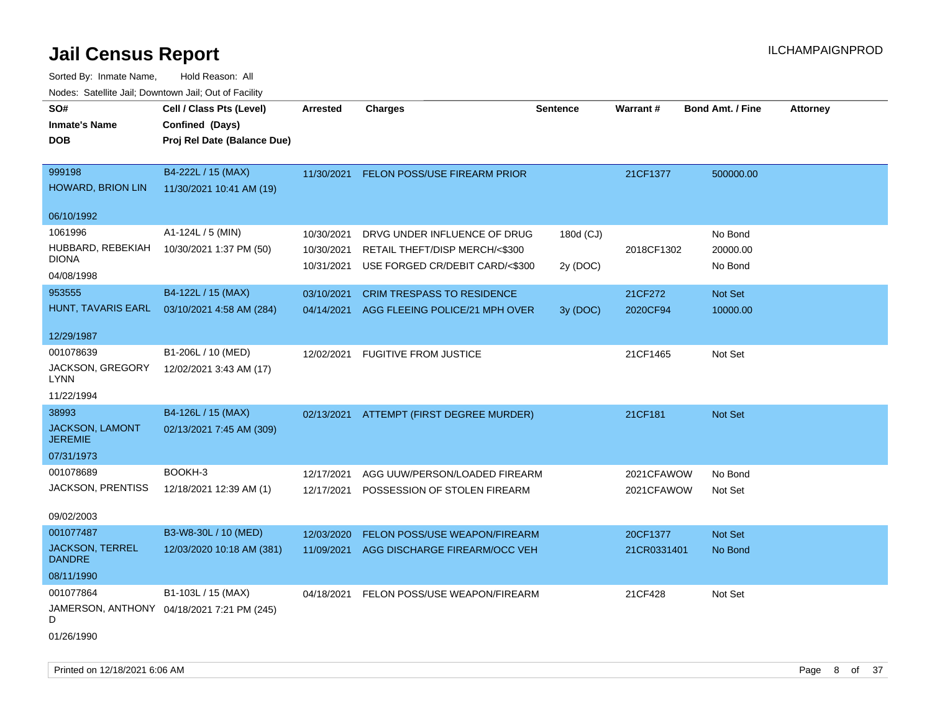| SO#                               | Cell / Class Pts (Level)                   | <b>Arrested</b> | <b>Charges</b>                           | <b>Sentence</b> | Warrant#    | <b>Bond Amt. / Fine</b> | <b>Attorney</b> |
|-----------------------------------|--------------------------------------------|-----------------|------------------------------------------|-----------------|-------------|-------------------------|-----------------|
| <b>Inmate's Name</b>              | Confined (Days)                            |                 |                                          |                 |             |                         |                 |
| <b>DOB</b>                        | Proj Rel Date (Balance Due)                |                 |                                          |                 |             |                         |                 |
|                                   |                                            |                 |                                          |                 |             |                         |                 |
| 999198                            | B4-222L / 15 (MAX)                         | 11/30/2021      | FELON POSS/USE FIREARM PRIOR             |                 | 21CF1377    | 500000.00               |                 |
| <b>HOWARD, BRION LIN</b>          | 11/30/2021 10:41 AM (19)                   |                 |                                          |                 |             |                         |                 |
|                                   |                                            |                 |                                          |                 |             |                         |                 |
| 06/10/1992                        |                                            |                 |                                          |                 |             |                         |                 |
| 1061996                           | A1-124L / 5 (MIN)                          | 10/30/2021      | DRVG UNDER INFLUENCE OF DRUG             | 180d (CJ)       |             | No Bond                 |                 |
| HUBBARD, REBEKIAH                 | 10/30/2021 1:37 PM (50)                    | 10/30/2021      | RETAIL THEFT/DISP MERCH/<\$300           |                 | 2018CF1302  | 20000.00                |                 |
| <b>DIONA</b>                      |                                            | 10/31/2021      | USE FORGED CR/DEBIT CARD/<\$300          | 2y (DOC)        |             | No Bond                 |                 |
| 04/08/1998                        |                                            |                 |                                          |                 |             |                         |                 |
| 953555                            | B4-122L / 15 (MAX)                         | 03/10/2021      | <b>CRIM TRESPASS TO RESIDENCE</b>        |                 | 21CF272     | Not Set                 |                 |
| HUNT, TAVARIS EARL                | 03/10/2021 4:58 AM (284)                   | 04/14/2021      | AGG FLEEING POLICE/21 MPH OVER           | 3y (DOC)        | 2020CF94    | 10000.00                |                 |
|                                   |                                            |                 |                                          |                 |             |                         |                 |
| 12/29/1987                        |                                            |                 |                                          |                 |             |                         |                 |
| 001078639                         | B1-206L / 10 (MED)                         | 12/02/2021      | <b>FUGITIVE FROM JUSTICE</b>             |                 | 21CF1465    | Not Set                 |                 |
| JACKSON, GREGORY<br><b>LYNN</b>   | 12/02/2021 3:43 AM (17)                    |                 |                                          |                 |             |                         |                 |
| 11/22/1994                        |                                            |                 |                                          |                 |             |                         |                 |
|                                   |                                            |                 |                                          |                 |             |                         |                 |
| 38993                             | B4-126L / 15 (MAX)                         |                 | 02/13/2021 ATTEMPT (FIRST DEGREE MURDER) |                 | 21CF181     | Not Set                 |                 |
| JACKSON, LAMONT<br><b>JEREMIE</b> | 02/13/2021 7:45 AM (309)                   |                 |                                          |                 |             |                         |                 |
| 07/31/1973                        |                                            |                 |                                          |                 |             |                         |                 |
| 001078689                         | BOOKH-3                                    | 12/17/2021      | AGG UUW/PERSON/LOADED FIREARM            |                 | 2021CFAWOW  | No Bond                 |                 |
| JACKSON, PRENTISS                 | 12/18/2021 12:39 AM (1)                    |                 |                                          |                 |             |                         |                 |
|                                   |                                            | 12/17/2021      | POSSESSION OF STOLEN FIREARM             |                 | 2021CFAWOW  | Not Set                 |                 |
| 09/02/2003                        |                                            |                 |                                          |                 |             |                         |                 |
| 001077487                         | B3-W8-30L / 10 (MED)                       | 12/03/2020      | FELON POSS/USE WEAPON/FIREARM            |                 | 20CF1377    | <b>Not Set</b>          |                 |
| <b>JACKSON, TERREL</b>            | 12/03/2020 10:18 AM (381)                  | 11/09/2021      | AGG DISCHARGE FIREARM/OCC VEH            |                 | 21CR0331401 | No Bond                 |                 |
| <b>DANDRE</b>                     |                                            |                 |                                          |                 |             |                         |                 |
| 08/11/1990                        |                                            |                 |                                          |                 |             |                         |                 |
| 001077864                         | B1-103L / 15 (MAX)                         | 04/18/2021      | FELON POSS/USE WEAPON/FIREARM            |                 | 21CF428     | Not Set                 |                 |
| D                                 | JAMERSON, ANTHONY 04/18/2021 7:21 PM (245) |                 |                                          |                 |             |                         |                 |
| 01/26/1990                        |                                            |                 |                                          |                 |             |                         |                 |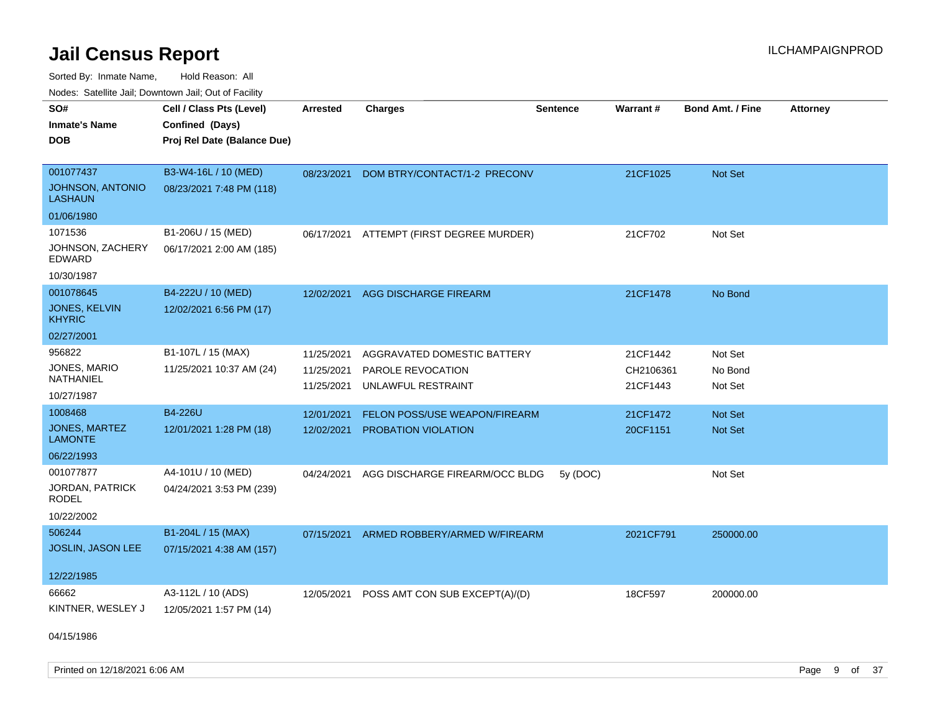Sorted By: Inmate Name, Hold Reason: All Nodes: Satellite Jail; Downtown Jail; Out of Facility

| voues. Salemie Jan, Downtown Jan, Out of Facility |                             |                 |                                          |                 |           |                         |                 |
|---------------------------------------------------|-----------------------------|-----------------|------------------------------------------|-----------------|-----------|-------------------------|-----------------|
| SO#                                               | Cell / Class Pts (Level)    | <b>Arrested</b> | <b>Charges</b>                           | <b>Sentence</b> | Warrant#  | <b>Bond Amt. / Fine</b> | <b>Attorney</b> |
| <b>Inmate's Name</b>                              | Confined (Days)             |                 |                                          |                 |           |                         |                 |
| <b>DOB</b>                                        | Proj Rel Date (Balance Due) |                 |                                          |                 |           |                         |                 |
|                                                   |                             |                 |                                          |                 |           |                         |                 |
| 001077437                                         | B3-W4-16L / 10 (MED)        | 08/23/2021      | DOM BTRY/CONTACT/1-2 PRECONV             |                 | 21CF1025  | <b>Not Set</b>          |                 |
| JOHNSON, ANTONIO<br><b>LASHAUN</b>                | 08/23/2021 7:48 PM (118)    |                 |                                          |                 |           |                         |                 |
| 01/06/1980                                        |                             |                 |                                          |                 |           |                         |                 |
| 1071536                                           | B1-206U / 15 (MED)          |                 | 06/17/2021 ATTEMPT (FIRST DEGREE MURDER) |                 | 21CF702   | Not Set                 |                 |
| JOHNSON, ZACHERY<br>EDWARD                        | 06/17/2021 2:00 AM (185)    |                 |                                          |                 |           |                         |                 |
| 10/30/1987                                        |                             |                 |                                          |                 |           |                         |                 |
| 001078645                                         | B4-222U / 10 (MED)          | 12/02/2021      | <b>AGG DISCHARGE FIREARM</b>             |                 | 21CF1478  | No Bond                 |                 |
| <b>JONES, KELVIN</b><br><b>KHYRIC</b>             | 12/02/2021 6:56 PM (17)     |                 |                                          |                 |           |                         |                 |
| 02/27/2001                                        |                             |                 |                                          |                 |           |                         |                 |
| 956822                                            | B1-107L / 15 (MAX)          | 11/25/2021      | AGGRAVATED DOMESTIC BATTERY              |                 | 21CF1442  | Not Set                 |                 |
| JONES, MARIO                                      | 11/25/2021 10:37 AM (24)    | 11/25/2021      | PAROLE REVOCATION                        |                 | CH2106361 | No Bond                 |                 |
| NATHANIEL                                         |                             | 11/25/2021      | UNLAWFUL RESTRAINT                       |                 | 21CF1443  | Not Set                 |                 |
| 10/27/1987                                        |                             |                 |                                          |                 |           |                         |                 |
| 1008468                                           | B4-226U                     | 12/01/2021      | FELON POSS/USE WEAPON/FIREARM            |                 | 21CF1472  | Not Set                 |                 |
| <b>JONES, MARTEZ</b><br><b>LAMONTE</b>            | 12/01/2021 1:28 PM (18)     | 12/02/2021      | PROBATION VIOLATION                      |                 | 20CF1151  | <b>Not Set</b>          |                 |
| 06/22/1993                                        |                             |                 |                                          |                 |           |                         |                 |
| 001077877                                         | A4-101U / 10 (MED)          | 04/24/2021      | AGG DISCHARGE FIREARM/OCC BLDG           | 5y (DOC)        |           | Not Set                 |                 |
| JORDAN, PATRICK<br><b>RODEL</b>                   | 04/24/2021 3:53 PM (239)    |                 |                                          |                 |           |                         |                 |
| 10/22/2002                                        |                             |                 |                                          |                 |           |                         |                 |
| 506244                                            | B1-204L / 15 (MAX)          | 07/15/2021      | ARMED ROBBERY/ARMED W/FIREARM            |                 | 2021CF791 | 250000.00               |                 |
| JOSLIN, JASON LEE                                 | 07/15/2021 4:38 AM (157)    |                 |                                          |                 |           |                         |                 |
|                                                   |                             |                 |                                          |                 |           |                         |                 |
| 12/22/1985                                        |                             |                 |                                          |                 |           |                         |                 |
| 66662                                             | A3-112L / 10 (ADS)          | 12/05/2021      | POSS AMT CON SUB EXCEPT(A)/(D)           |                 | 18CF597   | 200000.00               |                 |
| KINTNER, WESLEY J                                 | 12/05/2021 1:57 PM (14)     |                 |                                          |                 |           |                         |                 |
|                                                   |                             |                 |                                          |                 |           |                         |                 |

04/15/1986

Printed on 12/18/2021 6:06 AM **Page 9 of 37**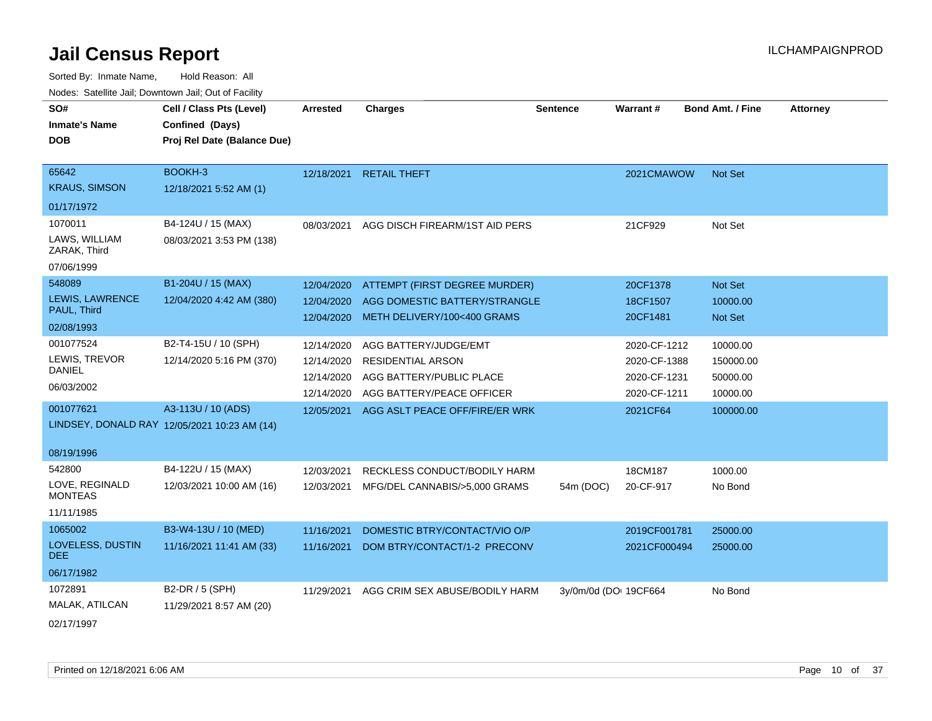| roaco. Catolino cali, Downtown cali, Out of Fability |                                              |            |                                |                       |              |                         |                 |
|------------------------------------------------------|----------------------------------------------|------------|--------------------------------|-----------------------|--------------|-------------------------|-----------------|
| SO#                                                  | Cell / Class Pts (Level)                     | Arrested   | <b>Charges</b>                 | <b>Sentence</b>       | Warrant#     | <b>Bond Amt. / Fine</b> | <b>Attorney</b> |
| <b>Inmate's Name</b>                                 | Confined (Days)                              |            |                                |                       |              |                         |                 |
| <b>DOB</b>                                           | Proj Rel Date (Balance Due)                  |            |                                |                       |              |                         |                 |
|                                                      |                                              |            |                                |                       |              |                         |                 |
| 65642                                                | BOOKH-3                                      | 12/18/2021 | <b>RETAIL THEFT</b>            |                       | 2021CMAWOW   | Not Set                 |                 |
| <b>KRAUS, SIMSON</b>                                 | 12/18/2021 5:52 AM (1)                       |            |                                |                       |              |                         |                 |
| 01/17/1972                                           |                                              |            |                                |                       |              |                         |                 |
| 1070011                                              | B4-124U / 15 (MAX)                           | 08/03/2021 | AGG DISCH FIREARM/1ST AID PERS |                       | 21CF929      | Not Set                 |                 |
| LAWS, WILLIAM<br>ZARAK, Third                        | 08/03/2021 3:53 PM (138)                     |            |                                |                       |              |                         |                 |
| 07/06/1999                                           |                                              |            |                                |                       |              |                         |                 |
| 548089                                               | B1-204U / 15 (MAX)                           | 12/04/2020 | ATTEMPT (FIRST DEGREE MURDER)  |                       | 20CF1378     | Not Set                 |                 |
| LEWIS, LAWRENCE                                      | 12/04/2020 4:42 AM (380)                     | 12/04/2020 | AGG DOMESTIC BATTERY/STRANGLE  |                       | 18CF1507     | 10000.00                |                 |
| PAUL, Third                                          |                                              | 12/04/2020 | METH DELIVERY/100<400 GRAMS    |                       | 20CF1481     | Not Set                 |                 |
| 02/08/1993                                           |                                              |            |                                |                       |              |                         |                 |
| 001077524                                            | B2-T4-15U / 10 (SPH)                         | 12/14/2020 | AGG BATTERY/JUDGE/EMT          |                       | 2020-CF-1212 | 10000.00                |                 |
| LEWIS, TREVOR                                        | 12/14/2020 5:16 PM (370)                     | 12/14/2020 | <b>RESIDENTIAL ARSON</b>       |                       | 2020-CF-1388 | 150000.00               |                 |
| <b>DANIEL</b>                                        |                                              | 12/14/2020 | AGG BATTERY/PUBLIC PLACE       |                       | 2020-CF-1231 | 50000.00                |                 |
| 06/03/2002                                           |                                              | 12/14/2020 | AGG BATTERY/PEACE OFFICER      |                       | 2020-CF-1211 | 10000.00                |                 |
| 001077621                                            | A3-113U / 10 (ADS)                           | 12/05/2021 | AGG ASLT PEACE OFF/FIRE/ER WRK |                       | 2021CF64     | 100000.00               |                 |
|                                                      | LINDSEY, DONALD RAY 12/05/2021 10:23 AM (14) |            |                                |                       |              |                         |                 |
|                                                      |                                              |            |                                |                       |              |                         |                 |
| 08/19/1996                                           |                                              |            |                                |                       |              |                         |                 |
| 542800                                               | B4-122U / 15 (MAX)                           | 12/03/2021 | RECKLESS CONDUCT/BODILY HARM   |                       | 18CM187      | 1000.00                 |                 |
| LOVE, REGINALD<br><b>MONTEAS</b>                     | 12/03/2021 10:00 AM (16)                     | 12/03/2021 | MFG/DEL CANNABIS/>5,000 GRAMS  | 54m (DOC)             | 20-CF-917    | No Bond                 |                 |
| 11/11/1985                                           |                                              |            |                                |                       |              |                         |                 |
| 1065002                                              | B3-W4-13U / 10 (MED)                         | 11/16/2021 | DOMESTIC BTRY/CONTACT/VIO O/P  |                       | 2019CF001781 | 25000.00                |                 |
| LOVELESS, DUSTIN<br>DEE.                             | 11/16/2021 11:41 AM (33)                     | 11/16/2021 | DOM BTRY/CONTACT/1-2 PRECONV   |                       | 2021CF000494 | 25000.00                |                 |
| 06/17/1982                                           |                                              |            |                                |                       |              |                         |                 |
| 1072891                                              | B2-DR / 5 (SPH)                              | 11/29/2021 | AGG CRIM SEX ABUSE/BODILY HARM | 3y/0m/0d (DO: 19CF664 |              | No Bond                 |                 |
| MALAK, ATILCAN                                       | 11/29/2021 8:57 AM (20)                      |            |                                |                       |              |                         |                 |
| 02/17/1997                                           |                                              |            |                                |                       |              |                         |                 |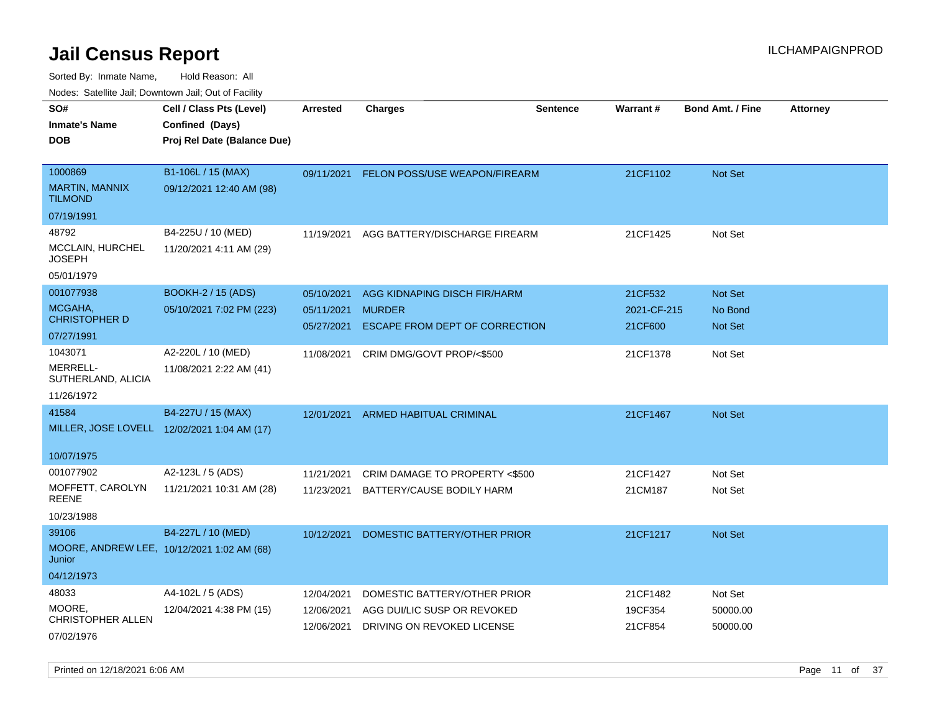| rouco. Calcinic Jan, Downtown Jan, Out of Facility |                                                                            |                 |                                          |                 |                 |                         |                 |
|----------------------------------------------------|----------------------------------------------------------------------------|-----------------|------------------------------------------|-----------------|-----------------|-------------------------|-----------------|
| SO#<br>Inmate's Name<br>DOB                        | Cell / Class Pts (Level)<br>Confined (Days)<br>Proj Rel Date (Balance Due) | <b>Arrested</b> | <b>Charges</b>                           | <b>Sentence</b> | <b>Warrant#</b> | <b>Bond Amt. / Fine</b> | <b>Attorney</b> |
|                                                    |                                                                            |                 |                                          |                 |                 |                         |                 |
| 1000869                                            | B1-106L / 15 (MAX)                                                         |                 | 09/11/2021 FELON POSS/USE WEAPON/FIREARM |                 | 21CF1102        | <b>Not Set</b>          |                 |
| <b>MARTIN, MANNIX</b><br>TILMOND                   | 09/12/2021 12:40 AM (98)                                                   |                 |                                          |                 |                 |                         |                 |
| 07/19/1991                                         |                                                                            |                 |                                          |                 |                 |                         |                 |
| 48792                                              | B4-225U / 10 (MED)                                                         | 11/19/2021      | AGG BATTERY/DISCHARGE FIREARM            |                 | 21CF1425        | Not Set                 |                 |
| MCCLAIN, HURCHEL<br>JOSEPH                         | 11/20/2021 4:11 AM (29)                                                    |                 |                                          |                 |                 |                         |                 |
| 05/01/1979                                         |                                                                            |                 |                                          |                 |                 |                         |                 |
| 001077938                                          | <b>BOOKH-2 / 15 (ADS)</b>                                                  | 05/10/2021      | AGG KIDNAPING DISCH FIR/HARM             |                 | 21CF532         | Not Set                 |                 |
| MCGAHA,                                            | 05/10/2021 7:02 PM (223)                                                   | 05/11/2021      | <b>MURDER</b>                            |                 | 2021-CF-215     | No Bond                 |                 |
| CHRISTOPHER D                                      |                                                                            | 05/27/2021      | ESCAPE FROM DEPT OF CORRECTION           |                 | 21CF600         | <b>Not Set</b>          |                 |
| 07/27/1991                                         |                                                                            |                 |                                          |                 |                 |                         |                 |
| 1043071                                            | A2-220L / 10 (MED)                                                         | 11/08/2021      | CRIM DMG/GOVT PROP/<\$500                |                 | 21CF1378        | Not Set                 |                 |
| MERRELL-<br>SUTHERLAND, ALICIA                     | 11/08/2021 2:22 AM (41)                                                    |                 |                                          |                 |                 |                         |                 |
| 11/26/1972                                         |                                                                            |                 |                                          |                 |                 |                         |                 |
| 41584                                              | B4-227U / 15 (MAX)                                                         | 12/01/2021      | ARMED HABITUAL CRIMINAL                  |                 | 21CF1467        | <b>Not Set</b>          |                 |
|                                                    | MILLER, JOSE LOVELL 12/02/2021 1:04 AM (17)                                |                 |                                          |                 |                 |                         |                 |
| 10/07/1975                                         |                                                                            |                 |                                          |                 |                 |                         |                 |
| 001077902                                          | A2-123L / 5 (ADS)                                                          | 11/21/2021      | CRIM DAMAGE TO PROPERTY <\$500           |                 | 21CF1427        | Not Set                 |                 |
| MOFFETT, CAROLYN<br>REENE                          | 11/21/2021 10:31 AM (28)                                                   | 11/23/2021      | BATTERY/CAUSE BODILY HARM                |                 | 21CM187         | Not Set                 |                 |
| 10/23/1988                                         |                                                                            |                 |                                          |                 |                 |                         |                 |
| 39106                                              | B4-227L / 10 (MED)                                                         | 10/12/2021      | DOMESTIC BATTERY/OTHER PRIOR             |                 | 21CF1217        | <b>Not Set</b>          |                 |
| Junior                                             | MOORE, ANDREW LEE, 10/12/2021 1:02 AM (68)                                 |                 |                                          |                 |                 |                         |                 |
| 04/12/1973                                         |                                                                            |                 |                                          |                 |                 |                         |                 |
| 48033                                              | A4-102L / 5 (ADS)                                                          | 12/04/2021      | DOMESTIC BATTERY/OTHER PRIOR             |                 | 21CF1482        | Not Set                 |                 |
| MOORE.                                             | 12/04/2021 4:38 PM (15)                                                    | 12/06/2021      | AGG DUI/LIC SUSP OR REVOKED              |                 | 19CF354         | 50000.00                |                 |
| CHRISTOPHER ALLEN                                  |                                                                            | 12/06/2021      | DRIVING ON REVOKED LICENSE               |                 | 21CF854         | 50000.00                |                 |
| 07/02/1976                                         |                                                                            |                 |                                          |                 |                 |                         |                 |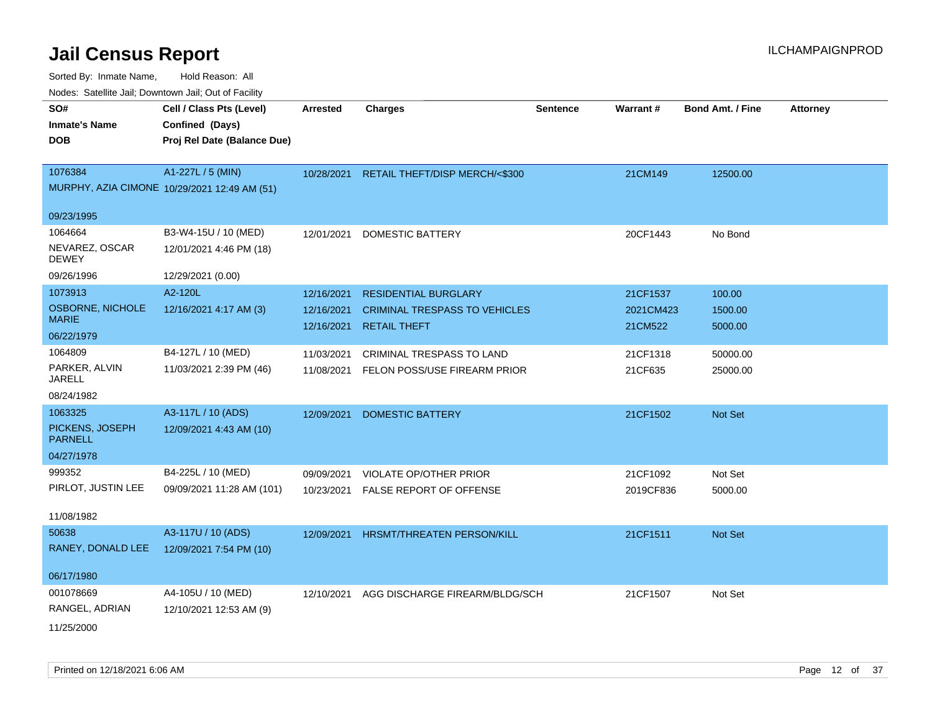| rouce. Calcinic Jan, Downtown Jan, Out or Facility |                                              |                 |                                      |                 |                 |                         |                 |
|----------------------------------------------------|----------------------------------------------|-----------------|--------------------------------------|-----------------|-----------------|-------------------------|-----------------|
| SO#                                                | Cell / Class Pts (Level)                     | <b>Arrested</b> | <b>Charges</b>                       | <b>Sentence</b> | <b>Warrant#</b> | <b>Bond Amt. / Fine</b> | <b>Attorney</b> |
| <b>Inmate's Name</b>                               | Confined (Days)                              |                 |                                      |                 |                 |                         |                 |
| <b>DOB</b>                                         | Proj Rel Date (Balance Due)                  |                 |                                      |                 |                 |                         |                 |
|                                                    |                                              |                 |                                      |                 |                 |                         |                 |
| 1076384                                            | A1-227L / 5 (MIN)                            | 10/28/2021      | RETAIL THEFT/DISP MERCH/<\$300       |                 | 21CM149         | 12500.00                |                 |
|                                                    | MURPHY, AZIA CIMONE 10/29/2021 12:49 AM (51) |                 |                                      |                 |                 |                         |                 |
| 09/23/1995                                         |                                              |                 |                                      |                 |                 |                         |                 |
| 1064664                                            | B3-W4-15U / 10 (MED)                         | 12/01/2021      | <b>DOMESTIC BATTERY</b>              |                 | 20CF1443        | No Bond                 |                 |
| NEVAREZ, OSCAR<br><b>DEWEY</b>                     | 12/01/2021 4:46 PM (18)                      |                 |                                      |                 |                 |                         |                 |
| 09/26/1996                                         | 12/29/2021 (0.00)                            |                 |                                      |                 |                 |                         |                 |
| 1073913                                            | A2-120L                                      | 12/16/2021      | <b>RESIDENTIAL BURGLARY</b>          |                 | 21CF1537        | 100.00                  |                 |
| OSBORNE, NICHOLE<br><b>MARIE</b>                   | 12/16/2021 4:17 AM (3)                       | 12/16/2021      | <b>CRIMINAL TRESPASS TO VEHICLES</b> |                 | 2021CM423       | 1500.00                 |                 |
| 06/22/1979                                         |                                              | 12/16/2021      | <b>RETAIL THEFT</b>                  |                 | 21CM522         | 5000.00                 |                 |
| 1064809                                            | B4-127L / 10 (MED)                           | 11/03/2021      | CRIMINAL TRESPASS TO LAND            |                 | 21CF1318        | 50000.00                |                 |
| PARKER, ALVIN<br><b>JARELL</b>                     | 11/03/2021 2:39 PM (46)                      | 11/08/2021      | FELON POSS/USE FIREARM PRIOR         |                 | 21CF635         | 25000.00                |                 |
| 08/24/1982                                         |                                              |                 |                                      |                 |                 |                         |                 |
| 1063325                                            | A3-117L / 10 (ADS)                           | 12/09/2021      | <b>DOMESTIC BATTERY</b>              |                 | 21CF1502        | Not Set                 |                 |
| PICKENS, JOSEPH<br><b>PARNELL</b>                  | 12/09/2021 4:43 AM (10)                      |                 |                                      |                 |                 |                         |                 |
| 04/27/1978                                         |                                              |                 |                                      |                 |                 |                         |                 |
| 999352                                             | B4-225L / 10 (MED)                           | 09/09/2021      | VIOLATE OP/OTHER PRIOR               |                 | 21CF1092        | Not Set                 |                 |
| PIRLOT, JUSTIN LEE                                 | 09/09/2021 11:28 AM (101)                    | 10/23/2021      | FALSE REPORT OF OFFENSE              |                 | 2019CF836       | 5000.00                 |                 |
| 11/08/1982                                         |                                              |                 |                                      |                 |                 |                         |                 |
| 50638                                              | A3-117U / 10 (ADS)                           |                 |                                      |                 |                 |                         |                 |
| RANEY, DONALD LEE                                  |                                              | 12/09/2021      | HRSMT/THREATEN PERSON/KILL           |                 | 21CF1511        | Not Set                 |                 |
|                                                    | 12/09/2021 7:54 PM (10)                      |                 |                                      |                 |                 |                         |                 |
| 06/17/1980                                         |                                              |                 |                                      |                 |                 |                         |                 |
| 001078669                                          | A4-105U / 10 (MED)                           | 12/10/2021      | AGG DISCHARGE FIREARM/BLDG/SCH       |                 | 21CF1507        | Not Set                 |                 |
| RANGEL, ADRIAN                                     | 12/10/2021 12:53 AM (9)                      |                 |                                      |                 |                 |                         |                 |
| 11/25/2000                                         |                                              |                 |                                      |                 |                 |                         |                 |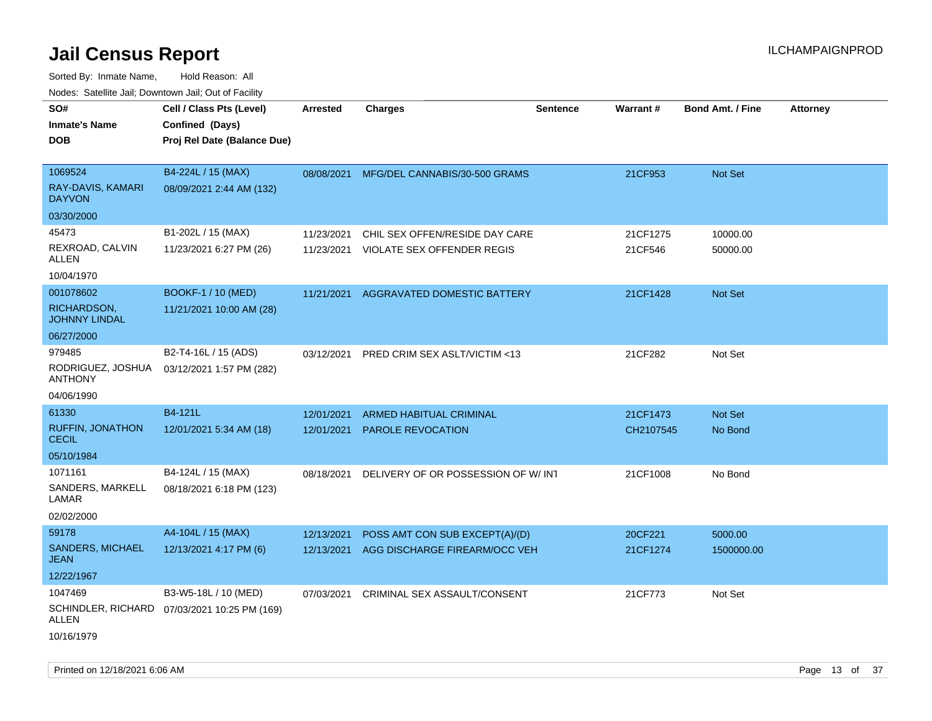Sorted By: Inmate Name, Hold Reason: All Nodes: Satellite Jail; Downtown Jail; Out of Facility

| noaco. Catomto can, Domntonn can, Cat or I domt<br>SO#<br><b>Inmate's Name</b><br><b>DOB</b> | Cell / Class Pts (Level)<br>Confined (Days)<br>Proj Rel Date (Balance Due) | Arrested                 | <b>Charges</b>                                               | <b>Sentence</b> | Warrant#            | <b>Bond Amt. / Fine</b> | <b>Attorney</b> |
|----------------------------------------------------------------------------------------------|----------------------------------------------------------------------------|--------------------------|--------------------------------------------------------------|-----------------|---------------------|-------------------------|-----------------|
| 1069524<br>RAY-DAVIS, KAMARI<br><b>DAYVON</b>                                                | B4-224L / 15 (MAX)<br>08/09/2021 2:44 AM (132)                             |                          | 08/08/2021 MFG/DEL CANNABIS/30-500 GRAMS                     |                 | 21CF953             | Not Set                 |                 |
| 03/30/2000                                                                                   |                                                                            |                          |                                                              |                 |                     |                         |                 |
| 45473<br>REXROAD, CALVIN<br>ALLEN<br>10/04/1970                                              | B1-202L / 15 (MAX)<br>11/23/2021 6:27 PM (26)                              | 11/23/2021<br>11/23/2021 | CHIL SEX OFFEN/RESIDE DAY CARE<br>VIOLATE SEX OFFENDER REGIS |                 | 21CF1275<br>21CF546 | 10000.00<br>50000.00    |                 |
| 001078602<br>RICHARDSON,<br><b>JOHNNY LINDAL</b>                                             | <b>BOOKF-1 / 10 (MED)</b><br>11/21/2021 10:00 AM (28)                      | 11/21/2021               | <b>AGGRAVATED DOMESTIC BATTERY</b>                           |                 | 21CF1428            | <b>Not Set</b>          |                 |
| 06/27/2000                                                                                   |                                                                            |                          |                                                              |                 |                     |                         |                 |
| 979485<br>RODRIGUEZ, JOSHUA<br><b>ANTHONY</b>                                                | B2-T4-16L / 15 (ADS)<br>03/12/2021 1:57 PM (282)                           | 03/12/2021               | PRED CRIM SEX ASLT/VICTIM <13                                |                 | 21CF282             | Not Set                 |                 |
| 04/06/1990                                                                                   |                                                                            |                          |                                                              |                 |                     |                         |                 |
| 61330                                                                                        | B4-121L                                                                    | 12/01/2021               | <b>ARMED HABITUAL CRIMINAL</b>                               |                 | 21CF1473            | Not Set                 |                 |
| <b>RUFFIN, JONATHON</b><br><b>CECIL</b>                                                      | 12/01/2021 5:34 AM (18)                                                    | 12/01/2021               | <b>PAROLE REVOCATION</b>                                     |                 | CH2107545           | No Bond                 |                 |
| 05/10/1984                                                                                   |                                                                            |                          |                                                              |                 |                     |                         |                 |
| 1071161                                                                                      | B4-124L / 15 (MAX)                                                         | 08/18/2021               | DELIVERY OF OR POSSESSION OF W/INT                           |                 | 21CF1008            | No Bond                 |                 |
| SANDERS, MARKELL<br>LAMAR                                                                    | 08/18/2021 6:18 PM (123)                                                   |                          |                                                              |                 |                     |                         |                 |
| 02/02/2000                                                                                   |                                                                            |                          |                                                              |                 |                     |                         |                 |
| 59178                                                                                        | A4-104L / 15 (MAX)                                                         | 12/13/2021               | POSS AMT CON SUB EXCEPT(A)/(D)                               |                 | 20CF221             | 5000.00                 |                 |
| SANDERS, MICHAEL<br>JEAN                                                                     | 12/13/2021 4:17 PM (6)                                                     | 12/13/2021               | AGG DISCHARGE FIREARM/OCC VEH                                |                 | 21CF1274            | 1500000.00              |                 |
| 12/22/1967                                                                                   |                                                                            |                          |                                                              |                 |                     |                         |                 |
| 1047469                                                                                      | B3-W5-18L / 10 (MED)                                                       | 07/03/2021               | CRIMINAL SEX ASSAULT/CONSENT                                 |                 | 21CF773             | Not Set                 |                 |
| ALLEN                                                                                        | SCHINDLER, RICHARD 07/03/2021 10:25 PM (169)                               |                          |                                                              |                 |                     |                         |                 |
| 10/16/1979                                                                                   |                                                                            |                          |                                                              |                 |                     |                         |                 |

Printed on  $12/18/2021$  6:06 AM Page 13 of 37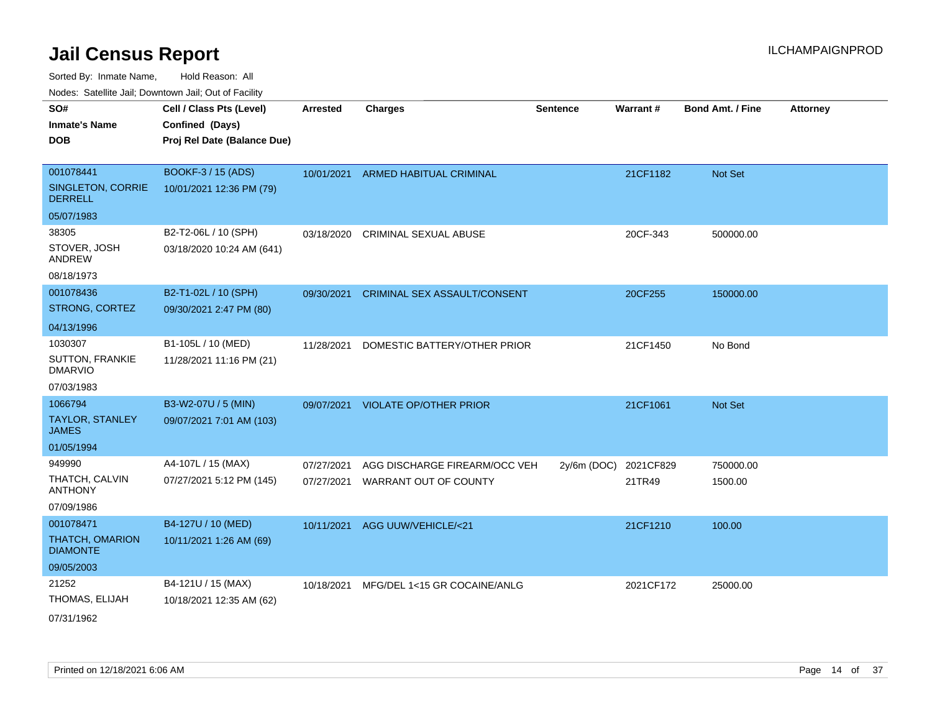Sorted By: Inmate Name, Hold Reason: All Nodes: Satellite Jail; Downtown Jail; Out of Facility

| <b>Houce.</b> Catellite ball, Downtown ball, Out of Fability |                                                                            |                 |                                     |                 |           |                         |                 |
|--------------------------------------------------------------|----------------------------------------------------------------------------|-----------------|-------------------------------------|-----------------|-----------|-------------------------|-----------------|
| SO#<br><b>Inmate's Name</b><br><b>DOB</b>                    | Cell / Class Pts (Level)<br>Confined (Days)<br>Proj Rel Date (Balance Due) | <b>Arrested</b> | <b>Charges</b>                      | <b>Sentence</b> | Warrant#  | <b>Bond Amt. / Fine</b> | <b>Attorney</b> |
|                                                              |                                                                            |                 |                                     |                 |           |                         |                 |
| 001078441                                                    | BOOKF-3 / 15 (ADS)                                                         | 10/01/2021      | ARMED HABITUAL CRIMINAL             |                 | 21CF1182  | <b>Not Set</b>          |                 |
| SINGLETON, CORRIE<br><b>DERRELL</b>                          | 10/01/2021 12:36 PM (79)                                                   |                 |                                     |                 |           |                         |                 |
| 05/07/1983                                                   |                                                                            |                 |                                     |                 |           |                         |                 |
| 38305                                                        | B2-T2-06L / 10 (SPH)                                                       | 03/18/2020      | <b>CRIMINAL SEXUAL ABUSE</b>        |                 | 20CF-343  | 500000.00               |                 |
| STOVER, JOSH<br><b>ANDREW</b>                                | 03/18/2020 10:24 AM (641)                                                  |                 |                                     |                 |           |                         |                 |
| 08/18/1973                                                   |                                                                            |                 |                                     |                 |           |                         |                 |
| 001078436                                                    | B2-T1-02L / 10 (SPH)                                                       | 09/30/2021      | <b>CRIMINAL SEX ASSAULT/CONSENT</b> |                 | 20CF255   | 150000.00               |                 |
| STRONG, CORTEZ                                               | 09/30/2021 2:47 PM (80)                                                    |                 |                                     |                 |           |                         |                 |
| 04/13/1996                                                   |                                                                            |                 |                                     |                 |           |                         |                 |
| 1030307                                                      | B1-105L / 10 (MED)                                                         | 11/28/2021      | DOMESTIC BATTERY/OTHER PRIOR        |                 | 21CF1450  | No Bond                 |                 |
| <b>SUTTON, FRANKIE</b><br><b>DMARVIO</b>                     | 11/28/2021 11:16 PM (21)                                                   |                 |                                     |                 |           |                         |                 |
| 07/03/1983                                                   |                                                                            |                 |                                     |                 |           |                         |                 |
| 1066794                                                      | B3-W2-07U / 5 (MIN)                                                        | 09/07/2021      | <b>VIOLATE OP/OTHER PRIOR</b>       |                 | 21CF1061  | <b>Not Set</b>          |                 |
| <b>TAYLOR, STANLEY</b><br><b>JAMES</b>                       | 09/07/2021 7:01 AM (103)                                                   |                 |                                     |                 |           |                         |                 |
| 01/05/1994                                                   |                                                                            |                 |                                     |                 |           |                         |                 |
| 949990                                                       | A4-107L / 15 (MAX)                                                         | 07/27/2021      | AGG DISCHARGE FIREARM/OCC VEH       | $2y/6m$ (DOC)   | 2021CF829 | 750000.00               |                 |
| THATCH, CALVIN<br><b>ANTHONY</b>                             | 07/27/2021 5:12 PM (145)                                                   | 07/27/2021      | WARRANT OUT OF COUNTY               |                 | 21TR49    | 1500.00                 |                 |
| 07/09/1986                                                   |                                                                            |                 |                                     |                 |           |                         |                 |
| 001078471                                                    | B4-127U / 10 (MED)                                                         | 10/11/2021      | AGG UUW/VEHICLE/<21                 |                 | 21CF1210  | 100.00                  |                 |
| THATCH, OMARION<br><b>DIAMONTE</b>                           | 10/11/2021 1:26 AM (69)                                                    |                 |                                     |                 |           |                         |                 |
| 09/05/2003                                                   |                                                                            |                 |                                     |                 |           |                         |                 |
| 21252                                                        | B4-121U / 15 (MAX)                                                         | 10/18/2021      | MFG/DEL 1<15 GR COCAINE/ANLG        |                 | 2021CF172 | 25000.00                |                 |
| THOMAS, ELIJAH                                               | 10/18/2021 12:35 AM (62)                                                   |                 |                                     |                 |           |                         |                 |
|                                                              |                                                                            |                 |                                     |                 |           |                         |                 |

07/31/1962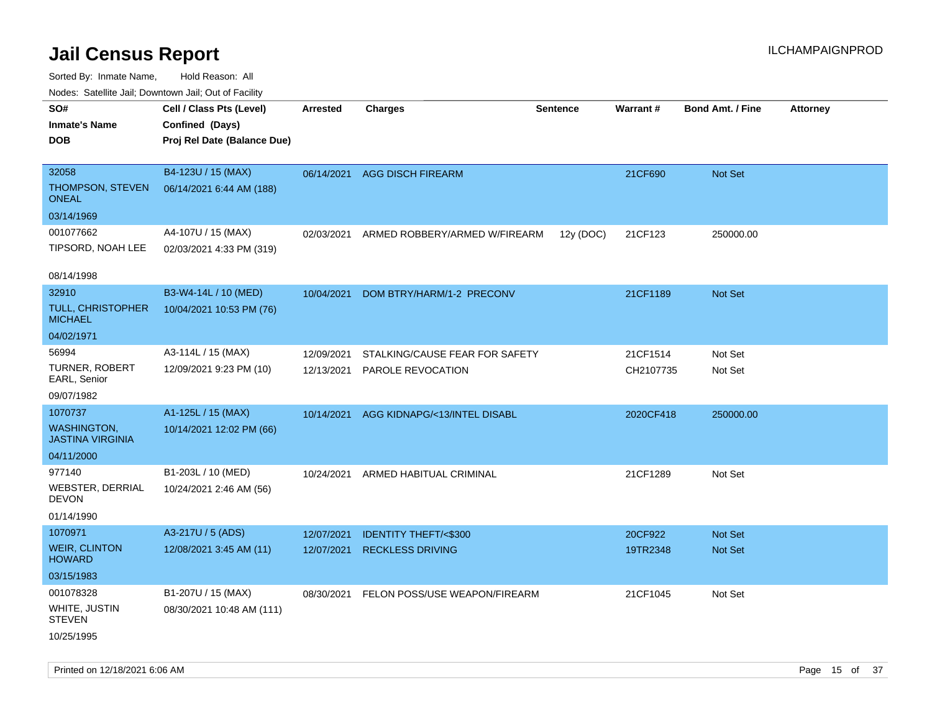| routs. Saltille Jali, Downlown Jali, Out of Facility |                             |            |                                 |                 |                 |                         |                 |
|------------------------------------------------------|-----------------------------|------------|---------------------------------|-----------------|-----------------|-------------------------|-----------------|
| SO#                                                  | Cell / Class Pts (Level)    | Arrested   | <b>Charges</b>                  | <b>Sentence</b> | <b>Warrant#</b> | <b>Bond Amt. / Fine</b> | <b>Attorney</b> |
| <b>Inmate's Name</b>                                 | Confined (Days)             |            |                                 |                 |                 |                         |                 |
| <b>DOB</b>                                           | Proj Rel Date (Balance Due) |            |                                 |                 |                 |                         |                 |
|                                                      |                             |            |                                 |                 |                 |                         |                 |
| 32058                                                | B4-123U / 15 (MAX)          | 06/14/2021 | <b>AGG DISCH FIREARM</b>        |                 | 21CF690         | Not Set                 |                 |
| THOMPSON, STEVEN<br><b>ONEAL</b>                     | 06/14/2021 6:44 AM (188)    |            |                                 |                 |                 |                         |                 |
| 03/14/1969                                           |                             |            |                                 |                 |                 |                         |                 |
| 001077662                                            | A4-107U / 15 (MAX)          | 02/03/2021 | ARMED ROBBERY/ARMED W/FIREARM   | 12y (DOC)       | 21CF123         | 250000.00               |                 |
| TIPSORD, NOAH LEE                                    | 02/03/2021 4:33 PM (319)    |            |                                 |                 |                 |                         |                 |
|                                                      |                             |            |                                 |                 |                 |                         |                 |
| 08/14/1998                                           |                             |            |                                 |                 |                 |                         |                 |
| 32910                                                | B3-W4-14L / 10 (MED)        | 10/04/2021 | DOM BTRY/HARM/1-2 PRECONV       |                 | 21CF1189        | Not Set                 |                 |
| TULL, CHRISTOPHER<br><b>MICHAEL</b>                  | 10/04/2021 10:53 PM (76)    |            |                                 |                 |                 |                         |                 |
| 04/02/1971                                           |                             |            |                                 |                 |                 |                         |                 |
| 56994                                                | A3-114L / 15 (MAX)          | 12/09/2021 | STALKING/CAUSE FEAR FOR SAFETY  |                 | 21CF1514        | Not Set                 |                 |
| <b>TURNER, ROBERT</b><br>EARL, Senior                | 12/09/2021 9:23 PM (10)     | 12/13/2021 | <b>PAROLE REVOCATION</b>        |                 | CH2107735       | Not Set                 |                 |
| 09/07/1982                                           |                             |            |                                 |                 |                 |                         |                 |
| 1070737                                              | A1-125L / 15 (MAX)          | 10/14/2021 | AGG KIDNAPG/<13/INTEL DISABL    |                 | 2020CF418       | 250000.00               |                 |
| <b>WASHINGTON,</b><br><b>JASTINA VIRGINIA</b>        | 10/14/2021 12:02 PM (66)    |            |                                 |                 |                 |                         |                 |
| 04/11/2000                                           |                             |            |                                 |                 |                 |                         |                 |
| 977140                                               | B1-203L / 10 (MED)          | 10/24/2021 | ARMED HABITUAL CRIMINAL         |                 | 21CF1289        | Not Set                 |                 |
| <b>WEBSTER, DERRIAL</b><br><b>DEVON</b>              | 10/24/2021 2:46 AM (56)     |            |                                 |                 |                 |                         |                 |
| 01/14/1990                                           |                             |            |                                 |                 |                 |                         |                 |
| 1070971                                              | A3-217U / 5 (ADS)           | 12/07/2021 | <b>IDENTITY THEFT/&lt;\$300</b> |                 | 20CF922         | Not Set                 |                 |
| <b>WEIR, CLINTON</b><br><b>HOWARD</b>                | 12/08/2021 3:45 AM (11)     | 12/07/2021 | <b>RECKLESS DRIVING</b>         |                 | 19TR2348        | Not Set                 |                 |
| 03/15/1983                                           |                             |            |                                 |                 |                 |                         |                 |
| 001078328                                            | B1-207U / 15 (MAX)          | 08/30/2021 | FELON POSS/USE WEAPON/FIREARM   |                 | 21CF1045        | Not Set                 |                 |
| WHITE, JUSTIN<br><b>STEVEN</b>                       | 08/30/2021 10:48 AM (111)   |            |                                 |                 |                 |                         |                 |
| 10/25/1995                                           |                             |            |                                 |                 |                 |                         |                 |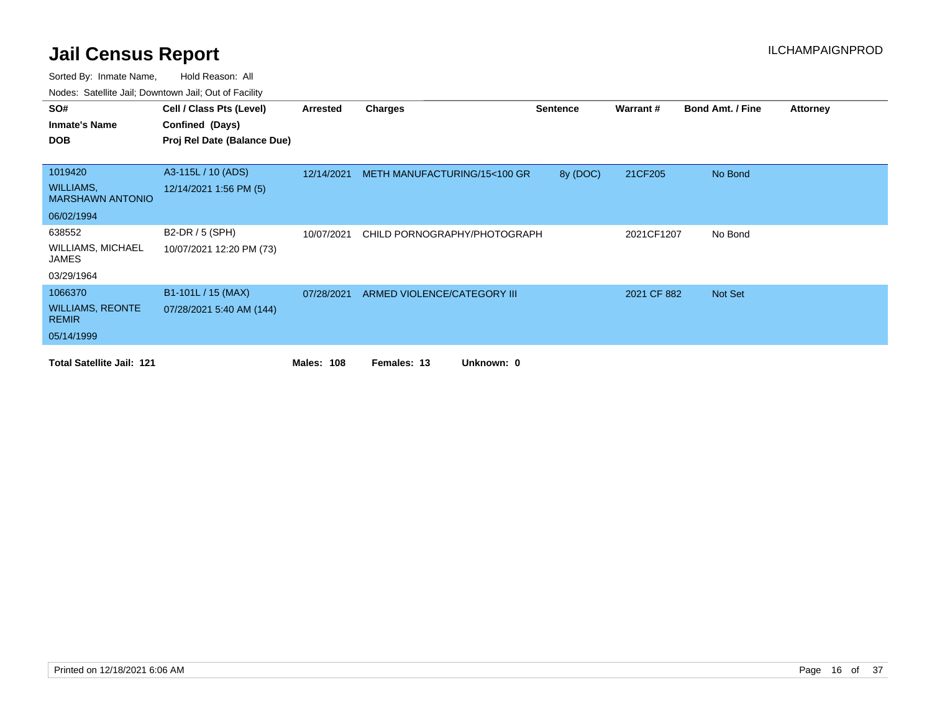| SO#                                         | Cell / Class Pts (Level)    | Arrested          | Charges                      | <b>Sentence</b> | Warrant#    | <b>Bond Amt. / Fine</b> | <b>Attorney</b> |
|---------------------------------------------|-----------------------------|-------------------|------------------------------|-----------------|-------------|-------------------------|-----------------|
| <b>Inmate's Name</b>                        | Confined (Days)             |                   |                              |                 |             |                         |                 |
| <b>DOB</b>                                  | Proj Rel Date (Balance Due) |                   |                              |                 |             |                         |                 |
|                                             |                             |                   |                              |                 |             |                         |                 |
| 1019420                                     | A3-115L / 10 (ADS)          | 12/14/2021        | METH MANUFACTURING/15<100 GR | 8y (DOC)        | 21CF205     | No Bond                 |                 |
| <b>WILLIAMS,</b><br><b>MARSHAWN ANTONIO</b> | 12/14/2021 1:56 PM (5)      |                   |                              |                 |             |                         |                 |
| 06/02/1994                                  |                             |                   |                              |                 |             |                         |                 |
| 638552                                      | B2-DR / 5 (SPH)             | 10/07/2021        | CHILD PORNOGRAPHY/PHOTOGRAPH |                 | 2021CF1207  | No Bond                 |                 |
| <b>WILLIAMS, MICHAEL</b><br>JAMES           | 10/07/2021 12:20 PM (73)    |                   |                              |                 |             |                         |                 |
| 03/29/1964                                  |                             |                   |                              |                 |             |                         |                 |
| 1066370                                     | B1-101L / 15 (MAX)          | 07/28/2021        | ARMED VIOLENCE/CATEGORY III  |                 | 2021 CF 882 | Not Set                 |                 |
| <b>WILLIAMS, REONTE</b><br><b>REMIR</b>     | 07/28/2021 5:40 AM (144)    |                   |                              |                 |             |                         |                 |
| 05/14/1999                                  |                             |                   |                              |                 |             |                         |                 |
| <b>Total Satellite Jail: 121</b>            |                             | <b>Males: 108</b> | Unknown: 0<br>Females: 13    |                 |             |                         |                 |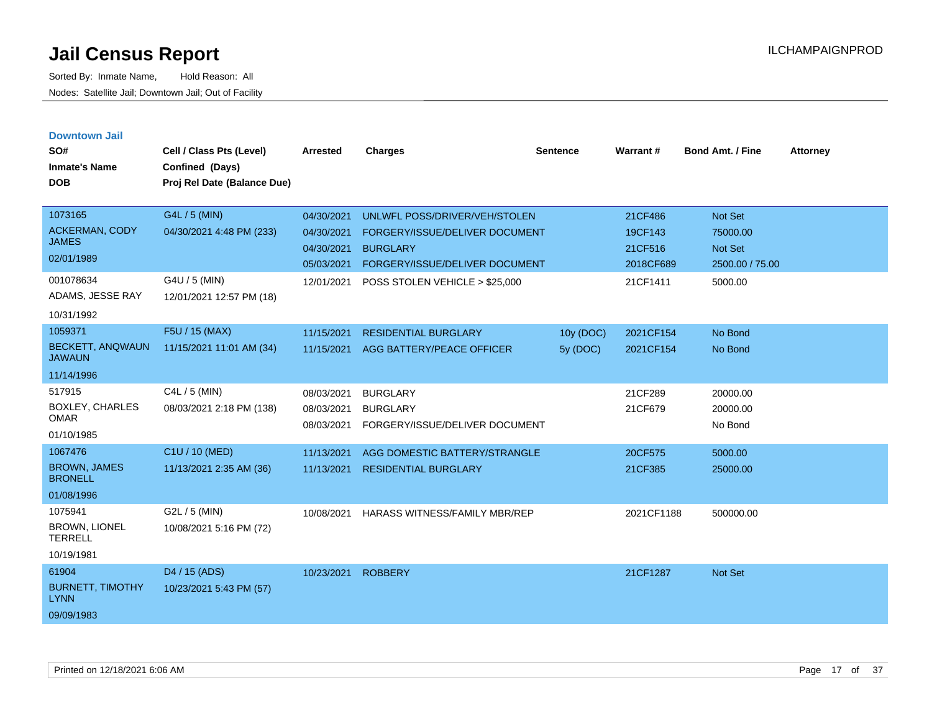| <b>Downtown Jail</b><br>SO#<br><b>Inmate's Name</b><br><b>DOB</b> | Cell / Class Pts (Level)<br>Confined (Days)<br>Proj Rel Date (Balance Due) | <b>Arrested</b>                        | <b>Charges</b>                                                       | <b>Sentence</b> | Warrant#             | <b>Bond Amt. / Fine</b>           | <b>Attorney</b> |
|-------------------------------------------------------------------|----------------------------------------------------------------------------|----------------------------------------|----------------------------------------------------------------------|-----------------|----------------------|-----------------------------------|-----------------|
| 1073165                                                           | G4L / 5 (MIN)                                                              | 04/30/2021                             | UNLWFL POSS/DRIVER/VEH/STOLEN                                        |                 | 21CF486              | <b>Not Set</b>                    |                 |
| <b>ACKERMAN, CODY</b><br><b>JAMES</b>                             | 04/30/2021 4:48 PM (233)                                                   | 04/30/2021                             | FORGERY/ISSUE/DELIVER DOCUMENT                                       |                 | 19CF143              | 75000.00                          |                 |
| 02/01/1989                                                        |                                                                            | 04/30/2021<br>05/03/2021               | <b>BURGLARY</b><br>FORGERY/ISSUE/DELIVER DOCUMENT                    |                 | 21CF516<br>2018CF689 | <b>Not Set</b><br>2500.00 / 75.00 |                 |
| 001078634<br>ADAMS, JESSE RAY<br>10/31/1992                       | G4U / 5 (MIN)<br>12/01/2021 12:57 PM (18)                                  | 12/01/2021                             | POSS STOLEN VEHICLE > \$25,000                                       |                 | 21CF1411             | 5000.00                           |                 |
| 1059371                                                           | F5U / 15 (MAX)                                                             | 11/15/2021                             | <b>RESIDENTIAL BURGLARY</b>                                          | 10y (DOC)       | 2021CF154            | No Bond                           |                 |
| <b>BECKETT, ANQWAUN</b><br><b>JAWAUN</b>                          | 11/15/2021 11:01 AM (34)                                                   | 11/15/2021                             | AGG BATTERY/PEACE OFFICER                                            | 5y (DOC)        | 2021CF154            | No Bond                           |                 |
| 11/14/1996                                                        |                                                                            |                                        |                                                                      |                 |                      |                                   |                 |
| 517915<br><b>BOXLEY, CHARLES</b><br><b>OMAR</b><br>01/10/1985     | C4L / 5 (MIN)<br>08/03/2021 2:18 PM (138)                                  | 08/03/2021<br>08/03/2021<br>08/03/2021 | <b>BURGLARY</b><br><b>BURGLARY</b><br>FORGERY/ISSUE/DELIVER DOCUMENT |                 | 21CF289<br>21CF679   | 20000.00<br>20000.00<br>No Bond   |                 |
| 1067476                                                           | C1U / 10 (MED)                                                             | 11/13/2021                             | AGG DOMESTIC BATTERY/STRANGLE                                        |                 | 20CF575              | 5000.00                           |                 |
| <b>BROWN, JAMES</b><br><b>BRONELL</b>                             | 11/13/2021 2:35 AM (36)                                                    | 11/13/2021                             | <b>RESIDENTIAL BURGLARY</b>                                          |                 | 21CF385              | 25000.00                          |                 |
| 01/08/1996                                                        |                                                                            |                                        |                                                                      |                 |                      |                                   |                 |
| 1075941<br><b>BROWN, LIONEL</b><br><b>TERRELL</b>                 | G2L / 5 (MIN)<br>10/08/2021 5:16 PM (72)                                   | 10/08/2021                             | HARASS WITNESS/FAMILY MBR/REP                                        |                 | 2021CF1188           | 500000.00                         |                 |
| 10/19/1981                                                        |                                                                            |                                        |                                                                      |                 |                      |                                   |                 |
| 61904<br><b>BURNETT, TIMOTHY</b><br><b>LYNN</b><br>09/09/1983     | D4 / 15 (ADS)<br>10/23/2021 5:43 PM (57)                                   | 10/23/2021                             | <b>ROBBERY</b>                                                       |                 | 21CF1287             | <b>Not Set</b>                    |                 |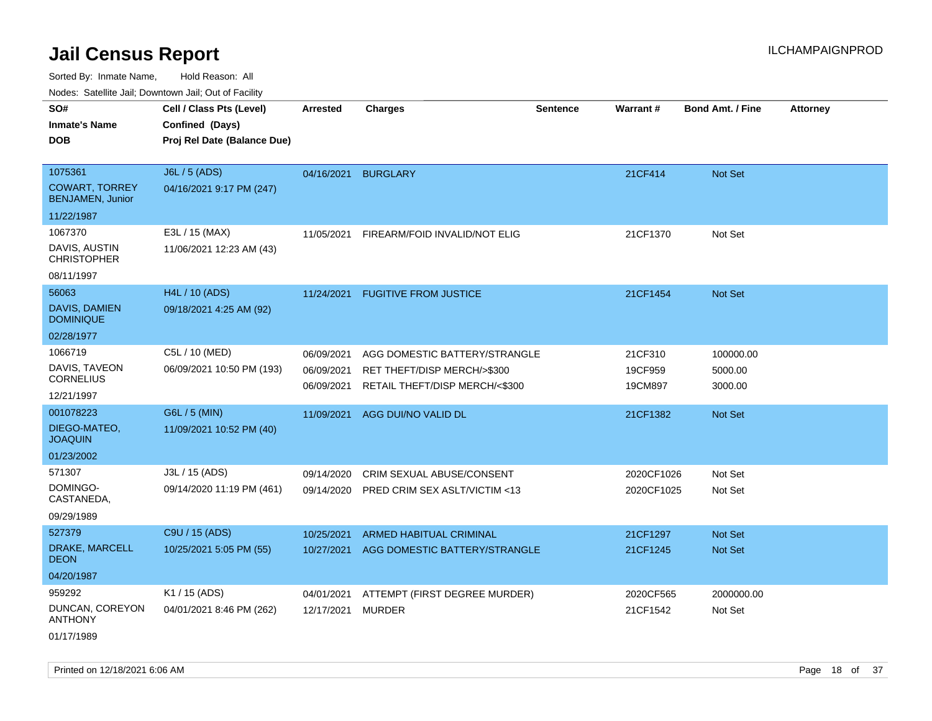Sorted By: Inmate Name, Hold Reason: All Nodes: Satellite Jail; Downtown Jail; Out of Facility

| Noues. Sateme Jan, Downtown Jan, Out or Facility |                             |                 |                                |                 |            |                         |                 |
|--------------------------------------------------|-----------------------------|-----------------|--------------------------------|-----------------|------------|-------------------------|-----------------|
| SO#                                              | Cell / Class Pts (Level)    | <b>Arrested</b> | <b>Charges</b>                 | <b>Sentence</b> | Warrant#   | <b>Bond Amt. / Fine</b> | <b>Attorney</b> |
| <b>Inmate's Name</b>                             | Confined (Days)             |                 |                                |                 |            |                         |                 |
| <b>DOB</b>                                       | Proj Rel Date (Balance Due) |                 |                                |                 |            |                         |                 |
|                                                  |                             |                 |                                |                 |            |                         |                 |
| 1075361                                          | J6L / 5 (ADS)               | 04/16/2021      | <b>BURGLARY</b>                |                 | 21CF414    | Not Set                 |                 |
| <b>COWART, TORREY</b><br><b>BENJAMEN, Junior</b> | 04/16/2021 9:17 PM (247)    |                 |                                |                 |            |                         |                 |
| 11/22/1987                                       |                             |                 |                                |                 |            |                         |                 |
| 1067370                                          | E3L / 15 (MAX)              | 11/05/2021      | FIREARM/FOID INVALID/NOT ELIG  |                 | 21CF1370   | Not Set                 |                 |
| DAVIS, AUSTIN<br><b>CHRISTOPHER</b>              | 11/06/2021 12:23 AM (43)    |                 |                                |                 |            |                         |                 |
| 08/11/1997                                       |                             |                 |                                |                 |            |                         |                 |
| 56063                                            | H4L / 10 (ADS)              | 11/24/2021      | <b>FUGITIVE FROM JUSTICE</b>   |                 | 21CF1454   | Not Set                 |                 |
| DAVIS, DAMIEN<br><b>DOMINIQUE</b>                | 09/18/2021 4:25 AM (92)     |                 |                                |                 |            |                         |                 |
| 02/28/1977                                       |                             |                 |                                |                 |            |                         |                 |
| 1066719                                          | C5L / 10 (MED)              | 06/09/2021      | AGG DOMESTIC BATTERY/STRANGLE  |                 | 21CF310    | 100000.00               |                 |
| DAVIS, TAVEON                                    | 06/09/2021 10:50 PM (193)   | 06/09/2021      | RET THEFT/DISP MERCH/>\$300    |                 | 19CF959    | 5000.00                 |                 |
| CORNELIUS                                        |                             | 06/09/2021      | RETAIL THEFT/DISP MERCH/<\$300 |                 | 19CM897    | 3000.00                 |                 |
| 12/21/1997                                       |                             |                 |                                |                 |            |                         |                 |
| 001078223                                        | G6L / 5 (MIN)               | 11/09/2021      | AGG DUI/NO VALID DL            |                 | 21CF1382   | Not Set                 |                 |
| DIEGO-MATEO,<br><b>JOAQUIN</b>                   | 11/09/2021 10:52 PM (40)    |                 |                                |                 |            |                         |                 |
| 01/23/2002                                       |                             |                 |                                |                 |            |                         |                 |
| 571307                                           | J3L / 15 (ADS)              | 09/14/2020      | CRIM SEXUAL ABUSE/CONSENT      |                 | 2020CF1026 | Not Set                 |                 |
| DOMINGO-<br>CASTANEDA,                           | 09/14/2020 11:19 PM (461)   | 09/14/2020      | PRED CRIM SEX ASLT/VICTIM <13  |                 | 2020CF1025 | Not Set                 |                 |
| 09/29/1989                                       |                             |                 |                                |                 |            |                         |                 |
| 527379                                           | C9U / 15 (ADS)              | 10/25/2021      | <b>ARMED HABITUAL CRIMINAL</b> |                 | 21CF1297   | <b>Not Set</b>          |                 |
| DRAKE, MARCELL<br><b>DEON</b>                    | 10/25/2021 5:05 PM (55)     | 10/27/2021      | AGG DOMESTIC BATTERY/STRANGLE  |                 | 21CF1245   | Not Set                 |                 |
| 04/20/1987                                       |                             |                 |                                |                 |            |                         |                 |
| 959292                                           | K1 / 15 (ADS)               | 04/01/2021      | ATTEMPT (FIRST DEGREE MURDER)  |                 | 2020CF565  | 2000000.00              |                 |
| DUNCAN, COREYON<br><b>ANTHONY</b>                | 04/01/2021 8:46 PM (262)    | 12/17/2021      | <b>MURDER</b>                  |                 | 21CF1542   | Not Set                 |                 |

01/17/1989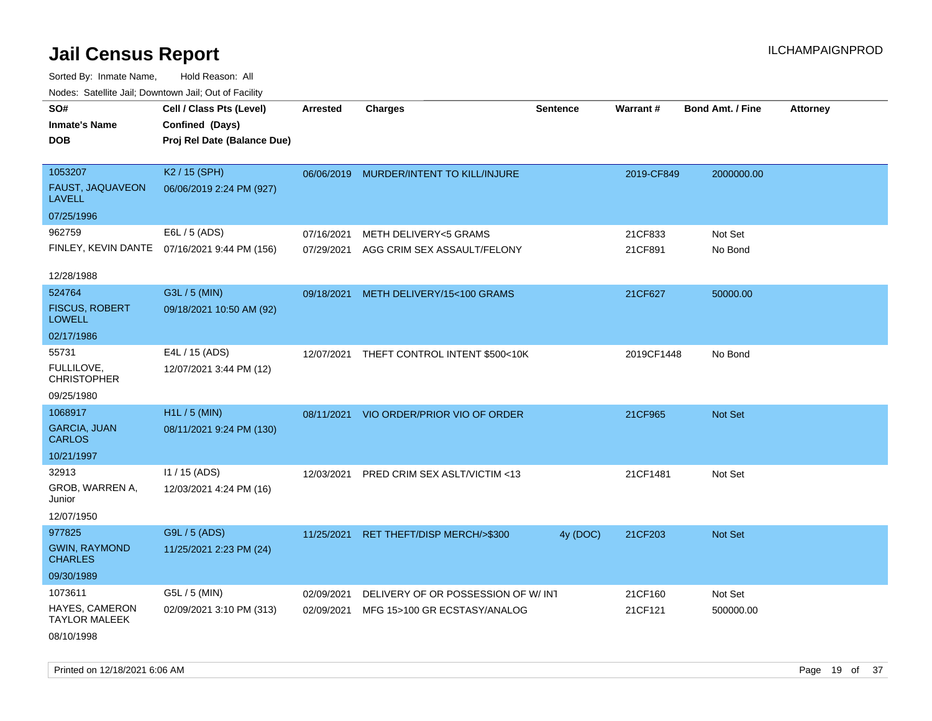Sorted By: Inmate Name, Hold Reason: All Nodes: Satellite Jail; Downtown Jail; Out of Facility

| SO#                                      | Cell / Class Pts (Level)                     | <b>Arrested</b> | <b>Charges</b>                          | <b>Sentence</b> | <b>Warrant#</b> | <b>Bond Amt. / Fine</b> | <b>Attorney</b> |
|------------------------------------------|----------------------------------------------|-----------------|-----------------------------------------|-----------------|-----------------|-------------------------|-----------------|
| <b>Inmate's Name</b>                     | Confined (Days)                              |                 |                                         |                 |                 |                         |                 |
| <b>DOB</b>                               | Proj Rel Date (Balance Due)                  |                 |                                         |                 |                 |                         |                 |
|                                          |                                              |                 |                                         |                 |                 |                         |                 |
| 1053207                                  | K2 / 15 (SPH)                                |                 | 06/06/2019 MURDER/INTENT TO KILL/INJURE |                 | 2019-CF849      | 2000000.00              |                 |
| <b>FAUST, JAQUAVEON</b><br><b>LAVELL</b> | 06/06/2019 2:24 PM (927)                     |                 |                                         |                 |                 |                         |                 |
| 07/25/1996                               |                                              |                 |                                         |                 |                 |                         |                 |
| 962759                                   | E6L / 5 (ADS)                                | 07/16/2021      | METH DELIVERY<5 GRAMS                   |                 | 21CF833         | Not Set                 |                 |
|                                          | FINLEY, KEVIN DANTE 07/16/2021 9:44 PM (156) | 07/29/2021      | AGG CRIM SEX ASSAULT/FELONY             |                 | 21CF891         | No Bond                 |                 |
|                                          |                                              |                 |                                         |                 |                 |                         |                 |
| 12/28/1988                               |                                              |                 |                                         |                 |                 |                         |                 |
| 524764                                   | G3L / 5 (MIN)                                |                 | 09/18/2021 METH DELIVERY/15<100 GRAMS   |                 | 21CF627         | 50000.00                |                 |
| <b>FISCUS, ROBERT</b><br><b>LOWELL</b>   | 09/18/2021 10:50 AM (92)                     |                 |                                         |                 |                 |                         |                 |
| 02/17/1986                               |                                              |                 |                                         |                 |                 |                         |                 |
| 55731                                    | E4L / 15 (ADS)                               | 12/07/2021      | THEFT CONTROL INTENT \$500<10K          |                 | 2019CF1448      | No Bond                 |                 |
| FULLILOVE,<br><b>CHRISTOPHER</b>         | 12/07/2021 3:44 PM (12)                      |                 |                                         |                 |                 |                         |                 |
| 09/25/1980                               |                                              |                 |                                         |                 |                 |                         |                 |
| 1068917                                  | H <sub>1</sub> L / 5 (MIN)                   |                 | 08/11/2021 VIO ORDER/PRIOR VIO OF ORDER |                 | 21CF965         | Not Set                 |                 |
| <b>GARCIA, JUAN</b><br><b>CARLOS</b>     | 08/11/2021 9:24 PM (130)                     |                 |                                         |                 |                 |                         |                 |
| 10/21/1997                               |                                              |                 |                                         |                 |                 |                         |                 |
| 32913                                    | 11 / 15 (ADS)                                | 12/03/2021      | <b>PRED CRIM SEX ASLT/VICTIM &lt;13</b> |                 | 21CF1481        | Not Set                 |                 |
| GROB, WARREN A,<br>Junior                | 12/03/2021 4:24 PM (16)                      |                 |                                         |                 |                 |                         |                 |
| 12/07/1950                               |                                              |                 |                                         |                 |                 |                         |                 |
| 977825                                   | G9L / 5 (ADS)                                |                 | 11/25/2021 RET THEFT/DISP MERCH/>\$300  | 4y (DOC)        | 21CF203         | Not Set                 |                 |
| <b>GWIN, RAYMOND</b><br><b>CHARLES</b>   | 11/25/2021 2:23 PM (24)                      |                 |                                         |                 |                 |                         |                 |
| 09/30/1989                               |                                              |                 |                                         |                 |                 |                         |                 |
| 1073611                                  | G5L / 5 (MIN)                                | 02/09/2021      | DELIVERY OF OR POSSESSION OF W/ INT     |                 | 21CF160         | Not Set                 |                 |
| HAYES, CAMERON<br><b>TAYLOR MALEEK</b>   | 02/09/2021 3:10 PM (313)                     | 02/09/2021      | MFG 15>100 GR ECSTASY/ANALOG            |                 | 21CF121         | 500000.00               |                 |
| 08/10/1998                               |                                              |                 |                                         |                 |                 |                         |                 |

Printed on  $12/18/2021$  6:06 AM Page 19 of 37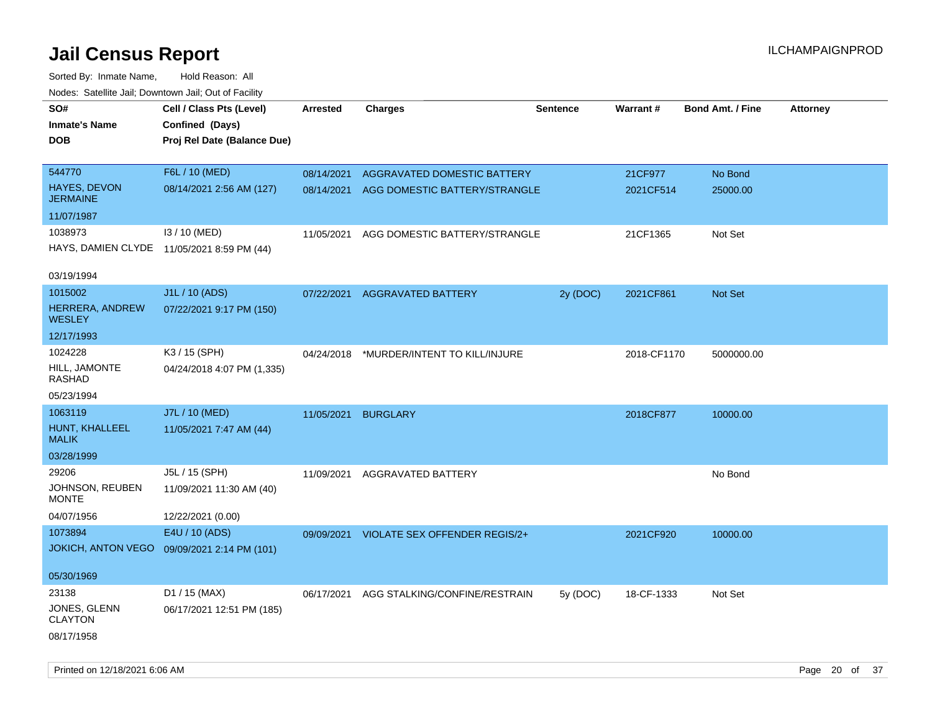| SO#<br><b>Inmate's Name</b><br>DOB         | Cell / Class Pts (Level)<br>Confined (Days)<br>Proj Rel Date (Balance Due) | Arrested   | <b>Charges</b>                | <b>Sentence</b> | <b>Warrant#</b> | <b>Bond Amt. / Fine</b> | <b>Attorney</b> |
|--------------------------------------------|----------------------------------------------------------------------------|------------|-------------------------------|-----------------|-----------------|-------------------------|-----------------|
| 544770                                     | F6L / 10 (MED)                                                             | 08/14/2021 | AGGRAVATED DOMESTIC BATTERY   |                 | 21CF977         | No Bond                 |                 |
| <b>HAYES, DEVON</b><br><b>JERMAINE</b>     | 08/14/2021 2:56 AM (127)                                                   | 08/14/2021 | AGG DOMESTIC BATTERY/STRANGLE |                 | 2021CF514       | 25000.00                |                 |
| 11/07/1987                                 |                                                                            |            |                               |                 |                 |                         |                 |
| 1038973                                    | I3 / 10 (MED)                                                              | 11/05/2021 | AGG DOMESTIC BATTERY/STRANGLE |                 | 21CF1365        | Not Set                 |                 |
| HAYS, DAMIEN CLYDE 11/05/2021 8:59 PM (44) |                                                                            |            |                               |                 |                 |                         |                 |
| 03/19/1994                                 |                                                                            |            |                               |                 |                 |                         |                 |
| 1015002                                    | J1L / 10 (ADS)                                                             | 07/22/2021 | <b>AGGRAVATED BATTERY</b>     | 2y (DOC)        | 2021CF861       | Not Set                 |                 |
| HERRERA, ANDREW<br><b>WESLEY</b>           | 07/22/2021 9:17 PM (150)                                                   |            |                               |                 |                 |                         |                 |
| 12/17/1993                                 |                                                                            |            |                               |                 |                 |                         |                 |
| 1024228                                    | K3 / 15 (SPH)                                                              | 04/24/2018 | *MURDER/INTENT TO KILL/INJURE |                 | 2018-CF1170     | 5000000.00              |                 |
| HILL, JAMONTE<br>RASHAD                    | 04/24/2018 4:07 PM (1,335)                                                 |            |                               |                 |                 |                         |                 |
| 05/23/1994                                 |                                                                            |            |                               |                 |                 |                         |                 |
| 1063119                                    | J7L / 10 (MED)                                                             | 11/05/2021 | <b>BURGLARY</b>               |                 | 2018CF877       | 10000.00                |                 |
| HUNT, KHALLEEL<br><b>MALIK</b>             | 11/05/2021 7:47 AM (44)                                                    |            |                               |                 |                 |                         |                 |
| 03/28/1999                                 |                                                                            |            |                               |                 |                 |                         |                 |
| 29206                                      | J5L / 15 (SPH)                                                             | 11/09/2021 | AGGRAVATED BATTERY            |                 |                 | No Bond                 |                 |
| JOHNSON, REUBEN<br>MONTE                   | 11/09/2021 11:30 AM (40)                                                   |            |                               |                 |                 |                         |                 |
| 04/07/1956                                 | 12/22/2021 (0.00)                                                          |            |                               |                 |                 |                         |                 |
| 1073894                                    | E4U / 10 (ADS)                                                             | 09/09/2021 | VIOLATE SEX OFFENDER REGIS/2+ |                 | 2021CF920       | 10000.00                |                 |
| <b>JOKICH, ANTON VEGO</b>                  | 09/09/2021 2:14 PM (101)                                                   |            |                               |                 |                 |                         |                 |
| 05/30/1969                                 |                                                                            |            |                               |                 |                 |                         |                 |
| 23138                                      | D1 / 15 (MAX)                                                              | 06/17/2021 | AGG STALKING/CONFINE/RESTRAIN | 5y (DOC)        | 18-CF-1333      | Not Set                 |                 |
| JONES, GLENN<br><b>CLAYTON</b>             | 06/17/2021 12:51 PM (185)                                                  |            |                               |                 |                 |                         |                 |
| 08/17/1958                                 |                                                                            |            |                               |                 |                 |                         |                 |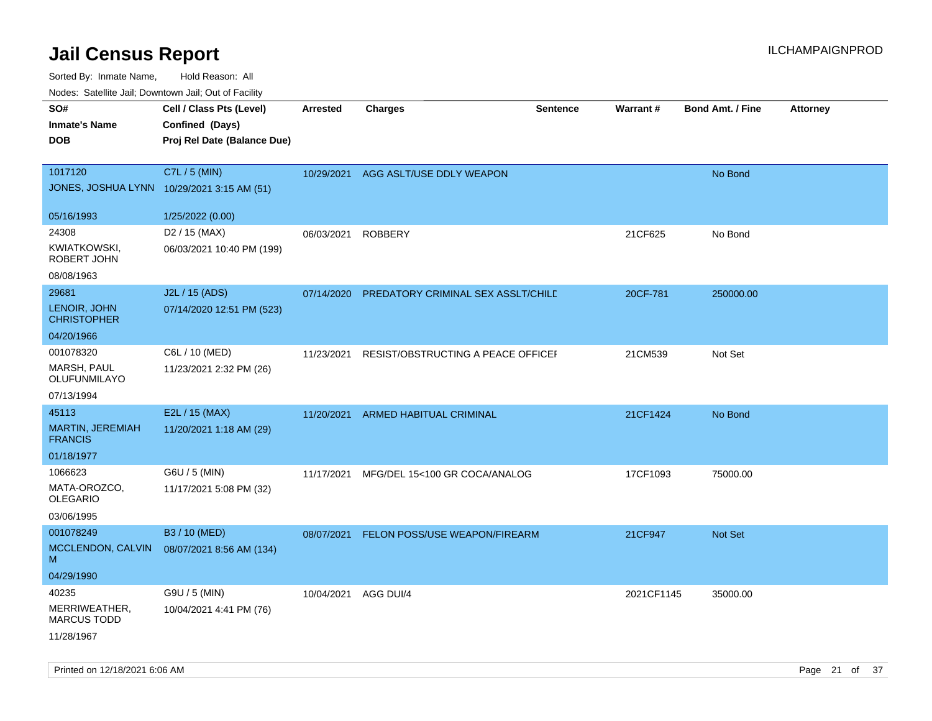| SO#<br><b>Inmate's Name</b><br><b>DOB</b>                  | Cell / Class Pts (Level)<br>Confined (Days)<br>Proj Rel Date (Balance Due) | <b>Arrested</b> | <b>Charges</b>                     | <b>Sentence</b> | Warrant#   | <b>Bond Amt. / Fine</b> | <b>Attorney</b> |
|------------------------------------------------------------|----------------------------------------------------------------------------|-----------------|------------------------------------|-----------------|------------|-------------------------|-----------------|
| 1017120<br>JONES, JOSHUA LYNN 10/29/2021 3:15 AM (51)      | C7L / 5 (MIN)                                                              | 10/29/2021      | AGG ASLT/USE DDLY WEAPON           |                 |            | No Bond                 |                 |
| 05/16/1993                                                 | 1/25/2022 (0.00)                                                           |                 |                                    |                 |            |                         |                 |
| 24308<br>KWIATKOWSKI,<br>ROBERT JOHN<br>08/08/1963         | D <sub>2</sub> / 15 (MAX)<br>06/03/2021 10:40 PM (199)                     | 06/03/2021      | <b>ROBBERY</b>                     |                 | 21CF625    | No Bond                 |                 |
| 29681<br>LENOIR, JOHN                                      | J2L / 15 (ADS)<br>07/14/2020 12:51 PM (523)                                | 07/14/2020      | PREDATORY CRIMINAL SEX ASSLT/CHILD |                 | 20CF-781   | 250000.00               |                 |
| <b>CHRISTOPHER</b><br>04/20/1966                           |                                                                            |                 |                                    |                 |            |                         |                 |
| 001078320<br>MARSH, PAUL<br>OLUFUNMILAYO                   | C6L / 10 (MED)<br>11/23/2021 2:32 PM (26)                                  | 11/23/2021      | RESIST/OBSTRUCTING A PEACE OFFICEF |                 | 21CM539    | Not Set                 |                 |
| 07/13/1994                                                 |                                                                            |                 |                                    |                 |            |                         |                 |
| 45113<br><b>MARTIN, JEREMIAH</b><br><b>FRANCIS</b>         | E2L / 15 (MAX)<br>11/20/2021 1:18 AM (29)                                  | 11/20/2021      | <b>ARMED HABITUAL CRIMINAL</b>     |                 | 21CF1424   | No Bond                 |                 |
| 01/18/1977                                                 |                                                                            |                 |                                    |                 |            |                         |                 |
| 1066623<br>MATA-OROZCO,<br><b>OLEGARIO</b><br>03/06/1995   | G6U / 5 (MIN)<br>11/17/2021 5:08 PM (32)                                   | 11/17/2021      | MFG/DEL 15<100 GR COCA/ANALOG      |                 | 17CF1093   | 75000.00                |                 |
| 001078249<br>MCCLENDON, CALVIN<br>м<br>04/29/1990          | B3 / 10 (MED)<br>08/07/2021 8:56 AM (134)                                  | 08/07/2021      | FELON POSS/USE WEAPON/FIREARM      |                 | 21CF947    | <b>Not Set</b>          |                 |
| 40235<br>MERRIWEATHER,<br><b>MARCUS TODD</b><br>11/28/1967 | G9U / 5 (MIN)<br>10/04/2021 4:41 PM (76)                                   | 10/04/2021      | AGG DUI/4                          |                 | 2021CF1145 | 35000.00                |                 |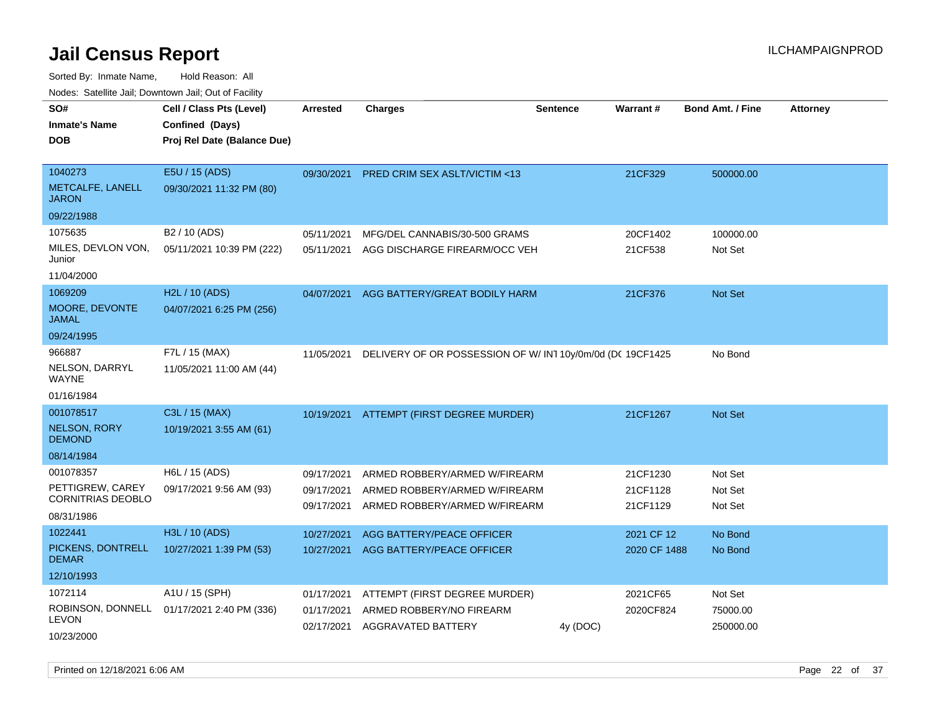| roaco. Calcinio dan, Domntomn dan, Out or Fabilit                       |                                                                            |                                        |                                                                                                 |                 |                                  |                               |                 |
|-------------------------------------------------------------------------|----------------------------------------------------------------------------|----------------------------------------|-------------------------------------------------------------------------------------------------|-----------------|----------------------------------|-------------------------------|-----------------|
| SO#<br><b>Inmate's Name</b><br><b>DOB</b>                               | Cell / Class Pts (Level)<br>Confined (Days)<br>Proj Rel Date (Balance Due) | <b>Arrested</b>                        | <b>Charges</b>                                                                                  | <b>Sentence</b> | Warrant#                         | <b>Bond Amt. / Fine</b>       | <b>Attorney</b> |
| 1040273<br>METCALFE, LANELL<br><b>JARON</b>                             | E5U / 15 (ADS)<br>09/30/2021 11:32 PM (80)                                 | 09/30/2021                             | PRED CRIM SEX ASLT/VICTIM <13                                                                   |                 | 21CF329                          | 500000.00                     |                 |
| 09/22/1988                                                              |                                                                            |                                        |                                                                                                 |                 |                                  |                               |                 |
| 1075635<br>MILES, DEVLON VON,<br>Junior                                 | B <sub>2</sub> / 10 (ADS)<br>05/11/2021 10:39 PM (222)                     | 05/11/2021<br>05/11/2021               | MFG/DEL CANNABIS/30-500 GRAMS<br>AGG DISCHARGE FIREARM/OCC VEH                                  |                 | 20CF1402<br>21CF538              | 100000.00<br>Not Set          |                 |
| 11/04/2000                                                              |                                                                            |                                        |                                                                                                 |                 |                                  |                               |                 |
| 1069209<br>MOORE, DEVONTE<br><b>JAMAL</b>                               | H2L / 10 (ADS)<br>04/07/2021 6:25 PM (256)                                 | 04/07/2021                             | AGG BATTERY/GREAT BODILY HARM                                                                   |                 | 21CF376                          | Not Set                       |                 |
| 09/24/1995                                                              |                                                                            |                                        |                                                                                                 |                 |                                  |                               |                 |
| 966887<br>NELSON, DARRYL<br><b>WAYNE</b>                                | F7L / 15 (MAX)<br>11/05/2021 11:00 AM (44)                                 | 11/05/2021                             | DELIVERY OF OR POSSESSION OF W/IN1 10y/0m/0d (DC 19CF1425                                       |                 |                                  | No Bond                       |                 |
| 01/16/1984<br>001078517                                                 | C3L / 15 (MAX)                                                             |                                        |                                                                                                 |                 |                                  |                               |                 |
| <b>NELSON, RORY</b><br><b>DEMOND</b>                                    | 10/19/2021 3:55 AM (61)                                                    |                                        | 10/19/2021 ATTEMPT (FIRST DEGREE MURDER)                                                        |                 | 21CF1267                         | <b>Not Set</b>                |                 |
| 08/14/1984                                                              |                                                                            |                                        |                                                                                                 |                 |                                  |                               |                 |
| 001078357<br>PETTIGREW, CAREY<br><b>CORNITRIAS DEOBLO</b><br>08/31/1986 | H6L / 15 (ADS)<br>09/17/2021 9:56 AM (93)                                  | 09/17/2021<br>09/17/2021<br>09/17/2021 | ARMED ROBBERY/ARMED W/FIREARM<br>ARMED ROBBERY/ARMED W/FIREARM<br>ARMED ROBBERY/ARMED W/FIREARM |                 | 21CF1230<br>21CF1128<br>21CF1129 | Not Set<br>Not Set<br>Not Set |                 |
| 1022441                                                                 | H3L / 10 (ADS)                                                             | 10/27/2021                             | AGG BATTERY/PEACE OFFICER                                                                       |                 | 2021 CF 12                       | No Bond                       |                 |
| PICKENS, DONTRELL<br><b>DEMAR</b>                                       | 10/27/2021 1:39 PM (53)                                                    | 10/27/2021                             | AGG BATTERY/PEACE OFFICER                                                                       |                 | 2020 CF 1488                     | No Bond                       |                 |
| 12/10/1993                                                              |                                                                            |                                        |                                                                                                 |                 |                                  |                               |                 |
| 1072114                                                                 | A1U / 15 (SPH)                                                             | 01/17/2021                             | ATTEMPT (FIRST DEGREE MURDER)                                                                   |                 | 2021CF65                         | Not Set                       |                 |
| ROBINSON, DONNELL<br><b>LEVON</b><br>10/23/2000                         | 01/17/2021 2:40 PM (336)                                                   | 01/17/2021                             | ARMED ROBBERY/NO FIREARM<br>02/17/2021 AGGRAVATED BATTERY                                       | 4y (DOC)        | 2020CF824                        | 75000.00<br>250000.00         |                 |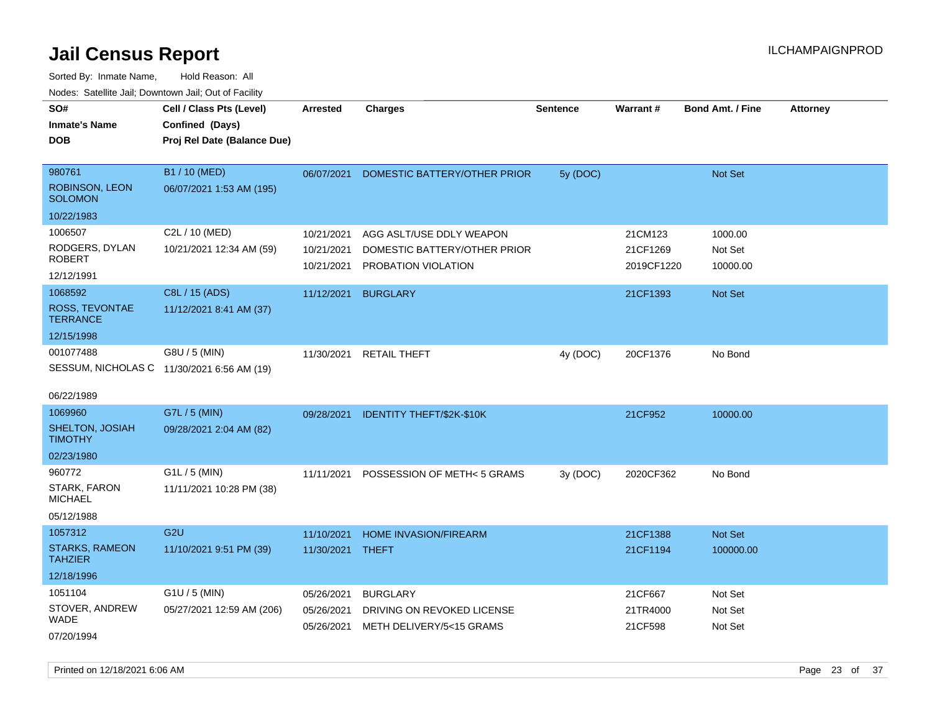| SO#<br><b>Inmate's Name</b><br><b>DOB</b>                             | Cell / Class Pts (Level)<br>Confined (Days)<br>Proj Rel Date (Balance Due) | <b>Arrested</b>                        | <b>Charges</b>                                                                  | <b>Sentence</b> | <b>Warrant#</b>                   | <b>Bond Amt. / Fine</b>        | <b>Attorney</b> |
|-----------------------------------------------------------------------|----------------------------------------------------------------------------|----------------------------------------|---------------------------------------------------------------------------------|-----------------|-----------------------------------|--------------------------------|-----------------|
| 980761<br>ROBINSON, LEON<br><b>SOLOMON</b>                            | B1 / 10 (MED)<br>06/07/2021 1:53 AM (195)                                  | 06/07/2021                             | DOMESTIC BATTERY/OTHER PRIOR                                                    | 5y (DOC)        |                                   | Not Set                        |                 |
| 10/22/1983                                                            |                                                                            |                                        |                                                                                 |                 |                                   |                                |                 |
| 1006507<br>RODGERS, DYLAN<br><b>ROBERT</b><br>12/12/1991              | C2L / 10 (MED)<br>10/21/2021 12:34 AM (59)                                 | 10/21/2021<br>10/21/2021<br>10/21/2021 | AGG ASLT/USE DDLY WEAPON<br>DOMESTIC BATTERY/OTHER PRIOR<br>PROBATION VIOLATION |                 | 21CM123<br>21CF1269<br>2019CF1220 | 1000.00<br>Not Set<br>10000.00 |                 |
| 1068592<br>ROSS, TEVONTAE<br><b>TERRANCE</b><br>12/15/1998            | C8L / 15 (ADS)<br>11/12/2021 8:41 AM (37)                                  | 11/12/2021                             | <b>BURGLARY</b>                                                                 |                 | 21CF1393                          | <b>Not Set</b>                 |                 |
| 001077488<br>SESSUM, NICHOLAS C 11/30/2021 6:56 AM (19)<br>06/22/1989 | G8U / 5 (MIN)                                                              | 11/30/2021                             | <b>RETAIL THEFT</b>                                                             | 4y (DOC)        | 20CF1376                          | No Bond                        |                 |
| 1069960<br>SHELTON, JOSIAH<br><b>TIMOTHY</b><br>02/23/1980            | G7L / 5 (MIN)<br>09/28/2021 2:04 AM (82)                                   | 09/28/2021                             | <b>IDENTITY THEFT/\$2K-\$10K</b>                                                |                 | 21CF952                           | 10000.00                       |                 |
| 960772<br>STARK, FARON<br><b>MICHAEL</b><br>05/12/1988                | $G1L / 5$ (MIN)<br>11/11/2021 10:28 PM (38)                                | 11/11/2021                             | POSSESSION OF METH<5 GRAMS                                                      | 3y (DOC)        | 2020CF362                         | No Bond                        |                 |
| 1057312<br><b>STARKS, RAMEON</b><br><b>TAHZIER</b><br>12/18/1996      | G <sub>2U</sub><br>11/10/2021 9:51 PM (39)                                 | 11/10/2021<br>11/30/2021               | HOME INVASION/FIREARM<br>THEFT                                                  |                 | 21CF1388<br>21CF1194              | Not Set<br>100000.00           |                 |
| 1051104<br>STOVER, ANDREW<br>WADE<br>07/20/1994                       | G1U / 5 (MIN)<br>05/27/2021 12:59 AM (206)                                 | 05/26/2021<br>05/26/2021<br>05/26/2021 | <b>BURGLARY</b><br>DRIVING ON REVOKED LICENSE<br>METH DELIVERY/5<15 GRAMS       |                 | 21CF667<br>21TR4000<br>21CF598    | Not Set<br>Not Set<br>Not Set  |                 |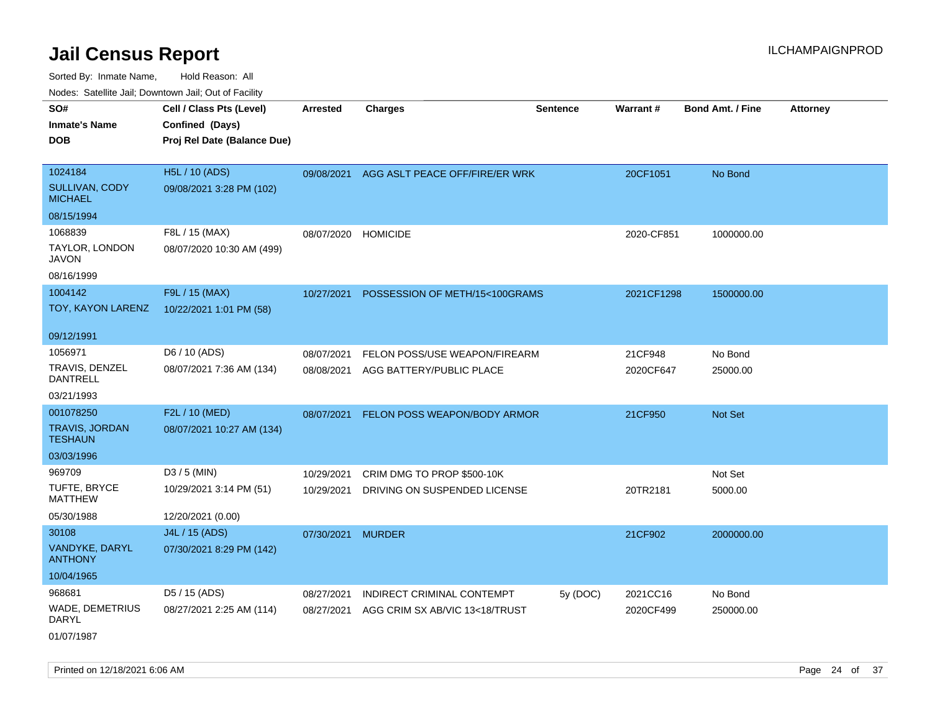Sorted By: Inmate Name, Hold Reason: All Nodes: Satellite Jail; Downtown Jail; Out of Facility

| SO#                                     | Cell / Class Pts (Level)    | <b>Arrested</b> | <b>Charges</b>                 | <b>Sentence</b> | Warrant #  | <b>Bond Amt. / Fine</b> | <b>Attorney</b> |
|-----------------------------------------|-----------------------------|-----------------|--------------------------------|-----------------|------------|-------------------------|-----------------|
| <b>Inmate's Name</b>                    | Confined (Days)             |                 |                                |                 |            |                         |                 |
| <b>DOB</b>                              | Proj Rel Date (Balance Due) |                 |                                |                 |            |                         |                 |
|                                         |                             |                 |                                |                 |            |                         |                 |
| 1024184                                 | H5L / 10 (ADS)              | 09/08/2021      | AGG ASLT PEACE OFF/FIRE/ER WRK |                 | 20CF1051   | No Bond                 |                 |
| SULLIVAN, CODY<br><b>MICHAEL</b>        | 09/08/2021 3:28 PM (102)    |                 |                                |                 |            |                         |                 |
| 08/15/1994                              |                             |                 |                                |                 |            |                         |                 |
| 1068839                                 | F8L / 15 (MAX)              | 08/07/2020      | <b>HOMICIDE</b>                |                 | 2020-CF851 | 1000000.00              |                 |
| TAYLOR, LONDON<br><b>JAVON</b>          | 08/07/2020 10:30 AM (499)   |                 |                                |                 |            |                         |                 |
| 08/16/1999                              |                             |                 |                                |                 |            |                         |                 |
| 1004142                                 | F9L / 15 (MAX)              | 10/27/2021      | POSSESSION OF METH/15<100GRAMS |                 | 2021CF1298 | 1500000.00              |                 |
| TOY, KAYON LARENZ                       | 10/22/2021 1:01 PM (58)     |                 |                                |                 |            |                         |                 |
| 09/12/1991                              |                             |                 |                                |                 |            |                         |                 |
| 1056971                                 | D6 / 10 (ADS)               | 08/07/2021      | FELON POSS/USE WEAPON/FIREARM  |                 | 21CF948    | No Bond                 |                 |
| TRAVIS, DENZEL<br><b>DANTRELL</b>       | 08/07/2021 7:36 AM (134)    | 08/08/2021      | AGG BATTERY/PUBLIC PLACE       |                 | 2020CF647  | 25000.00                |                 |
| 03/21/1993                              |                             |                 |                                |                 |            |                         |                 |
| 001078250                               | F2L / 10 (MED)              | 08/07/2021      | FELON POSS WEAPON/BODY ARMOR   |                 | 21CF950    | <b>Not Set</b>          |                 |
| <b>TRAVIS, JORDAN</b><br><b>TESHAUN</b> | 08/07/2021 10:27 AM (134)   |                 |                                |                 |            |                         |                 |
| 03/03/1996                              |                             |                 |                                |                 |            |                         |                 |
| 969709                                  | $D3 / 5$ (MIN)              | 10/29/2021      | CRIM DMG TO PROP \$500-10K     |                 |            | Not Set                 |                 |
| TUFTE, BRYCE<br><b>MATTHEW</b>          | 10/29/2021 3:14 PM (51)     | 10/29/2021      | DRIVING ON SUSPENDED LICENSE   |                 | 20TR2181   | 5000.00                 |                 |
| 05/30/1988                              | 12/20/2021 (0.00)           |                 |                                |                 |            |                         |                 |
| 30108                                   | J4L / 15 (ADS)              | 07/30/2021      | <b>MURDER</b>                  |                 | 21CF902    | 2000000.00              |                 |
| VANDYKE, DARYL<br><b>ANTHONY</b>        | 07/30/2021 8:29 PM (142)    |                 |                                |                 |            |                         |                 |
| 10/04/1965                              |                             |                 |                                |                 |            |                         |                 |
| 968681                                  | D5 / 15 (ADS)               | 08/27/2021      | INDIRECT CRIMINAL CONTEMPT     | 5y (DOC)        | 2021CC16   | No Bond                 |                 |
| <b>WADE, DEMETRIUS</b><br><b>DARYL</b>  | 08/27/2021 2:25 AM (114)    | 08/27/2021      | AGG CRIM SX AB/VIC 13<18/TRUST |                 | 2020CF499  | 250000.00               |                 |

01/07/1987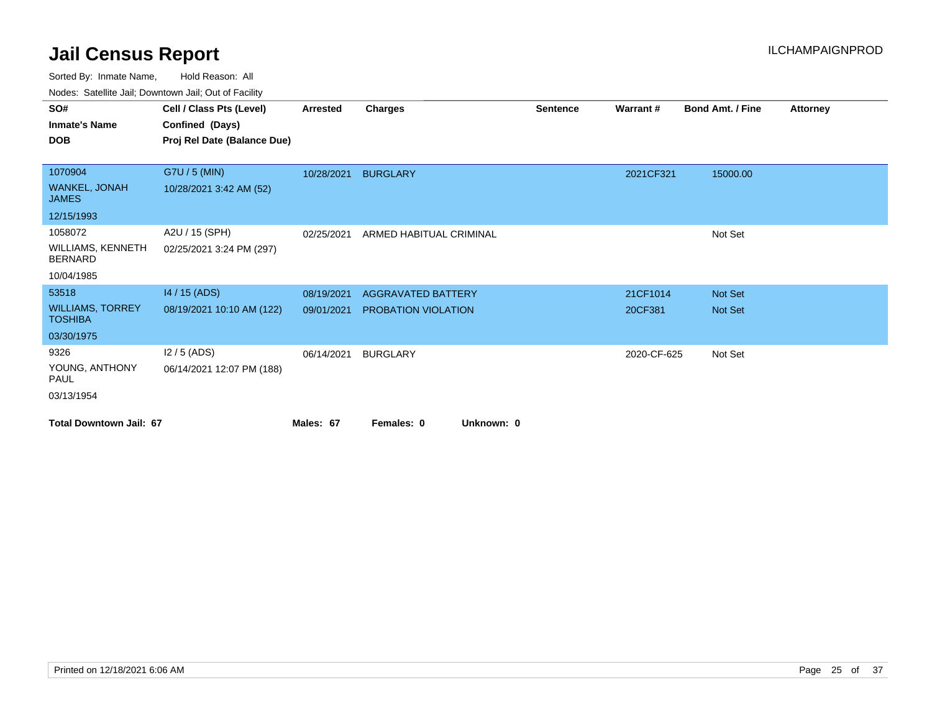| roaco. Calcinio can, Downtown can, Out or Facility |                             |            |                           |                 |                 |                         |                 |
|----------------------------------------------------|-----------------------------|------------|---------------------------|-----------------|-----------------|-------------------------|-----------------|
| SO#                                                | Cell / Class Pts (Level)    | Arrested   | <b>Charges</b>            | <b>Sentence</b> | <b>Warrant#</b> | <b>Bond Amt. / Fine</b> | <b>Attorney</b> |
| <b>Inmate's Name</b>                               | Confined (Days)             |            |                           |                 |                 |                         |                 |
| <b>DOB</b>                                         | Proj Rel Date (Balance Due) |            |                           |                 |                 |                         |                 |
|                                                    |                             |            |                           |                 |                 |                         |                 |
| 1070904                                            | G7U / 5 (MIN)               | 10/28/2021 | <b>BURGLARY</b>           |                 | 2021CF321       | 15000.00                |                 |
| WANKEL, JONAH<br><b>JAMES</b>                      | 10/28/2021 3:42 AM (52)     |            |                           |                 |                 |                         |                 |
| 12/15/1993                                         |                             |            |                           |                 |                 |                         |                 |
| 1058072                                            | A2U / 15 (SPH)              | 02/25/2021 | ARMED HABITUAL CRIMINAL   |                 |                 | Not Set                 |                 |
| <b>WILLIAMS, KENNETH</b><br><b>BERNARD</b>         | 02/25/2021 3:24 PM (297)    |            |                           |                 |                 |                         |                 |
| 10/04/1985                                         |                             |            |                           |                 |                 |                         |                 |
| 53518                                              | 14 / 15 (ADS)               | 08/19/2021 | <b>AGGRAVATED BATTERY</b> |                 | 21CF1014        | <b>Not Set</b>          |                 |
| <b>WILLIAMS, TORREY</b><br><b>TOSHIBA</b>          | 08/19/2021 10:10 AM (122)   | 09/01/2021 | PROBATION VIOLATION       |                 | 20CF381         | Not Set                 |                 |
| 03/30/1975                                         |                             |            |                           |                 |                 |                         |                 |
| 9326                                               | $12/5$ (ADS)                | 06/14/2021 | <b>BURGLARY</b>           |                 | 2020-CF-625     | Not Set                 |                 |
| YOUNG, ANTHONY<br><b>PAUL</b>                      | 06/14/2021 12:07 PM (188)   |            |                           |                 |                 |                         |                 |
| 03/13/1954                                         |                             |            |                           |                 |                 |                         |                 |
| <b>Total Downtown Jail: 67</b>                     |                             | Males: 67  | Unknown: 0<br>Females: 0  |                 |                 |                         |                 |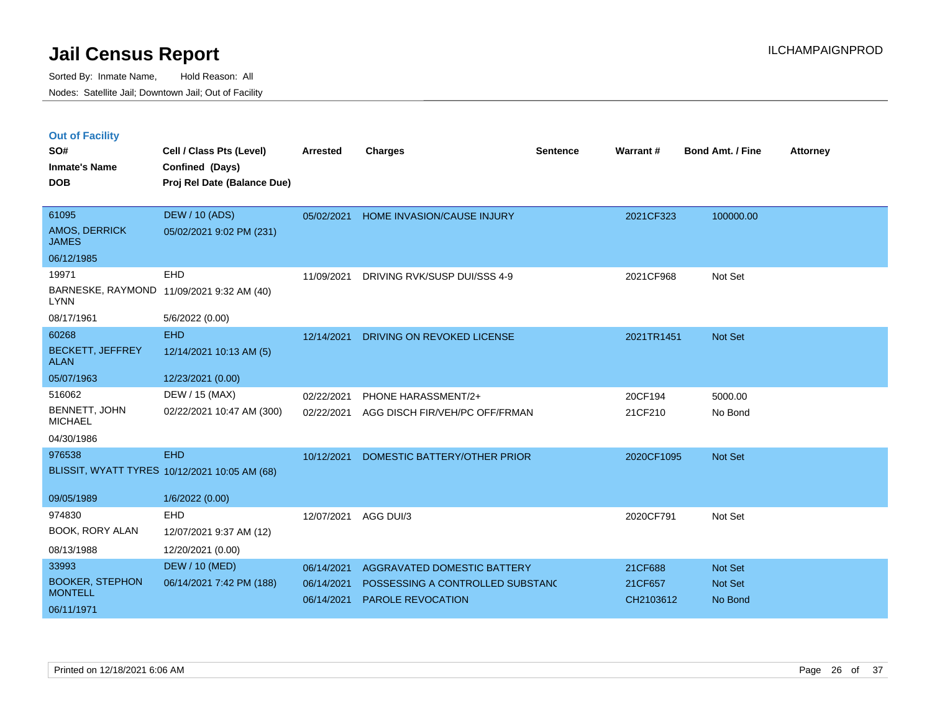| <b>Out of Facility</b> |  |  |
|------------------------|--|--|
|                        |  |  |

| SO#<br><b>Inmate's Name</b><br><b>DOB</b> | Cell / Class Pts (Level)<br>Confined (Days)<br>Proj Rel Date (Balance Due) | <b>Arrested</b> | <b>Charges</b>                    | <b>Sentence</b> | Warrant#   | <b>Bond Amt. / Fine</b> | <b>Attorney</b> |
|-------------------------------------------|----------------------------------------------------------------------------|-----------------|-----------------------------------|-----------------|------------|-------------------------|-----------------|
|                                           |                                                                            |                 |                                   |                 |            |                         |                 |
| 61095                                     | <b>DEW / 10 (ADS)</b>                                                      | 05/02/2021      | <b>HOME INVASION/CAUSE INJURY</b> |                 | 2021CF323  | 100000.00               |                 |
| AMOS, DERRICK<br><b>JAMES</b>             | 05/02/2021 9:02 PM (231)                                                   |                 |                                   |                 |            |                         |                 |
| 06/12/1985                                |                                                                            |                 |                                   |                 |            |                         |                 |
| 19971                                     | EHD                                                                        | 11/09/2021      | DRIVING RVK/SUSP DUI/SSS 4-9      |                 | 2021CF968  | Not Set                 |                 |
| <b>LYNN</b>                               | BARNESKE, RAYMOND 11/09/2021 9:32 AM (40)                                  |                 |                                   |                 |            |                         |                 |
| 08/17/1961                                | 5/6/2022 (0.00)                                                            |                 |                                   |                 |            |                         |                 |
| 60268                                     | <b>EHD</b>                                                                 | 12/14/2021      | DRIVING ON REVOKED LICENSE        |                 | 2021TR1451 | <b>Not Set</b>          |                 |
| <b>BECKETT, JEFFREY</b><br><b>ALAN</b>    | 12/14/2021 10:13 AM (5)                                                    |                 |                                   |                 |            |                         |                 |
| 05/07/1963                                | 12/23/2021 (0.00)                                                          |                 |                                   |                 |            |                         |                 |
| 516062                                    | DEW / 15 (MAX)                                                             | 02/22/2021      | PHONE HARASSMENT/2+               |                 | 20CF194    | 5000.00                 |                 |
| BENNETT, JOHN<br><b>MICHAEL</b>           | 02/22/2021 10:47 AM (300)                                                  | 02/22/2021      | AGG DISCH FIR/VEH/PC OFF/FRMAN    |                 | 21CF210    | No Bond                 |                 |
| 04/30/1986                                |                                                                            |                 |                                   |                 |            |                         |                 |
| 976538                                    | <b>EHD</b>                                                                 | 10/12/2021      | DOMESTIC BATTERY/OTHER PRIOR      |                 | 2020CF1095 | Not Set                 |                 |
|                                           | BLISSIT, WYATT TYRES 10/12/2021 10:05 AM (68)                              |                 |                                   |                 |            |                         |                 |
| 09/05/1989                                | 1/6/2022 (0.00)                                                            |                 |                                   |                 |            |                         |                 |
| 974830                                    | EHD                                                                        | 12/07/2021      | AGG DUI/3                         |                 | 2020CF791  | Not Set                 |                 |
| BOOK, RORY ALAN                           | 12/07/2021 9:37 AM (12)                                                    |                 |                                   |                 |            |                         |                 |
| 08/13/1988                                | 12/20/2021 (0.00)                                                          |                 |                                   |                 |            |                         |                 |
| 33993                                     | <b>DEW / 10 (MED)</b>                                                      | 06/14/2021      | AGGRAVATED DOMESTIC BATTERY       |                 | 21CF688    | Not Set                 |                 |
| <b>BOOKER, STEPHON</b>                    | 06/14/2021 7:42 PM (188)                                                   | 06/14/2021      | POSSESSING A CONTROLLED SUBSTANC  |                 | 21CF657    | Not Set                 |                 |
| <b>MONTELL</b>                            |                                                                            | 06/14/2021      | PAROLE REVOCATION                 |                 | CH2103612  | No Bond                 |                 |
| 06/11/1971                                |                                                                            |                 |                                   |                 |            |                         |                 |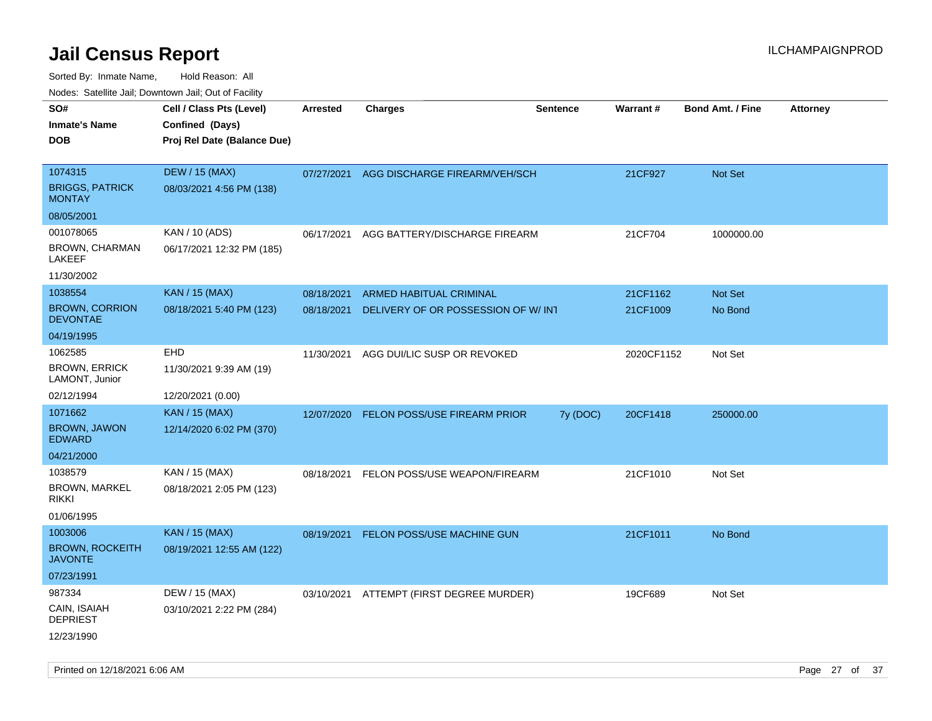| ivouss. Satellite Jali, Downtown Jali, Out of Facility |                             |            |                                     |                 |                 |                         |                 |
|--------------------------------------------------------|-----------------------------|------------|-------------------------------------|-----------------|-----------------|-------------------------|-----------------|
| SO#                                                    | Cell / Class Pts (Level)    | Arrested   | <b>Charges</b>                      | <b>Sentence</b> | <b>Warrant#</b> | <b>Bond Amt. / Fine</b> | <b>Attorney</b> |
| Inmate's Name                                          | Confined (Days)             |            |                                     |                 |                 |                         |                 |
| <b>DOB</b>                                             | Proj Rel Date (Balance Due) |            |                                     |                 |                 |                         |                 |
|                                                        |                             |            |                                     |                 |                 |                         |                 |
| 1074315                                                | <b>DEW / 15 (MAX)</b>       | 07/27/2021 | AGG DISCHARGE FIREARM/VEH/SCH       |                 | 21CF927         | Not Set                 |                 |
| <b>BRIGGS, PATRICK</b><br>MONTAY                       | 08/03/2021 4:56 PM (138)    |            |                                     |                 |                 |                         |                 |
| 08/05/2001                                             |                             |            |                                     |                 |                 |                         |                 |
| 001078065                                              | KAN / 10 (ADS)              | 06/17/2021 | AGG BATTERY/DISCHARGE FIREARM       |                 | 21CF704         | 1000000.00              |                 |
| BROWN, CHARMAN<br>LAKEEF                               | 06/17/2021 12:32 PM (185)   |            |                                     |                 |                 |                         |                 |
| 11/30/2002                                             |                             |            |                                     |                 |                 |                         |                 |
| 1038554                                                | <b>KAN / 15 (MAX)</b>       | 08/18/2021 | <b>ARMED HABITUAL CRIMINAL</b>      |                 | 21CF1162        | <b>Not Set</b>          |                 |
| <b>BROWN, CORRION</b><br><b>DEVONTAE</b>               | 08/18/2021 5:40 PM (123)    | 08/18/2021 | DELIVERY OF OR POSSESSION OF W/ INT |                 | 21CF1009        | No Bond                 |                 |
| 04/19/1995                                             |                             |            |                                     |                 |                 |                         |                 |
| 1062585                                                | EHD                         | 11/30/2021 | AGG DUI/LIC SUSP OR REVOKED         |                 | 2020CF1152      | Not Set                 |                 |
| <b>BROWN, ERRICK</b><br>LAMONT, Junior                 | 11/30/2021 9:39 AM (19)     |            |                                     |                 |                 |                         |                 |
| 02/12/1994                                             | 12/20/2021 (0.00)           |            |                                     |                 |                 |                         |                 |
| 1071662                                                | KAN / 15 (MAX)              | 12/07/2020 | <b>FELON POSS/USE FIREARM PRIOR</b> | 7y (DOC)        | 20CF1418        | 250000.00               |                 |
| <b>BROWN, JAWON</b><br>EDWARD                          | 12/14/2020 6:02 PM (370)    |            |                                     |                 |                 |                         |                 |
| 04/21/2000                                             |                             |            |                                     |                 |                 |                         |                 |
| 1038579                                                | KAN / 15 (MAX)              | 08/18/2021 | FELON POSS/USE WEAPON/FIREARM       |                 | 21CF1010        | Not Set                 |                 |
| <b>BROWN, MARKEL</b><br>rikki                          | 08/18/2021 2:05 PM (123)    |            |                                     |                 |                 |                         |                 |
| 01/06/1995                                             |                             |            |                                     |                 |                 |                         |                 |
| 1003006                                                | <b>KAN / 15 (MAX)</b>       | 08/19/2021 | FELON POSS/USE MACHINE GUN          |                 | 21CF1011        | No Bond                 |                 |
| <b>BROWN, ROCKEITH</b><br><b>JAVONTE</b>               | 08/19/2021 12:55 AM (122)   |            |                                     |                 |                 |                         |                 |
| 07/23/1991                                             |                             |            |                                     |                 |                 |                         |                 |
| 987334                                                 | DEW / 15 (MAX)              | 03/10/2021 | ATTEMPT (FIRST DEGREE MURDER)       |                 | 19CF689         | Not Set                 |                 |
| CAIN, ISAIAH<br><b>DEPRIEST</b>                        | 03/10/2021 2:22 PM (284)    |            |                                     |                 |                 |                         |                 |
| 12/23/1990                                             |                             |            |                                     |                 |                 |                         |                 |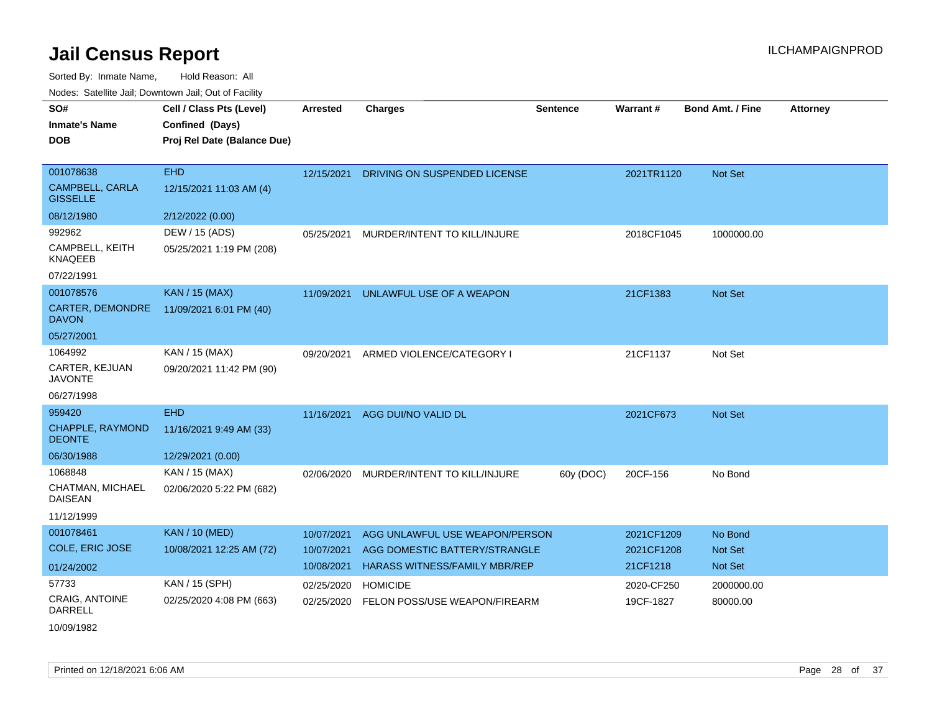| SO#                                       | Cell / Class Pts (Level)    | <b>Arrested</b> | <b>Charges</b>                       | <b>Sentence</b> | Warrant#   | <b>Bond Amt. / Fine</b> | <b>Attorney</b> |
|-------------------------------------------|-----------------------------|-----------------|--------------------------------------|-----------------|------------|-------------------------|-----------------|
| <b>Inmate's Name</b>                      | Confined (Days)             |                 |                                      |                 |            |                         |                 |
| <b>DOB</b>                                | Proj Rel Date (Balance Due) |                 |                                      |                 |            |                         |                 |
|                                           |                             |                 |                                      |                 |            |                         |                 |
| 001078638                                 | <b>EHD</b>                  | 12/15/2021      | DRIVING ON SUSPENDED LICENSE         |                 | 2021TR1120 | Not Set                 |                 |
| <b>CAMPBELL, CARLA</b><br><b>GISSELLE</b> | 12/15/2021 11:03 AM (4)     |                 |                                      |                 |            |                         |                 |
| 08/12/1980                                | 2/12/2022 (0.00)            |                 |                                      |                 |            |                         |                 |
| 992962                                    | DEW / 15 (ADS)              | 05/25/2021      | MURDER/INTENT TO KILL/INJURE         |                 | 2018CF1045 | 1000000.00              |                 |
| CAMPBELL, KEITH<br><b>KNAQEEB</b>         | 05/25/2021 1:19 PM (208)    |                 |                                      |                 |            |                         |                 |
| 07/22/1991                                |                             |                 |                                      |                 |            |                         |                 |
| 001078576                                 | <b>KAN / 15 (MAX)</b>       | 11/09/2021      | UNLAWFUL USE OF A WEAPON             |                 | 21CF1383   | <b>Not Set</b>          |                 |
| <b>CARTER, DEMONDRE</b><br><b>DAVON</b>   | 11/09/2021 6:01 PM (40)     |                 |                                      |                 |            |                         |                 |
| 05/27/2001                                |                             |                 |                                      |                 |            |                         |                 |
| 1064992                                   | KAN / 15 (MAX)              | 09/20/2021      | ARMED VIOLENCE/CATEGORY I            |                 | 21CF1137   | Not Set                 |                 |
| CARTER, KEJUAN<br><b>JAVONTE</b>          | 09/20/2021 11:42 PM (90)    |                 |                                      |                 |            |                         |                 |
| 06/27/1998                                |                             |                 |                                      |                 |            |                         |                 |
| 959420                                    | <b>EHD</b>                  | 11/16/2021      | AGG DUI/NO VALID DL                  |                 | 2021CF673  | <b>Not Set</b>          |                 |
| CHAPPLE, RAYMOND<br><b>DEONTE</b>         | 11/16/2021 9:49 AM (33)     |                 |                                      |                 |            |                         |                 |
| 06/30/1988                                | 12/29/2021 (0.00)           |                 |                                      |                 |            |                         |                 |
| 1068848                                   | KAN / 15 (MAX)              | 02/06/2020      | MURDER/INTENT TO KILL/INJURE         | 60y (DOC)       | 20CF-156   | No Bond                 |                 |
| CHATMAN, MICHAEL<br><b>DAISEAN</b>        | 02/06/2020 5:22 PM (682)    |                 |                                      |                 |            |                         |                 |
| 11/12/1999                                |                             |                 |                                      |                 |            |                         |                 |
| 001078461                                 | <b>KAN / 10 (MED)</b>       | 10/07/2021      | AGG UNLAWFUL USE WEAPON/PERSON       |                 | 2021CF1209 | No Bond                 |                 |
| <b>COLE, ERIC JOSE</b>                    | 10/08/2021 12:25 AM (72)    | 10/07/2021      | AGG DOMESTIC BATTERY/STRANGLE        |                 | 2021CF1208 | <b>Not Set</b>          |                 |
| 01/24/2002                                |                             | 10/08/2021      | <b>HARASS WITNESS/FAMILY MBR/REP</b> |                 | 21CF1218   | <b>Not Set</b>          |                 |
| 57733                                     | KAN / 15 (SPH)              | 02/25/2020      | <b>HOMICIDE</b>                      |                 | 2020-CF250 | 2000000.00              |                 |
| CRAIG, ANTOINE<br><b>DARRELL</b>          | 02/25/2020 4:08 PM (663)    | 02/25/2020      | FELON POSS/USE WEAPON/FIREARM        |                 | 19CF-1827  | 80000.00                |                 |
| 10/09/1982                                |                             |                 |                                      |                 |            |                         |                 |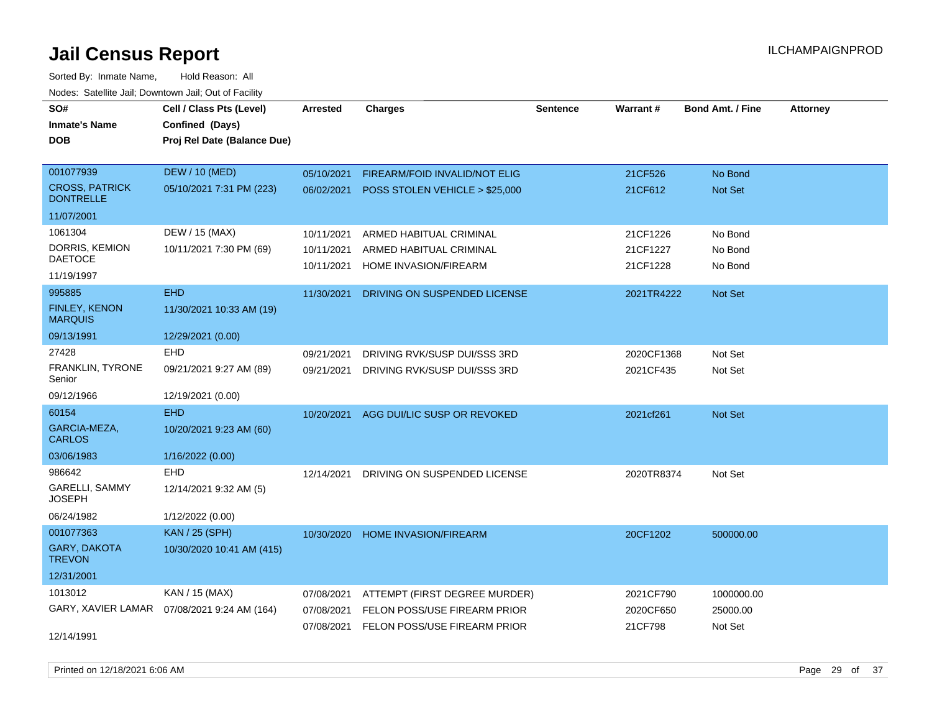Sorted By: Inmate Name, Hold Reason: All Nodes: Satellite Jail; Downtown Jail; Out of Facility

| SO#                                       | Cell / Class Pts (Level)                     | <b>Arrested</b> | <b>Charges</b>                            | <b>Sentence</b> | <b>Warrant#</b> | <b>Bond Amt. / Fine</b> | <b>Attorney</b> |
|-------------------------------------------|----------------------------------------------|-----------------|-------------------------------------------|-----------------|-----------------|-------------------------|-----------------|
| <b>Inmate's Name</b>                      | Confined (Days)                              |                 |                                           |                 |                 |                         |                 |
| DOB                                       | Proj Rel Date (Balance Due)                  |                 |                                           |                 |                 |                         |                 |
|                                           |                                              |                 |                                           |                 |                 |                         |                 |
| 001077939                                 | <b>DEW / 10 (MED)</b>                        | 05/10/2021      | FIREARM/FOID INVALID/NOT ELIG             |                 | 21CF526         | No Bond                 |                 |
| <b>CROSS, PATRICK</b><br><b>DONTRELLE</b> | 05/10/2021 7:31 PM (223)                     |                 | 06/02/2021 POSS STOLEN VEHICLE > \$25,000 |                 | 21CF612         | Not Set                 |                 |
| 11/07/2001                                |                                              |                 |                                           |                 |                 |                         |                 |
| 1061304                                   | DEW / 15 (MAX)                               | 10/11/2021      | ARMED HABITUAL CRIMINAL                   |                 | 21CF1226        | No Bond                 |                 |
| DORRIS, KEMION                            | 10/11/2021 7:30 PM (69)                      | 10/11/2021      | ARMED HABITUAL CRIMINAL                   |                 | 21CF1227        | No Bond                 |                 |
| <b>DAETOCE</b>                            |                                              | 10/11/2021      | HOME INVASION/FIREARM                     |                 | 21CF1228        | No Bond                 |                 |
| 11/19/1997                                |                                              |                 |                                           |                 |                 |                         |                 |
| 995885                                    | <b>EHD</b>                                   | 11/30/2021      | DRIVING ON SUSPENDED LICENSE              |                 | 2021TR4222      | <b>Not Set</b>          |                 |
| FINLEY, KENON<br><b>MARQUIS</b>           | 11/30/2021 10:33 AM (19)                     |                 |                                           |                 |                 |                         |                 |
| 09/13/1991                                | 12/29/2021 (0.00)                            |                 |                                           |                 |                 |                         |                 |
| 27428                                     | <b>EHD</b>                                   | 09/21/2021      | DRIVING RVK/SUSP DUI/SSS 3RD              |                 | 2020CF1368      | Not Set                 |                 |
| <b>FRANKLIN, TYRONE</b><br>Senior         | 09/21/2021 9:27 AM (89)                      | 09/21/2021      | DRIVING RVK/SUSP DUI/SSS 3RD              |                 | 2021CF435       | Not Set                 |                 |
| 09/12/1966                                | 12/19/2021 (0.00)                            |                 |                                           |                 |                 |                         |                 |
| 60154                                     | <b>EHD</b>                                   | 10/20/2021      | AGG DUI/LIC SUSP OR REVOKED               |                 | 2021cf261       | <b>Not Set</b>          |                 |
| GARCIA-MEZA,<br><b>CARLOS</b>             | 10/20/2021 9:23 AM (60)                      |                 |                                           |                 |                 |                         |                 |
| 03/06/1983                                | 1/16/2022 (0.00)                             |                 |                                           |                 |                 |                         |                 |
| 986642                                    | <b>EHD</b>                                   | 12/14/2021      | DRIVING ON SUSPENDED LICENSE              |                 | 2020TR8374      | Not Set                 |                 |
| GARELLI, SAMMY<br><b>JOSEPH</b>           | 12/14/2021 9:32 AM (5)                       |                 |                                           |                 |                 |                         |                 |
| 06/24/1982                                | 1/12/2022 (0.00)                             |                 |                                           |                 |                 |                         |                 |
| 001077363                                 | <b>KAN / 25 (SPH)</b>                        | 10/30/2020      | <b>HOME INVASION/FIREARM</b>              |                 | 20CF1202        | 500000.00               |                 |
| <b>GARY, DAKOTA</b><br><b>TREVON</b>      | 10/30/2020 10:41 AM (415)                    |                 |                                           |                 |                 |                         |                 |
| 12/31/2001                                |                                              |                 |                                           |                 |                 |                         |                 |
| 1013012                                   | KAN / 15 (MAX)                               | 07/08/2021      | ATTEMPT (FIRST DEGREE MURDER)             |                 | 2021CF790       | 1000000.00              |                 |
|                                           | GARY, XAVIER LAMAR  07/08/2021 9:24 AM (164) | 07/08/2021      | FELON POSS/USE FIREARM PRIOR              |                 | 2020CF650       | 25000.00                |                 |
|                                           |                                              | 07/08/2021      | <b>FELON POSS/USE FIREARM PRIOR</b>       |                 | 21CF798         | Not Set                 |                 |
| 12/14/1991                                |                                              |                 |                                           |                 |                 |                         |                 |

Printed on  $12/18/2021$  6:06 AM Page 29 of 37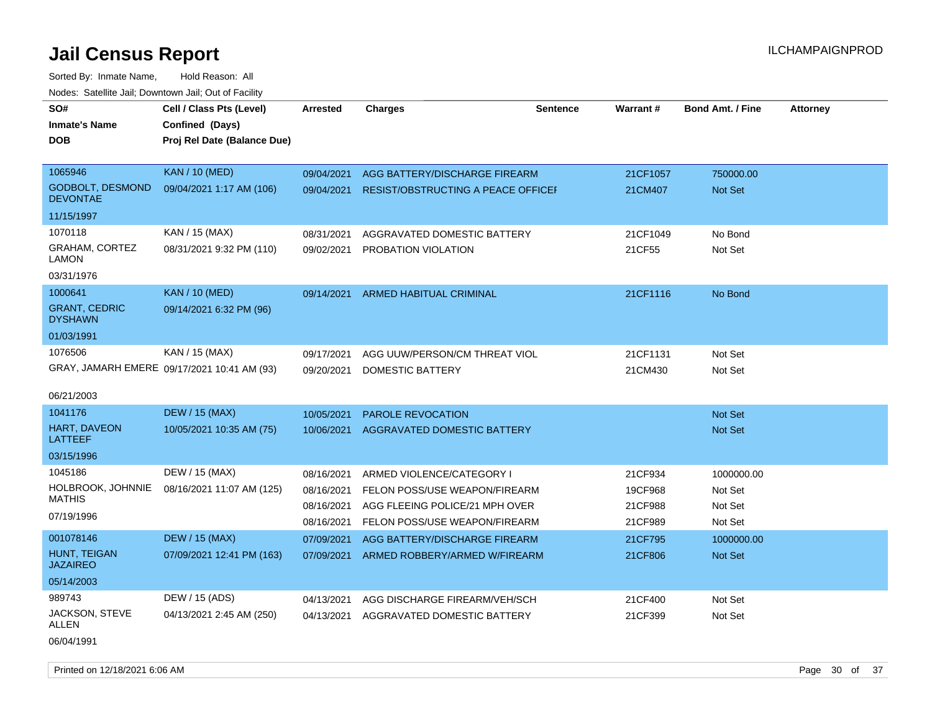| SO#<br><b>Inmate's Name</b>                | Cell / Class Pts (Level)<br>Confined (Days) | Arrested   | <b>Charges</b>                            | <b>Sentence</b> | Warrant# | <b>Bond Amt. / Fine</b> | <b>Attorney</b> |
|--------------------------------------------|---------------------------------------------|------------|-------------------------------------------|-----------------|----------|-------------------------|-----------------|
| <b>DOB</b>                                 | Proj Rel Date (Balance Due)                 |            |                                           |                 |          |                         |                 |
| 1065946                                    | <b>KAN / 10 (MED)</b>                       | 09/04/2021 | AGG BATTERY/DISCHARGE FIREARM             |                 | 21CF1057 | 750000.00               |                 |
| <b>GODBOLT, DESMOND</b><br><b>DEVONTAE</b> | 09/04/2021 1:17 AM (106)                    | 09/04/2021 | <b>RESIST/OBSTRUCTING A PEACE OFFICEF</b> |                 | 21CM407  | Not Set                 |                 |
| 11/15/1997                                 |                                             |            |                                           |                 |          |                         |                 |
| 1070118                                    | KAN / 15 (MAX)                              | 08/31/2021 | AGGRAVATED DOMESTIC BATTERY               |                 | 21CF1049 | No Bond                 |                 |
| GRAHAM, CORTEZ<br>LAMON                    | 08/31/2021 9:32 PM (110)                    | 09/02/2021 | PROBATION VIOLATION                       |                 | 21CF55   | Not Set                 |                 |
| 03/31/1976                                 |                                             |            |                                           |                 |          |                         |                 |
| 1000641                                    | <b>KAN / 10 (MED)</b>                       | 09/14/2021 | ARMED HABITUAL CRIMINAL                   |                 | 21CF1116 | No Bond                 |                 |
| <b>GRANT, CEDRIC</b><br><b>DYSHAWN</b>     | 09/14/2021 6:32 PM (96)                     |            |                                           |                 |          |                         |                 |
| 01/03/1991                                 |                                             |            |                                           |                 |          |                         |                 |
| 1076506                                    | KAN / 15 (MAX)                              | 09/17/2021 | AGG UUW/PERSON/CM THREAT VIOL             |                 | 21CF1131 | Not Set                 |                 |
|                                            | GRAY, JAMARH EMERE 09/17/2021 10:41 AM (93) | 09/20/2021 | DOMESTIC BATTERY                          |                 | 21CM430  | Not Set                 |                 |
| 06/21/2003                                 |                                             |            |                                           |                 |          |                         |                 |
| 1041176                                    | <b>DEW / 15 (MAX)</b>                       | 10/05/2021 | <b>PAROLE REVOCATION</b>                  |                 |          | Not Set                 |                 |
| HART, DAVEON<br>LATTEEF                    | 10/05/2021 10:35 AM (75)                    | 10/06/2021 | <b>AGGRAVATED DOMESTIC BATTERY</b>        |                 |          | <b>Not Set</b>          |                 |
| 03/15/1996                                 |                                             |            |                                           |                 |          |                         |                 |
| 1045186                                    | DEW / 15 (MAX)                              | 08/16/2021 | ARMED VIOLENCE/CATEGORY I                 |                 | 21CF934  | 1000000.00              |                 |
| HOLBROOK, JOHNNIE                          | 08/16/2021 11:07 AM (125)                   | 08/16/2021 | FELON POSS/USE WEAPON/FIREARM             |                 | 19CF968  | Not Set                 |                 |
| <b>MATHIS</b>                              |                                             | 08/16/2021 | AGG FLEEING POLICE/21 MPH OVER            |                 | 21CF988  | Not Set                 |                 |
| 07/19/1996                                 |                                             | 08/16/2021 | FELON POSS/USE WEAPON/FIREARM             |                 | 21CF989  | Not Set                 |                 |
| 001078146                                  | <b>DEW / 15 (MAX)</b>                       | 07/09/2021 | AGG BATTERY/DISCHARGE FIREARM             |                 | 21CF795  | 1000000.00              |                 |
| <b>HUNT, TEIGAN</b><br><b>JAZAIREO</b>     | 07/09/2021 12:41 PM (163)                   | 07/09/2021 | ARMED ROBBERY/ARMED W/FIREARM             |                 | 21CF806  | <b>Not Set</b>          |                 |
| 05/14/2003                                 |                                             |            |                                           |                 |          |                         |                 |
| 989743                                     | DEW / 15 (ADS)                              | 04/13/2021 | AGG DISCHARGE FIREARM/VEH/SCH             |                 | 21CF400  | Not Set                 |                 |
| JACKSON, STEVE<br>ALLEN                    | 04/13/2021 2:45 AM (250)                    | 04/13/2021 | AGGRAVATED DOMESTIC BATTERY               |                 | 21CF399  | Not Set                 |                 |
| 06/04/1991                                 |                                             |            |                                           |                 |          |                         |                 |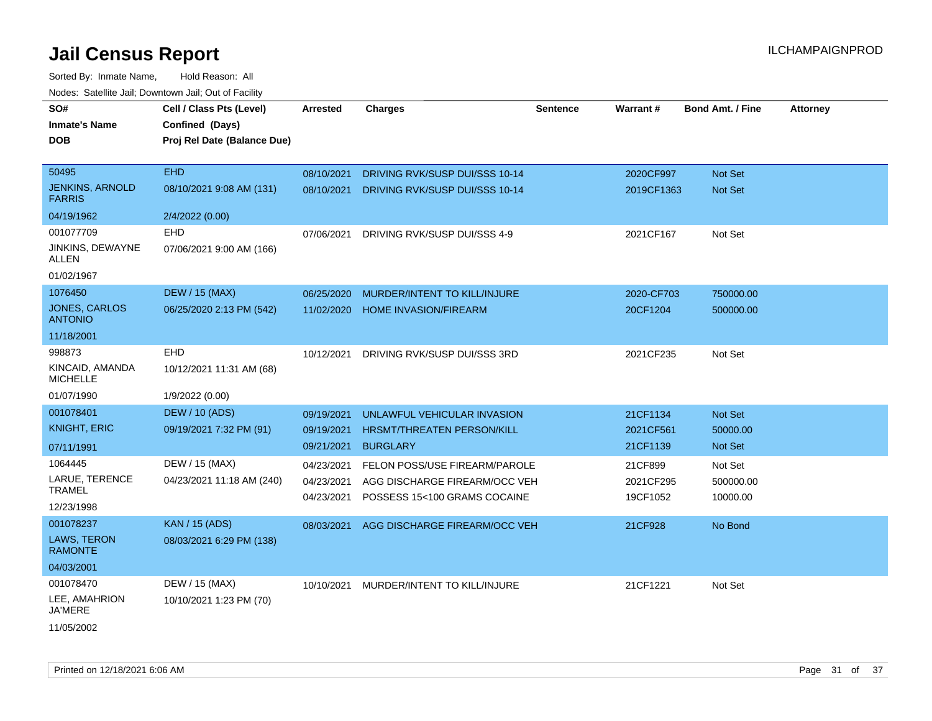| SO#<br><b>Inmate's Name</b><br><b>DOB</b>     | Cell / Class Pts (Level)<br>Confined (Days)<br>Proj Rel Date (Balance Due) | <b>Arrested</b> | <b>Charges</b>                 | <b>Sentence</b> | Warrant#   | <b>Bond Amt. / Fine</b> | <b>Attorney</b> |
|-----------------------------------------------|----------------------------------------------------------------------------|-----------------|--------------------------------|-----------------|------------|-------------------------|-----------------|
|                                               |                                                                            |                 |                                |                 |            |                         |                 |
| 50495                                         | <b>EHD</b>                                                                 | 08/10/2021      | DRIVING RVK/SUSP DUI/SSS 10-14 |                 | 2020CF997  | <b>Not Set</b>          |                 |
| <b>JENKINS, ARNOLD</b><br><b>FARRIS</b>       | 08/10/2021 9:08 AM (131)                                                   | 08/10/2021      | DRIVING RVK/SUSP DUI/SSS 10-14 |                 | 2019CF1363 | <b>Not Set</b>          |                 |
| 04/19/1962                                    | 2/4/2022 (0.00)                                                            |                 |                                |                 |            |                         |                 |
| 001077709<br><b>JINKINS, DEWAYNE</b><br>ALLEN | <b>EHD</b><br>07/06/2021 9:00 AM (166)                                     | 07/06/2021      | DRIVING RVK/SUSP DUI/SSS 4-9   |                 | 2021CF167  | Not Set                 |                 |
| 01/02/1967                                    |                                                                            |                 |                                |                 |            |                         |                 |
| 1076450                                       | <b>DEW / 15 (MAX)</b>                                                      | 06/25/2020      | MURDER/INTENT TO KILL/INJURE   |                 | 2020-CF703 | 750000.00               |                 |
| <b>JONES, CARLOS</b><br><b>ANTONIO</b>        | 06/25/2020 2:13 PM (542)                                                   | 11/02/2020      | <b>HOME INVASION/FIREARM</b>   |                 | 20CF1204   | 500000.00               |                 |
| 11/18/2001                                    |                                                                            |                 |                                |                 |            |                         |                 |
| 998873                                        | <b>EHD</b>                                                                 | 10/12/2021      | DRIVING RVK/SUSP DUI/SSS 3RD   |                 | 2021CF235  | Not Set                 |                 |
| KINCAID, AMANDA<br><b>MICHELLE</b>            | 10/12/2021 11:31 AM (68)                                                   |                 |                                |                 |            |                         |                 |
| 01/07/1990                                    | 1/9/2022 (0.00)                                                            |                 |                                |                 |            |                         |                 |
| 001078401                                     | <b>DEW / 10 (ADS)</b>                                                      | 09/19/2021      | UNLAWFUL VEHICULAR INVASION    |                 | 21CF1134   | Not Set                 |                 |
| <b>KNIGHT, ERIC</b>                           | 09/19/2021 7:32 PM (91)                                                    | 09/19/2021      | HRSMT/THREATEN PERSON/KILL     |                 | 2021CF561  | 50000.00                |                 |
| 07/11/1991                                    |                                                                            | 09/21/2021      | <b>BURGLARY</b>                |                 | 21CF1139   | Not Set                 |                 |
| 1064445                                       | DEW / 15 (MAX)                                                             | 04/23/2021      | FELON POSS/USE FIREARM/PAROLE  |                 | 21CF899    | Not Set                 |                 |
| LARUE, TERENCE                                | 04/23/2021 11:18 AM (240)                                                  | 04/23/2021      | AGG DISCHARGE FIREARM/OCC VEH  |                 | 2021CF295  | 500000.00               |                 |
| <b>TRAMEL</b>                                 |                                                                            | 04/23/2021      | POSSESS 15<100 GRAMS COCAINE   |                 | 19CF1052   | 10000.00                |                 |
| 12/23/1998<br>001078237                       |                                                                            |                 |                                |                 |            |                         |                 |
| <b>LAWS, TERON</b><br><b>RAMONTE</b>          | <b>KAN / 15 (ADS)</b><br>08/03/2021 6:29 PM (138)                          | 08/03/2021      | AGG DISCHARGE FIREARM/OCC VEH  |                 | 21CF928    | No Bond                 |                 |
| 04/03/2001                                    |                                                                            |                 |                                |                 |            |                         |                 |
| 001078470                                     | DEW / 15 (MAX)                                                             | 10/10/2021      | MURDER/INTENT TO KILL/INJURE   |                 | 21CF1221   | Not Set                 |                 |
| LEE, AMAHRION<br>JA'MERE                      | 10/10/2021 1:23 PM (70)                                                    |                 |                                |                 |            |                         |                 |
| 11/05/2002                                    |                                                                            |                 |                                |                 |            |                         |                 |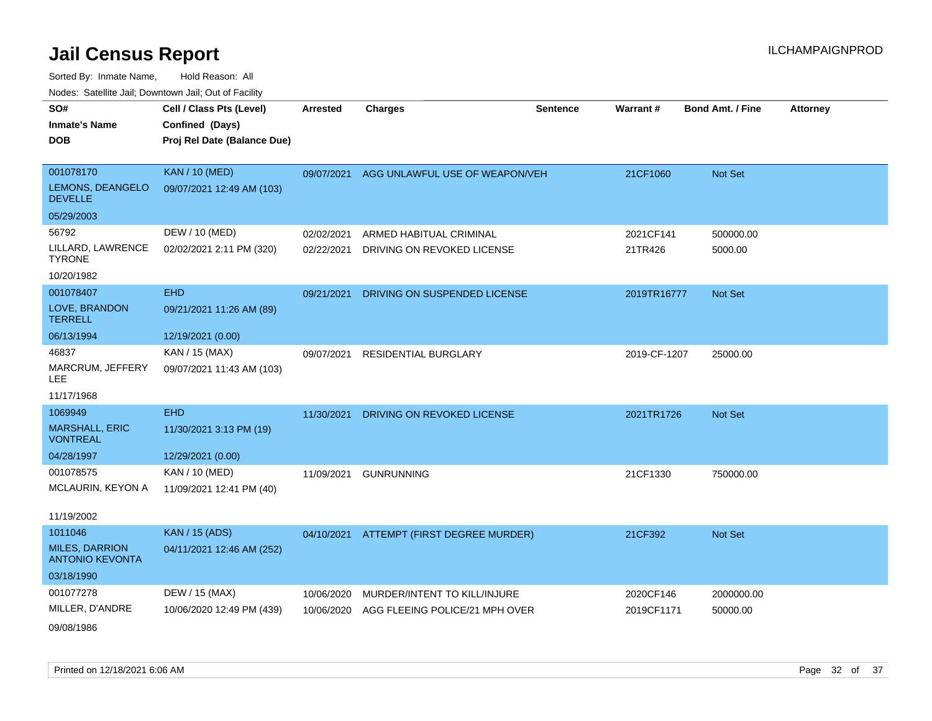| SO#                                             | Cell / Class Pts (Level)    | <b>Arrested</b> | <b>Charges</b>                           | <b>Sentence</b> | Warrant#     | <b>Bond Amt. / Fine</b> | <b>Attorney</b> |
|-------------------------------------------------|-----------------------------|-----------------|------------------------------------------|-----------------|--------------|-------------------------|-----------------|
| <b>Inmate's Name</b>                            | Confined (Days)             |                 |                                          |                 |              |                         |                 |
| <b>DOB</b>                                      | Proj Rel Date (Balance Due) |                 |                                          |                 |              |                         |                 |
|                                                 |                             |                 |                                          |                 |              |                         |                 |
| 001078170                                       | <b>KAN / 10 (MED)</b>       | 09/07/2021      | AGG UNLAWFUL USE OF WEAPON/VEH           |                 | 21CF1060     | Not Set                 |                 |
| LEMONS, DEANGELO<br><b>DEVELLE</b>              | 09/07/2021 12:49 AM (103)   |                 |                                          |                 |              |                         |                 |
| 05/29/2003                                      |                             |                 |                                          |                 |              |                         |                 |
| 56792                                           | DEW / 10 (MED)              | 02/02/2021      | ARMED HABITUAL CRIMINAL                  |                 | 2021CF141    | 500000.00               |                 |
| LILLARD, LAWRENCE<br><b>TYRONE</b>              | 02/02/2021 2:11 PM (320)    | 02/22/2021      | DRIVING ON REVOKED LICENSE               |                 | 21TR426      | 5000.00                 |                 |
| 10/20/1982                                      |                             |                 |                                          |                 |              |                         |                 |
| 001078407                                       | <b>EHD</b>                  | 09/21/2021      | DRIVING ON SUSPENDED LICENSE             |                 | 2019TR16777  | Not Set                 |                 |
| LOVE, BRANDON<br><b>TERRELL</b>                 | 09/21/2021 11:26 AM (89)    |                 |                                          |                 |              |                         |                 |
| 06/13/1994                                      | 12/19/2021 (0.00)           |                 |                                          |                 |              |                         |                 |
| 46837                                           | KAN / 15 (MAX)              | 09/07/2021      | <b>RESIDENTIAL BURGLARY</b>              |                 | 2019-CF-1207 | 25000.00                |                 |
| MARCRUM, JEFFERY<br><b>LEE</b>                  | 09/07/2021 11:43 AM (103)   |                 |                                          |                 |              |                         |                 |
| 11/17/1968                                      |                             |                 |                                          |                 |              |                         |                 |
| 1069949                                         | <b>EHD</b>                  | 11/30/2021      | DRIVING ON REVOKED LICENSE               |                 | 2021TR1726   | Not Set                 |                 |
| <b>MARSHALL, ERIC</b><br><b>VONTREAL</b>        | 11/30/2021 3:13 PM (19)     |                 |                                          |                 |              |                         |                 |
| 04/28/1997                                      | 12/29/2021 (0.00)           |                 |                                          |                 |              |                         |                 |
| 001078575                                       | KAN / 10 (MED)              | 11/09/2021      | <b>GUNRUNNING</b>                        |                 | 21CF1330     | 750000.00               |                 |
| MCLAURIN, KEYON A                               | 11/09/2021 12:41 PM (40)    |                 |                                          |                 |              |                         |                 |
| 11/19/2002                                      |                             |                 |                                          |                 |              |                         |                 |
| 1011046                                         | <b>KAN / 15 (ADS)</b>       |                 | 04/10/2021 ATTEMPT (FIRST DEGREE MURDER) |                 | 21CF392      | Not Set                 |                 |
| <b>MILES, DARRION</b><br><b>ANTONIO KEVONTA</b> | 04/11/2021 12:46 AM (252)   |                 |                                          |                 |              |                         |                 |
| 03/18/1990                                      |                             |                 |                                          |                 |              |                         |                 |
| 001077278                                       | DEW / 15 (MAX)              | 10/06/2020      | MURDER/INTENT TO KILL/INJURE             |                 | 2020CF146    | 2000000.00              |                 |
| MILLER, D'ANDRE                                 | 10/06/2020 12:49 PM (439)   | 10/06/2020      | AGG FLEEING POLICE/21 MPH OVER           |                 | 2019CF1171   | 50000.00                |                 |
| 09/08/1986                                      |                             |                 |                                          |                 |              |                         |                 |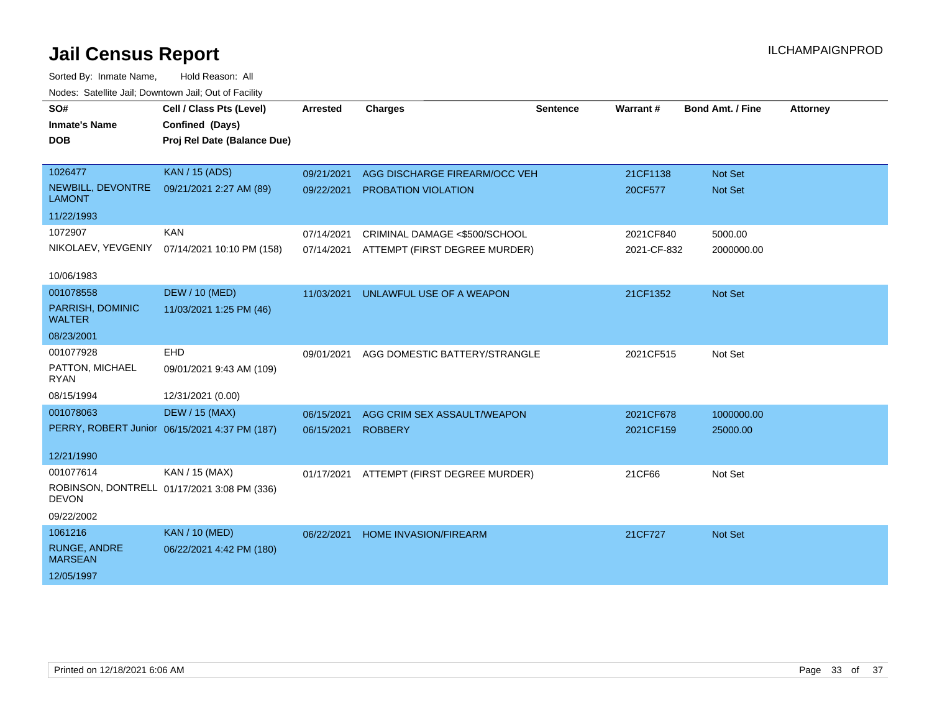| roaco. Calcinio dan, Downtown dan, Oal or Fability |                                               |                 |                                          |                 |             |                         |                 |
|----------------------------------------------------|-----------------------------------------------|-----------------|------------------------------------------|-----------------|-------------|-------------------------|-----------------|
| SO#                                                | Cell / Class Pts (Level)                      | <b>Arrested</b> | <b>Charges</b>                           | <b>Sentence</b> | Warrant#    | <b>Bond Amt. / Fine</b> | <b>Attorney</b> |
| <b>Inmate's Name</b>                               | Confined (Days)                               |                 |                                          |                 |             |                         |                 |
| <b>DOB</b>                                         | Proj Rel Date (Balance Due)                   |                 |                                          |                 |             |                         |                 |
|                                                    |                                               |                 |                                          |                 |             |                         |                 |
| 1026477                                            | <b>KAN / 15 (ADS)</b>                         | 09/21/2021      | AGG DISCHARGE FIREARM/OCC VEH            |                 | 21CF1138    | Not Set                 |                 |
| NEWBILL, DEVONTRE<br><b>LAMONT</b>                 | 09/21/2021 2:27 AM (89)                       | 09/22/2021      | PROBATION VIOLATION                      |                 | 20CF577     | <b>Not Set</b>          |                 |
| 11/22/1993                                         |                                               |                 |                                          |                 |             |                         |                 |
| 1072907                                            | <b>KAN</b>                                    | 07/14/2021      | CRIMINAL DAMAGE <\$500/SCHOOL            |                 | 2021CF840   | 5000.00                 |                 |
|                                                    | NIKOLAEV, YEVGENIY 07/14/2021 10:10 PM (158)  |                 | 07/14/2021 ATTEMPT (FIRST DEGREE MURDER) |                 | 2021-CF-832 | 2000000.00              |                 |
| 10/06/1983                                         |                                               |                 |                                          |                 |             |                         |                 |
| 001078558                                          | <b>DEW / 10 (MED)</b>                         | 11/03/2021      | UNLAWFUL USE OF A WEAPON                 |                 | 21CF1352    | Not Set                 |                 |
| PARRISH, DOMINIC<br><b>WALTER</b>                  | 11/03/2021 1:25 PM (46)                       |                 |                                          |                 |             |                         |                 |
| 08/23/2001                                         |                                               |                 |                                          |                 |             |                         |                 |
| 001077928                                          | <b>EHD</b>                                    | 09/01/2021      | AGG DOMESTIC BATTERY/STRANGLE            |                 | 2021CF515   | Not Set                 |                 |
| PATTON, MICHAEL<br><b>RYAN</b>                     | 09/01/2021 9:43 AM (109)                      |                 |                                          |                 |             |                         |                 |
| 08/15/1994                                         | 12/31/2021 (0.00)                             |                 |                                          |                 |             |                         |                 |
| 001078063                                          | <b>DEW / 15 (MAX)</b>                         | 06/15/2021      | AGG CRIM SEX ASSAULT/WEAPON              |                 | 2021CF678   | 1000000.00              |                 |
|                                                    | PERRY, ROBERT Junior 06/15/2021 4:37 PM (187) | 06/15/2021      | <b>ROBBERY</b>                           |                 | 2021CF159   | 25000.00                |                 |
|                                                    |                                               |                 |                                          |                 |             |                         |                 |
| 12/21/1990                                         |                                               |                 |                                          |                 |             |                         |                 |
| 001077614                                          | KAN / 15 (MAX)                                |                 | 01/17/2021 ATTEMPT (FIRST DEGREE MURDER) |                 | 21CF66      | Not Set                 |                 |
| <b>DEVON</b>                                       | ROBINSON, DONTRELL 01/17/2021 3:08 PM (336)   |                 |                                          |                 |             |                         |                 |
| 09/22/2002                                         |                                               |                 |                                          |                 |             |                         |                 |
| 1061216                                            | <b>KAN / 10 (MED)</b>                         | 06/22/2021      | <b>HOME INVASION/FIREARM</b>             |                 | 21CF727     | Not Set                 |                 |
| RUNGE, ANDRE<br><b>MARSEAN</b>                     | 06/22/2021 4:42 PM (180)                      |                 |                                          |                 |             |                         |                 |
| 12/05/1997                                         |                                               |                 |                                          |                 |             |                         |                 |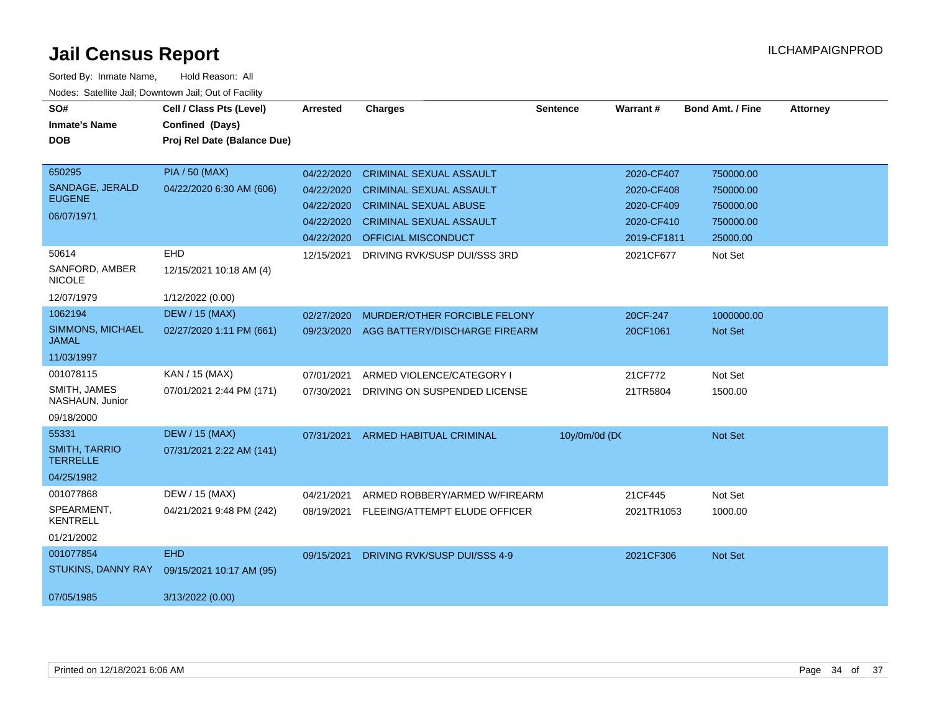| SO#                                     | Cell / Class Pts (Level)    | Arrested   | <b>Charges</b>                 | <b>Sentence</b> | Warrant#    | <b>Bond Amt. / Fine</b> | <b>Attorney</b> |
|-----------------------------------------|-----------------------------|------------|--------------------------------|-----------------|-------------|-------------------------|-----------------|
| <b>Inmate's Name</b>                    | Confined (Days)             |            |                                |                 |             |                         |                 |
| <b>DOB</b>                              | Proj Rel Date (Balance Due) |            |                                |                 |             |                         |                 |
|                                         |                             |            |                                |                 |             |                         |                 |
| 650295                                  | <b>PIA / 50 (MAX)</b>       | 04/22/2020 | <b>CRIMINAL SEXUAL ASSAULT</b> |                 | 2020-CF407  | 750000.00               |                 |
| SANDAGE, JERALD                         | 04/22/2020 6:30 AM (606)    | 04/22/2020 | <b>CRIMINAL SEXUAL ASSAULT</b> |                 | 2020-CF408  | 750000.00               |                 |
| <b>EUGENE</b>                           |                             | 04/22/2020 | <b>CRIMINAL SEXUAL ABUSE</b>   |                 | 2020-CF409  | 750000.00               |                 |
| 06/07/1971                              |                             | 04/22/2020 | <b>CRIMINAL SEXUAL ASSAULT</b> |                 | 2020-CF410  | 750000.00               |                 |
|                                         |                             | 04/22/2020 | <b>OFFICIAL MISCONDUCT</b>     |                 | 2019-CF1811 | 25000.00                |                 |
| 50614                                   | <b>EHD</b>                  | 12/15/2021 | DRIVING RVK/SUSP DUI/SSS 3RD   |                 | 2021CF677   | Not Set                 |                 |
| SANFORD, AMBER<br><b>NICOLE</b>         | 12/15/2021 10:18 AM (4)     |            |                                |                 |             |                         |                 |
| 12/07/1979                              | 1/12/2022 (0.00)            |            |                                |                 |             |                         |                 |
| 1062194                                 | <b>DEW / 15 (MAX)</b>       | 02/27/2020 | MURDER/OTHER FORCIBLE FELONY   |                 | 20CF-247    | 1000000.00              |                 |
| <b>SIMMONS, MICHAEL</b><br><b>JAMAL</b> | 02/27/2020 1:11 PM (661)    | 09/23/2020 | AGG BATTERY/DISCHARGE FIREARM  |                 | 20CF1061    | <b>Not Set</b>          |                 |
| 11/03/1997                              |                             |            |                                |                 |             |                         |                 |
| 001078115                               | KAN / 15 (MAX)              | 07/01/2021 | ARMED VIOLENCE/CATEGORY I      |                 | 21CF772     | Not Set                 |                 |
| SMITH, JAMES<br>NASHAUN, Junior         | 07/01/2021 2:44 PM (171)    | 07/30/2021 | DRIVING ON SUSPENDED LICENSE   |                 | 21TR5804    | 1500.00                 |                 |
| 09/18/2000                              |                             |            |                                |                 |             |                         |                 |
| 55331                                   | <b>DEW / 15 (MAX)</b>       | 07/31/2021 | <b>ARMED HABITUAL CRIMINAL</b> | 10y/0m/0d (DC   |             | Not Set                 |                 |
| <b>SMITH, TARRIO</b><br><b>TERRELLE</b> | 07/31/2021 2:22 AM (141)    |            |                                |                 |             |                         |                 |
| 04/25/1982                              |                             |            |                                |                 |             |                         |                 |
| 001077868                               | DEW / 15 (MAX)              | 04/21/2021 | ARMED ROBBERY/ARMED W/FIREARM  |                 | 21CF445     | Not Set                 |                 |
| SPEARMENT,<br><b>KENTRELL</b>           | 04/21/2021 9:48 PM (242)    | 08/19/2021 | FLEEING/ATTEMPT ELUDE OFFICER  |                 | 2021TR1053  | 1000.00                 |                 |
| 01/21/2002                              |                             |            |                                |                 |             |                         |                 |
| 001077854                               | <b>EHD</b>                  | 09/15/2021 | DRIVING RVK/SUSP DUI/SSS 4-9   |                 | 2021CF306   | Not Set                 |                 |
| STUKINS, DANNY RAY                      | 09/15/2021 10:17 AM (95)    |            |                                |                 |             |                         |                 |
| 07/05/1985                              | 3/13/2022 (0.00)            |            |                                |                 |             |                         |                 |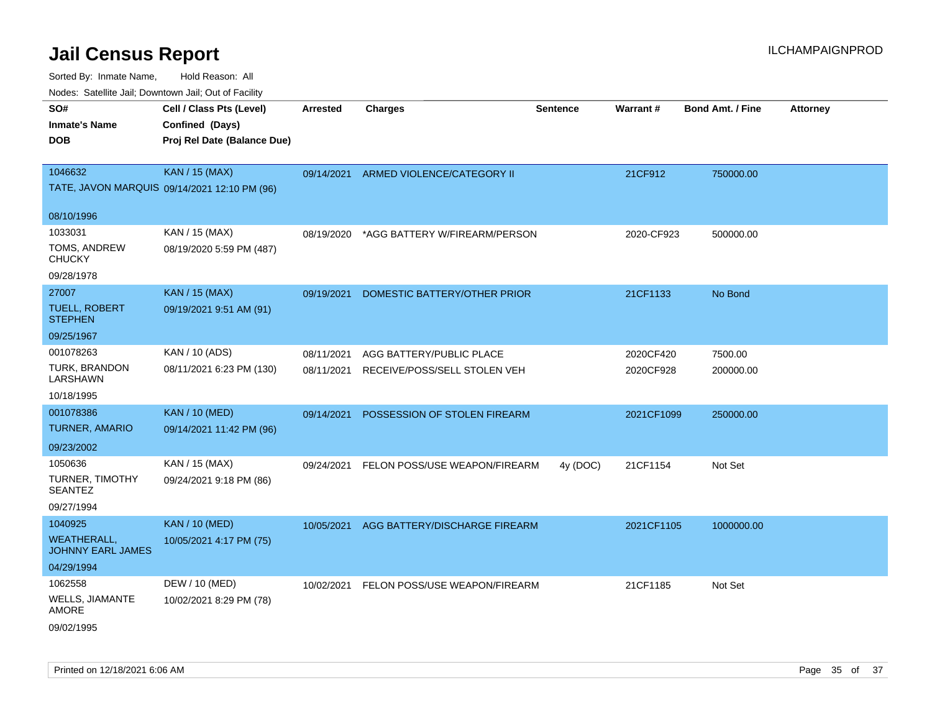| Todoo. Catolino can, Bottittottii can, Odt on Taoliit,<br>SO#<br><b>Inmate's Name</b><br><b>DOB</b> | Cell / Class Pts (Level)<br>Confined (Days)<br>Proj Rel Date (Balance Due) | <b>Arrested</b> | <b>Charges</b>                                                      | <b>Sentence</b> | <b>Warrant#</b>        | <b>Bond Amt. / Fine</b> | <b>Attorney</b> |
|-----------------------------------------------------------------------------------------------------|----------------------------------------------------------------------------|-----------------|---------------------------------------------------------------------|-----------------|------------------------|-------------------------|-----------------|
| 1046632                                                                                             | <b>KAN / 15 (MAX)</b><br>TATE, JAVON MARQUIS 09/14/2021 12:10 PM (96)      |                 | 09/14/2021 ARMED VIOLENCE/CATEGORY II                               |                 | 21CF912                | 750000.00               |                 |
| 08/10/1996                                                                                          |                                                                            |                 |                                                                     |                 |                        |                         |                 |
| 1033031<br>TOMS, ANDREW<br><b>CHUCKY</b><br>09/28/1978                                              | KAN / 15 (MAX)<br>08/19/2020 5:59 PM (487)                                 | 08/19/2020      | *AGG BATTERY W/FIREARM/PERSON                                       |                 | 2020-CF923             | 500000.00               |                 |
| 27007<br><b>TUELL, ROBERT</b><br><b>STEPHEN</b><br>09/25/1967                                       | <b>KAN / 15 (MAX)</b><br>09/19/2021 9:51 AM (91)                           | 09/19/2021      | DOMESTIC BATTERY/OTHER PRIOR                                        |                 | 21CF1133               | No Bond                 |                 |
| 001078263<br>TURK, BRANDON<br>LARSHAWN<br>10/18/1995                                                | KAN / 10 (ADS)<br>08/11/2021 6:23 PM (130)                                 | 08/11/2021      | AGG BATTERY/PUBLIC PLACE<br>08/11/2021 RECEIVE/POSS/SELL STOLEN VEH |                 | 2020CF420<br>2020CF928 | 7500.00<br>200000.00    |                 |
| 001078386<br><b>TURNER, AMARIO</b><br>09/23/2002                                                    | <b>KAN / 10 (MED)</b><br>09/14/2021 11:42 PM (96)                          | 09/14/2021      | POSSESSION OF STOLEN FIREARM                                        |                 | 2021CF1099             | 250000.00               |                 |
| 1050636<br>TURNER, TIMOTHY<br><b>SEANTEZ</b><br>09/27/1994                                          | KAN / 15 (MAX)<br>09/24/2021 9:18 PM (86)                                  | 09/24/2021      | FELON POSS/USE WEAPON/FIREARM                                       | 4y (DOC)        | 21CF1154               | Not Set                 |                 |
| 1040925<br>WEATHERALL,<br><b>JOHNNY EARL JAMES</b><br>04/29/1994                                    | <b>KAN / 10 (MED)</b><br>10/05/2021 4:17 PM (75)                           | 10/05/2021      | AGG BATTERY/DISCHARGE FIREARM                                       |                 | 2021CF1105             | 1000000.00              |                 |
| 1062558<br>WELLS, JIAMANTE<br><b>AMORE</b><br>09/02/1995                                            | DEW / 10 (MED)<br>10/02/2021 8:29 PM (78)                                  |                 | 10/02/2021 FELON POSS/USE WEAPON/FIREARM                            |                 | 21CF1185               | Not Set                 |                 |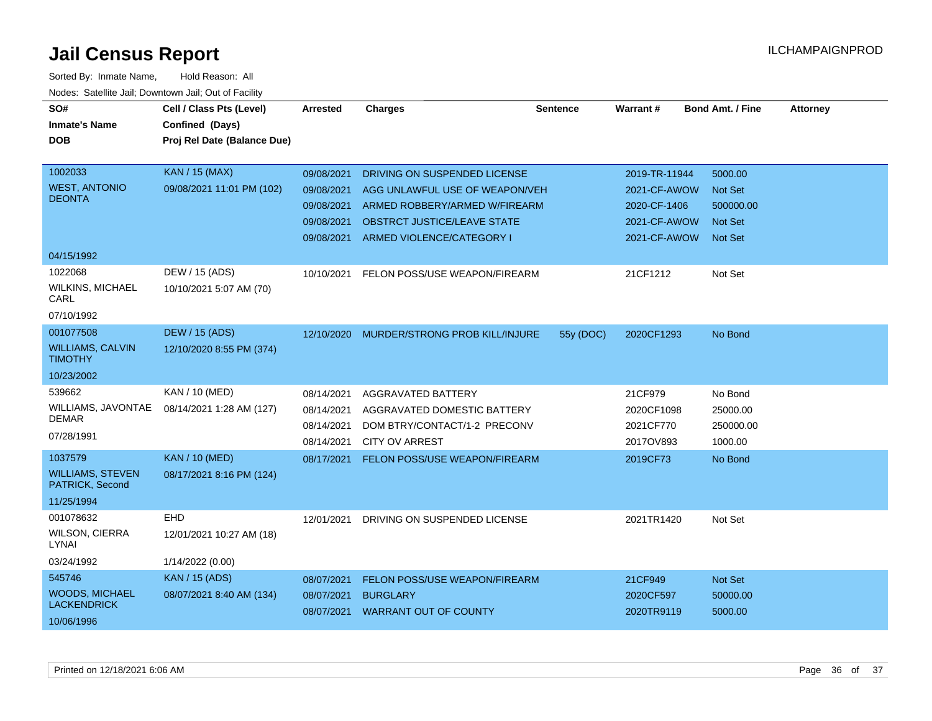| SO#                                        | Cell / Class Pts (Level)    | <b>Arrested</b> | <b>Charges</b>                       | <b>Sentence</b> | Warrant#      | <b>Bond Amt. / Fine</b> | <b>Attorney</b> |
|--------------------------------------------|-----------------------------|-----------------|--------------------------------------|-----------------|---------------|-------------------------|-----------------|
| <b>Inmate's Name</b>                       | Confined (Days)             |                 |                                      |                 |               |                         |                 |
| <b>DOB</b>                                 | Proj Rel Date (Balance Due) |                 |                                      |                 |               |                         |                 |
|                                            |                             |                 |                                      |                 |               |                         |                 |
| 1002033                                    | <b>KAN / 15 (MAX)</b>       | 09/08/2021      | DRIVING ON SUSPENDED LICENSE         |                 | 2019-TR-11944 | 5000.00                 |                 |
| <b>WEST, ANTONIO</b>                       | 09/08/2021 11:01 PM (102)   | 09/08/2021      | AGG UNLAWFUL USE OF WEAPON/VEH       |                 | 2021-CF-AWOW  | <b>Not Set</b>          |                 |
| <b>DEONTA</b>                              |                             | 09/08/2021      | ARMED ROBBERY/ARMED W/FIREARM        |                 | 2020-CF-1406  | 500000.00               |                 |
|                                            |                             | 09/08/2021      | <b>OBSTRCT JUSTICE/LEAVE STATE</b>   |                 | 2021-CF-AWOW  | <b>Not Set</b>          |                 |
|                                            |                             |                 | 09/08/2021 ARMED VIOLENCE/CATEGORY I |                 | 2021-CF-AWOW  | <b>Not Set</b>          |                 |
| 04/15/1992                                 |                             |                 |                                      |                 |               |                         |                 |
| 1022068                                    | DEW / 15 (ADS)              | 10/10/2021      | FELON POSS/USE WEAPON/FIREARM        |                 | 21CF1212      | Not Set                 |                 |
| <b>WILKINS, MICHAEL</b><br>CARL            | 10/10/2021 5:07 AM (70)     |                 |                                      |                 |               |                         |                 |
| 07/10/1992                                 |                             |                 |                                      |                 |               |                         |                 |
| 001077508                                  | <b>DEW / 15 (ADS)</b>       | 12/10/2020      | MURDER/STRONG PROB KILL/INJURE       | 55y (DOC)       | 2020CF1293    | No Bond                 |                 |
| <b>WILLIAMS, CALVIN</b><br><b>TIMOTHY</b>  | 12/10/2020 8:55 PM (374)    |                 |                                      |                 |               |                         |                 |
| 10/23/2002                                 |                             |                 |                                      |                 |               |                         |                 |
| 539662                                     | KAN / 10 (MED)              | 08/14/2021      | AGGRAVATED BATTERY                   |                 | 21CF979       | No Bond                 |                 |
| WILLIAMS, JAVONTAE                         | 08/14/2021 1:28 AM (127)    | 08/14/2021      | AGGRAVATED DOMESTIC BATTERY          |                 | 2020CF1098    | 25000.00                |                 |
| <b>DEMAR</b>                               |                             | 08/14/2021      | DOM BTRY/CONTACT/1-2 PRECONV         |                 | 2021CF770     | 250000.00               |                 |
| 07/28/1991                                 |                             | 08/14/2021      | <b>CITY OV ARREST</b>                |                 | 2017OV893     | 1000.00                 |                 |
| 1037579                                    | <b>KAN / 10 (MED)</b>       | 08/17/2021      | FELON POSS/USE WEAPON/FIREARM        |                 | 2019CF73      | No Bond                 |                 |
| <b>WILLIAMS, STEVEN</b><br>PATRICK, Second | 08/17/2021 8:16 PM (124)    |                 |                                      |                 |               |                         |                 |
| 11/25/1994                                 |                             |                 |                                      |                 |               |                         |                 |
| 001078632                                  | <b>EHD</b>                  | 12/01/2021      | DRIVING ON SUSPENDED LICENSE         |                 | 2021TR1420    | Not Set                 |                 |
| WILSON, CIERRA<br>LYNAI                    | 12/01/2021 10:27 AM (18)    |                 |                                      |                 |               |                         |                 |
| 03/24/1992                                 | 1/14/2022 (0.00)            |                 |                                      |                 |               |                         |                 |
| 545746                                     | <b>KAN</b> / 15 (ADS)       | 08/07/2021      | FELON POSS/USE WEAPON/FIREARM        |                 | 21CF949       | <b>Not Set</b>          |                 |
| <b>WOODS, MICHAEL</b>                      | 08/07/2021 8:40 AM (134)    | 08/07/2021      | <b>BURGLARY</b>                      |                 | 2020CF597     | 50000.00                |                 |
| <b>LACKENDRICK</b>                         |                             |                 | 08/07/2021 WARRANT OUT OF COUNTY     |                 | 2020TR9119    | 5000.00                 |                 |
| 10/06/1996                                 |                             |                 |                                      |                 |               |                         |                 |